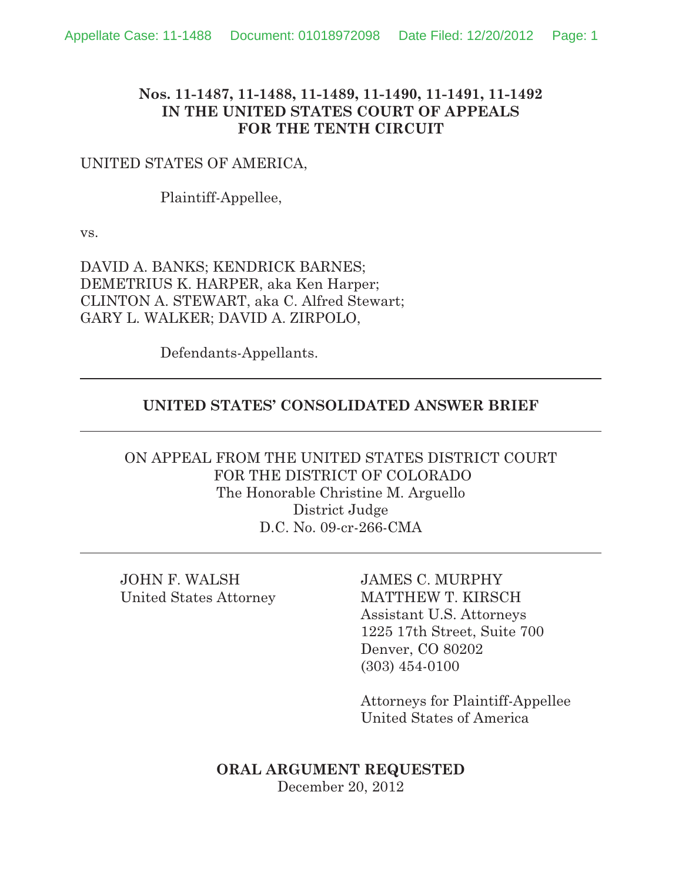#### **Nos. 11-1487, 11-1488, 11-1489, 11-1490, 11-1491, 11-1492 IN THE UNITED STATES COURT OF APPEALS FOR THE TENTH CIRCUIT**

#### UNITED STATES OF AMERICA,

Plaintiff-Appellee,

vs.

DAVID A. BANKS; KENDRICK BARNES; DEMETRIUS K. HARPER, aka Ken Harper; CLINTON A. STEWART, aka C. Alfred Stewart; GARY L. WALKER; DAVID A. ZIRPOLO,

Defendants-Appellants.

#### **UNITED STATES' CONSOLIDATED ANSWER BRIEF**

ON APPEAL FROM THE UNITED STATES DISTRICT COURT FOR THE DISTRICT OF COLORADO The Honorable Christine M. Arguello District Judge D.C. No. 09-cr-266-CMA

JOHN F. WALSH JAMES C. MURPHY

United States Attorney MATTHEW T. KIRSCH Assistant U.S. Attorneys 1225 17th Street, Suite 700 Denver, CO 80202 (303) 454-0100

> Attorneys for Plaintiff-Appellee United States of America

**ORAL ARGUMENT REQUESTED** December 20, 2012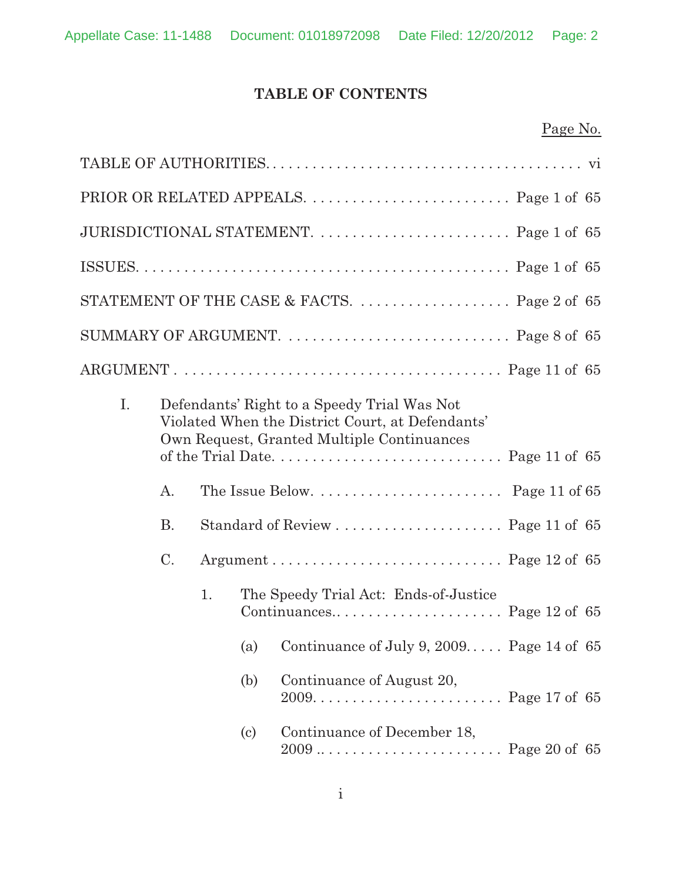# **TABLE OF CONTENTS**

|--|

|    |           |    |                            | JURISDICTIONAL STATEMENT.  Page 1 of 65                                                                                                       |  |
|----|-----------|----|----------------------------|-----------------------------------------------------------------------------------------------------------------------------------------------|--|
|    |           |    |                            |                                                                                                                                               |  |
|    |           |    |                            | STATEMENT OF THE CASE & FACTS.  Page 2 of 65                                                                                                  |  |
|    |           |    |                            |                                                                                                                                               |  |
|    |           |    |                            | ARGUMENT. $\dots \dots \dots \dots \dots \dots \dots \dots \dots \dots \dots \dots$ . Page 11 of 65                                           |  |
| I. |           |    |                            | Defendants' Right to a Speedy Trial Was Not<br>Violated When the District Court, at Defendants'<br>Own Request, Granted Multiple Continuances |  |
|    |           |    |                            |                                                                                                                                               |  |
|    | A.        |    |                            |                                                                                                                                               |  |
|    | <b>B.</b> |    |                            |                                                                                                                                               |  |
|    | C.        |    |                            |                                                                                                                                               |  |
|    |           | 1. |                            | The Speedy Trial Act: Ends-of-Justice                                                                                                         |  |
|    |           |    |                            | (a) Continuance of July 9, $2009$ Page 14 of 65                                                                                               |  |
|    |           |    | (b)                        | Continuance of August 20,                                                                                                                     |  |
|    |           |    | $\left( \mathrm{c}\right)$ | Continuance of December 18,                                                                                                                   |  |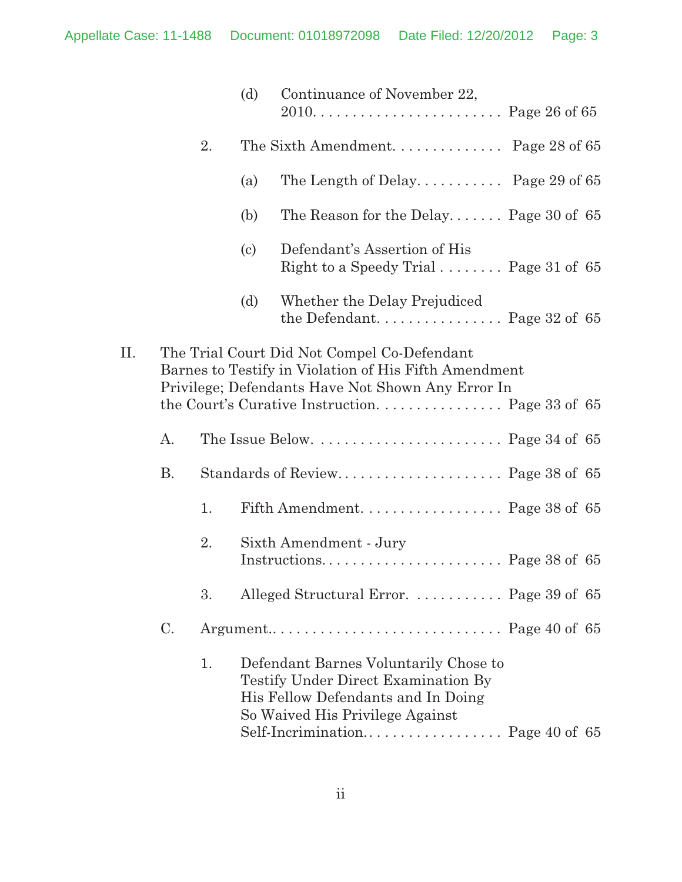|     |                |    | (d)                        | Continuance of November 22,                                                                                                                               |  |  |
|-----|----------------|----|----------------------------|-----------------------------------------------------------------------------------------------------------------------------------------------------------|--|--|
|     |                | 2. |                            | The Sixth Amendment Page 28 of 65                                                                                                                         |  |  |
|     |                |    | (a)                        | The Length of Delay Page 29 of $65$                                                                                                                       |  |  |
|     |                |    | (b)                        | The Reason for the Delay Page 30 of $65$                                                                                                                  |  |  |
|     |                |    | $\left( \mathrm{c}\right)$ | Defendant's Assertion of His<br>Right to a Speedy Trial $\ldots \ldots$ Page 31 of 65                                                                     |  |  |
|     |                |    | (d)                        | Whether the Delay Prejudiced                                                                                                                              |  |  |
| II. |                |    |                            | The Trial Court Did Not Compel Co-Defendant<br>Barnes to Testify in Violation of His Fifth Amendment<br>Privilege; Defendants Have Not Shown Any Error In |  |  |
|     | A.             |    |                            | The Issue Below. $\dots \dots \dots \dots \dots \dots$ . Page 34 of 65                                                                                    |  |  |
|     | <b>B.</b>      |    |                            |                                                                                                                                                           |  |  |
|     |                | 1. |                            | Fifth Amendment. $\dots \dots \dots \dots \dots$ Page 38 of 65                                                                                            |  |  |
|     |                | 2. |                            | Sixth Amendment - Jury                                                                                                                                    |  |  |
|     |                | 3. |                            | Alleged Structural Error.  Page 39 of 65                                                                                                                  |  |  |
|     | $\mathbf{C}$ . |    |                            |                                                                                                                                                           |  |  |
|     |                | 1. |                            | Defendant Barnes Voluntarily Chose to<br>Testify Under Direct Examination By<br>His Fellow Defendants and In Doing<br>So Waived His Privilege Against     |  |  |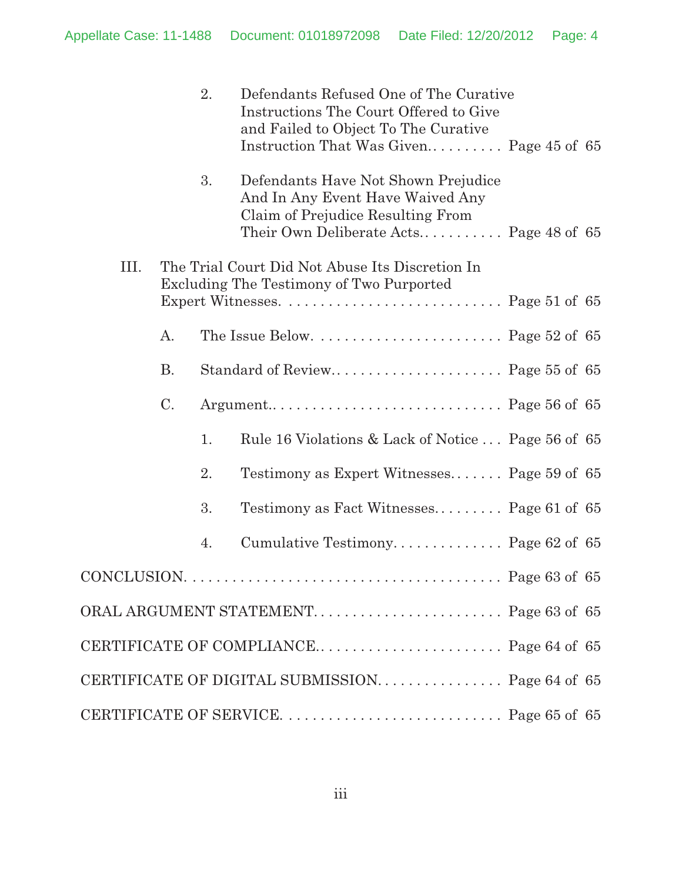|             |           | 2. | Defendants Refused One of The Curative<br>Instructions The Court Offered to Give<br>and Failed to Object To The Curative<br>Instruction That Was Given Page 45 of 65 |  |
|-------------|-----------|----|----------------------------------------------------------------------------------------------------------------------------------------------------------------------|--|
|             |           | 3. | Defendants Have Not Shown Prejudice<br>And In Any Event Have Waived Any<br>Claim of Prejudice Resulting From<br>Their Own Deliberate Acts Page 48 of $65$            |  |
| III.        |           |    | The Trial Court Did Not Abuse Its Discretion In<br>Excluding The Testimony of Two Purported                                                                          |  |
|             | A.        |    | The Issue Below. $\dots \dots \dots \dots \dots \dots$ . Page 52 of 65                                                                                               |  |
|             | <b>B.</b> |    |                                                                                                                                                                      |  |
|             | C.        |    |                                                                                                                                                                      |  |
|             |           | 1. | Rule 16 Violations & Lack of Notice  Page 56 of 65                                                                                                                   |  |
|             |           | 2. | Testimony as Expert Witnesses Page 59 of 65                                                                                                                          |  |
|             |           | 3. | Testimony as Fact Witnesses Page 61 of 65                                                                                                                            |  |
|             |           | 4. | Cumulative Testimony Page 62 of 65                                                                                                                                   |  |
| CONCLUSION. |           |    |                                                                                                                                                                      |  |
|             |           |    | ORAL ARGUMENT STATEMENT Page 63 of 65                                                                                                                                |  |
|             |           |    |                                                                                                                                                                      |  |
|             |           |    | CERTIFICATE OF DIGITAL SUBMISSION Page 64 of 65                                                                                                                      |  |
|             |           |    |                                                                                                                                                                      |  |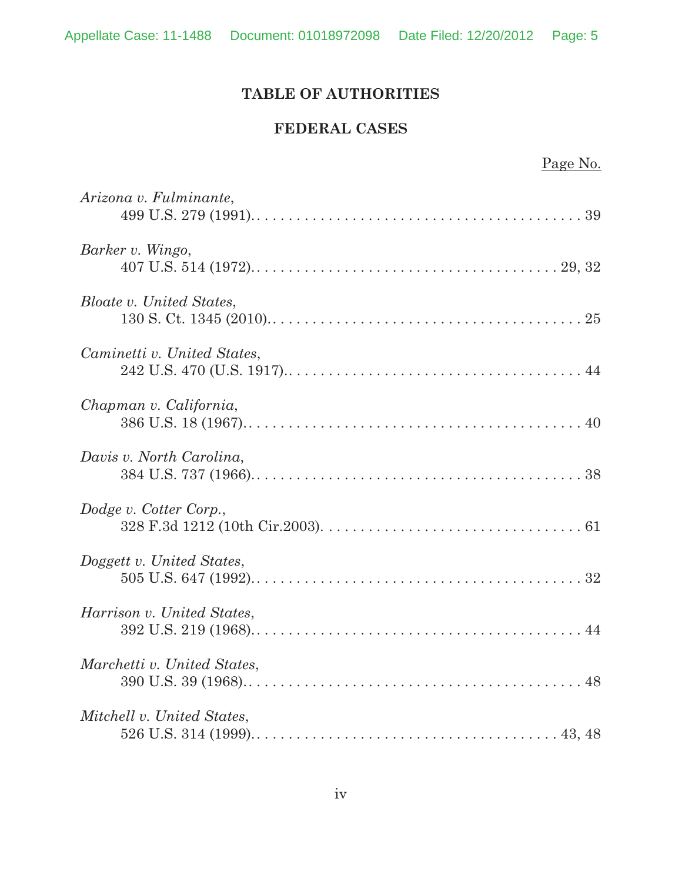# **TABLE OF AUTHORITIES**

#### **FEDERAL CASES**

| Page No.                        |
|---------------------------------|
| Arizona v. Fulminante,          |
| Barker v. Wingo,                |
| <b>Bloate v. United States,</b> |
| Caminetti v. United States,     |
| Chapman v. California,          |
| Davis v. North Carolina,        |
| Dodge v. Cotter Corp.,          |
| Doggett v. United States,       |
| Harrison v. United States,      |
| Marchetti v. United States,     |
| Mitchell v. United States,      |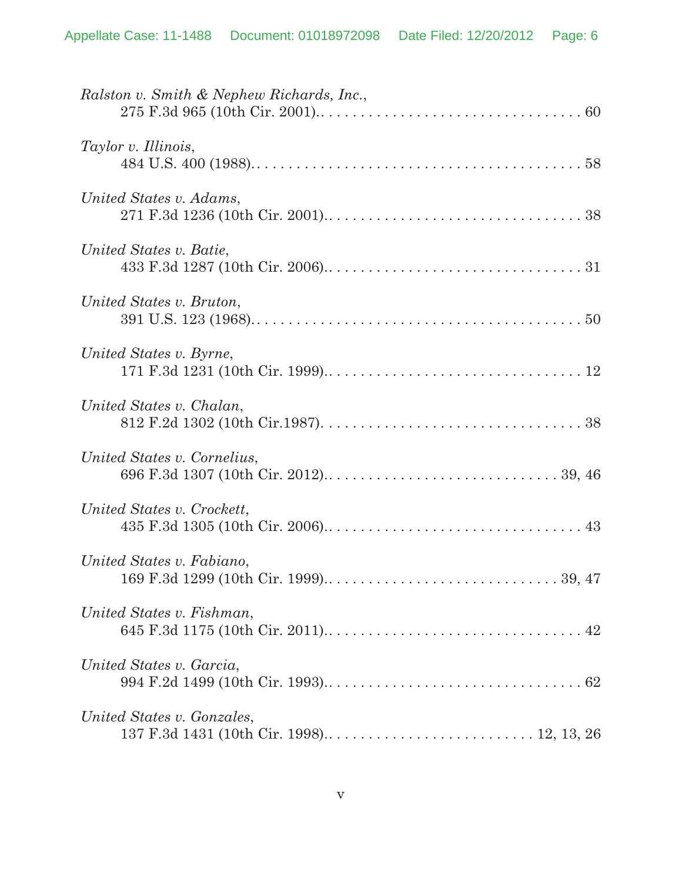| Ralston v. Smith & Nephew Richards, Inc., |
|-------------------------------------------|
| Taylor v. Illinois,                       |
| United States v. Adams,                   |
| United States v. Batie,                   |
| United States v. Bruton,                  |
| United States v. Byrne,                   |
| United States v. Chalan,                  |
| United States v. Cornelius,               |
| United States v. Crockett,                |
| United States v. Fabiano,                 |
| United States v. Fishman,                 |
| United States v. Garcia,                  |
| United States v. Gonzales,                |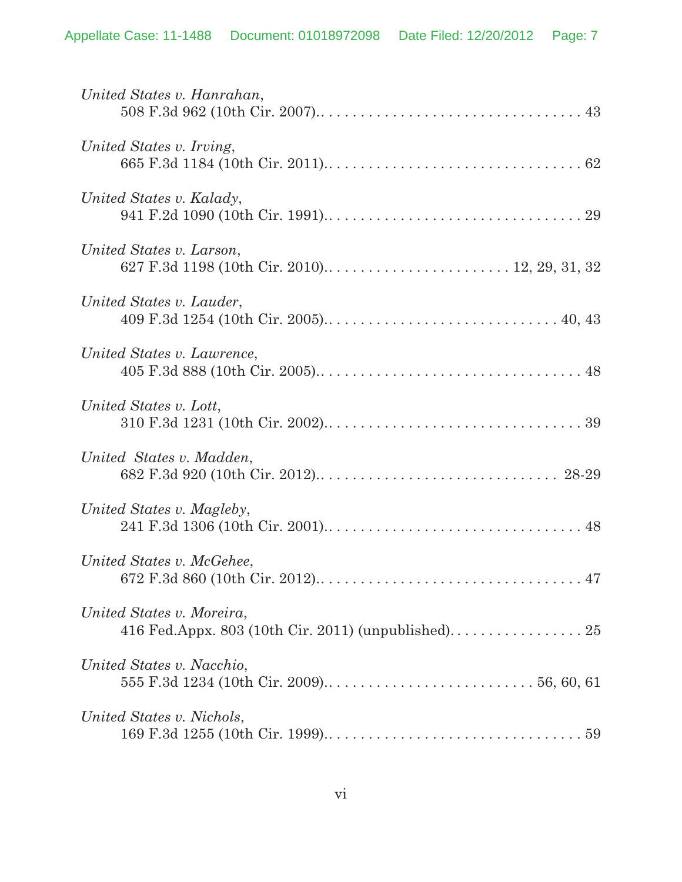| United States v. Hanrahan,                                                       |
|----------------------------------------------------------------------------------|
| United States v. Irving,                                                         |
| United States v. Kalady,                                                         |
| United States v. Larson,                                                         |
| United States v. Lauder,                                                         |
| United States v. Lawrence,                                                       |
| United States v. Lott,                                                           |
| United States v. Madden,                                                         |
| United States v. Magleby,                                                        |
| United States v. McGehee,                                                        |
| United States v. Moreira,<br>416 Fed.Appx. 803 (10th Cir. 2011) (unpublished) 25 |
| United States v. Nacchio,                                                        |
| United States v. Nichols,                                                        |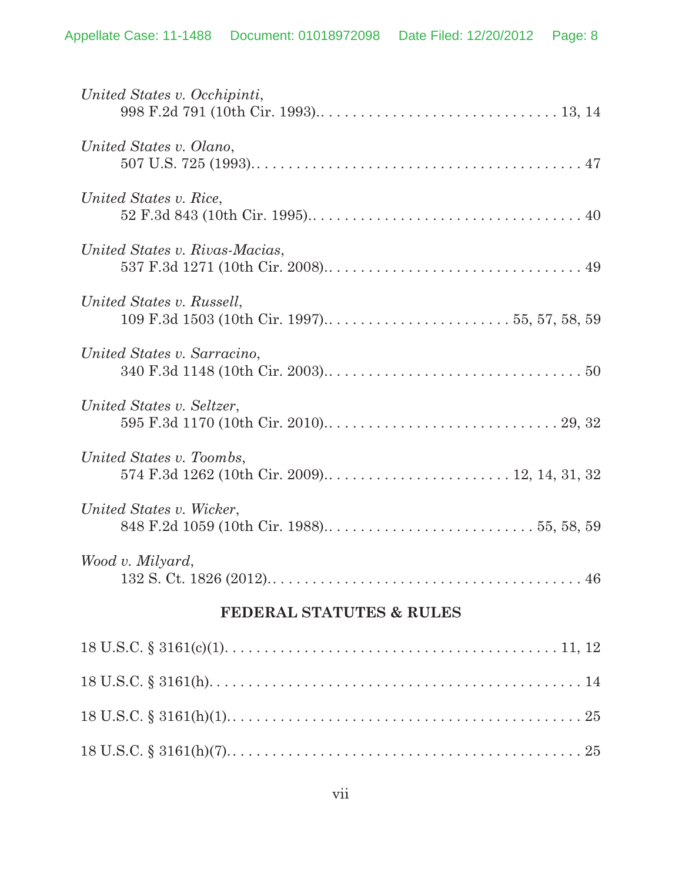| United States v. Occhipinti,        |
|-------------------------------------|
| United States v. Olano,             |
| United States v. Rice,              |
| United States v. Rivas-Macias,      |
| United States v. Russell,           |
| United States v. Sarracino,         |
| United States v. Seltzer,           |
| United States v. Toombs,            |
| United States v. Wicker,            |
| Wood v. Milyard,                    |
| <b>FEDERAL STATUTES &amp; RULES</b> |
|                                     |
|                                     |
|                                     |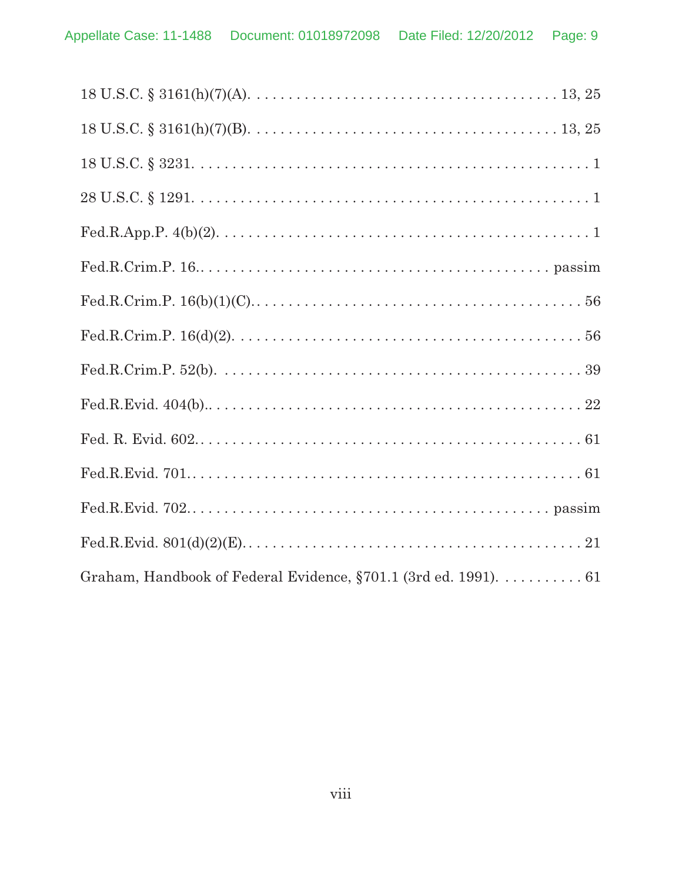| Graham, Handbook of Federal Evidence, §701.1 (3rd ed. 1991). 61 |
|-----------------------------------------------------------------|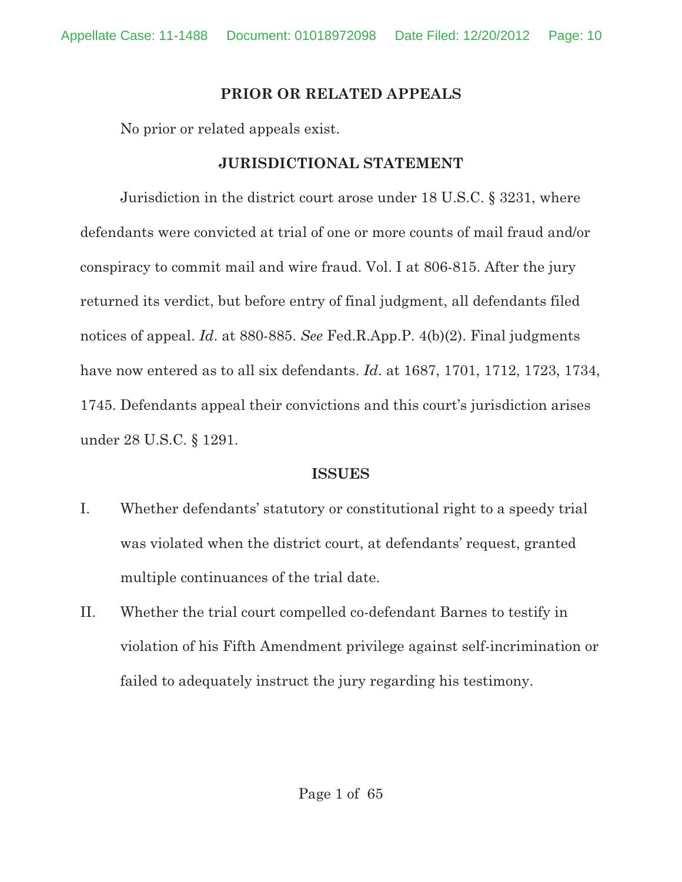# **PRIOR OR RELATED APPEALS**

No prior or related appeals exist.

# **JURISDICTIONAL STATEMENT**

Jurisdiction in the district court arose under 18 U.S.C. § 3231, where defendants were convicted at trial of one or more counts of mail fraud and/or conspiracy to commit mail and wire fraud. Vol. I at 806-815. After the jury returned its verdict, but before entry of final judgment, all defendants filed notices of appeal. *Id*. at 880-885. *See* Fed.R.App.P. 4(b)(2). Final judgments have now entered as to all six defendants. *Id*. at 1687, 1701, 1712, 1723, 1734, 1745. Defendants appeal their convictions and this court's jurisdiction arises under 28 U.S.C. § 1291.

# **ISSUES**

- I. Whether defendants' statutory or constitutional right to a speedy trial was violated when the district court, at defendants' request, granted multiple continuances of the trial date.
- II. Whether the trial court compelled co-defendant Barnes to testify in violation of his Fifth Amendment privilege against self-incrimination or failed to adequately instruct the jury regarding his testimony.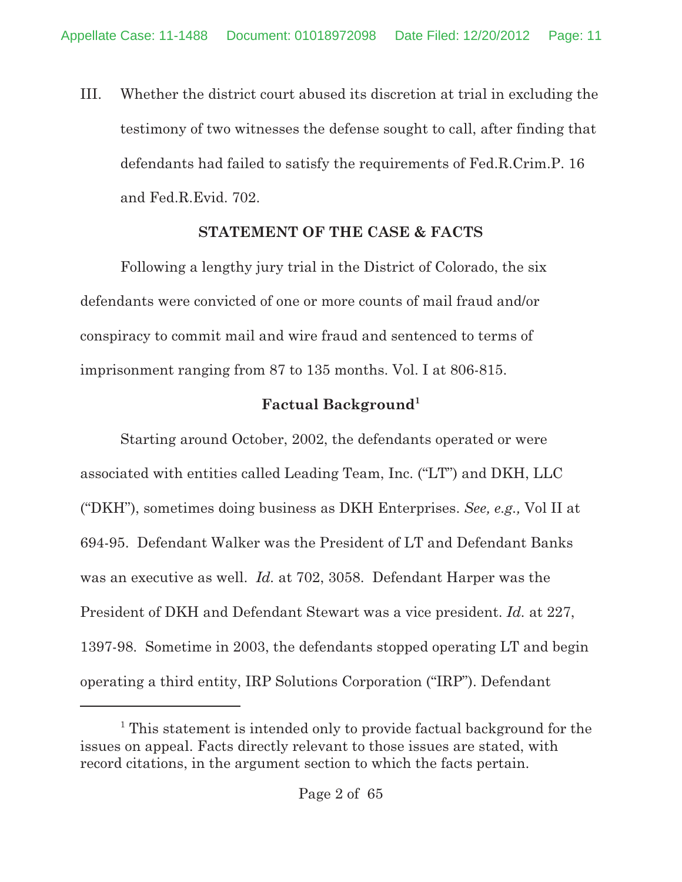III. Whether the district court abused its discretion at trial in excluding the testimony of two witnesses the defense sought to call, after finding that defendants had failed to satisfy the requirements of Fed.R.Crim.P. 16 and Fed.R.Evid. 702.

# **STATEMENT OF THE CASE & FACTS**

Following a lengthy jury trial in the District of Colorado, the six defendants were convicted of one or more counts of mail fraud and/or conspiracy to commit mail and wire fraud and sentenced to terms of imprisonment ranging from 87 to 135 months. Vol. I at 806-815.

# **Factual Background1**

Starting around October, 2002, the defendants operated or were associated with entities called Leading Team, Inc. ("LT") and DKH, LLC ("DKH"), sometimes doing business as DKH Enterprises. *See, e.g.,* Vol II at 694-95. Defendant Walker was the President of LT and Defendant Banks was an executive as well. *Id.* at 702, 3058. Defendant Harper was the President of DKH and Defendant Stewart was a vice president. *Id.* at 227, 1397-98. Sometime in 2003, the defendants stopped operating LT and begin operating a third entity, IRP Solutions Corporation ("IRP"). Defendant

<sup>&</sup>lt;sup>1</sup> This statement is intended only to provide factual background for the issues on appeal. Facts directly relevant to those issues are stated, with record citations, in the argument section to which the facts pertain.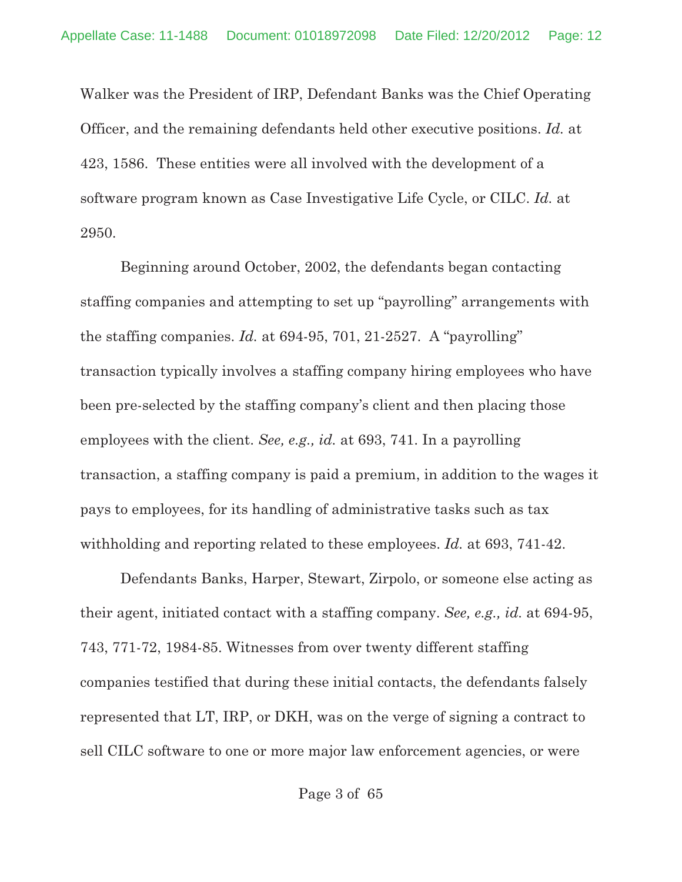Walker was the President of IRP, Defendant Banks was the Chief Operating Officer, and the remaining defendants held other executive positions. *Id.* at 423, 1586. These entities were all involved with the development of a software program known as Case Investigative Life Cycle, or CILC. *Id.* at 2950.

Beginning around October, 2002, the defendants began contacting staffing companies and attempting to set up "payrolling" arrangements with the staffing companies. *Id.* at 694-95, 701, 21-2527. A "payrolling" transaction typically involves a staffing company hiring employees who have been pre-selected by the staffing company's client and then placing those employees with the client. *See, e.g., id.* at 693, 741. In a payrolling transaction, a staffing company is paid a premium, in addition to the wages it pays to employees, for its handling of administrative tasks such as tax withholding and reporting related to these employees. *Id.* at 693, 741-42.

Defendants Banks, Harper, Stewart, Zirpolo, or someone else acting as their agent, initiated contact with a staffing company. *See, e.g., id.* at 694-95, 743, 771-72, 1984-85. Witnesses from over twenty different staffing companies testified that during these initial contacts, the defendants falsely represented that LT, IRP, or DKH, was on the verge of signing a contract to sell CILC software to one or more major law enforcement agencies, or were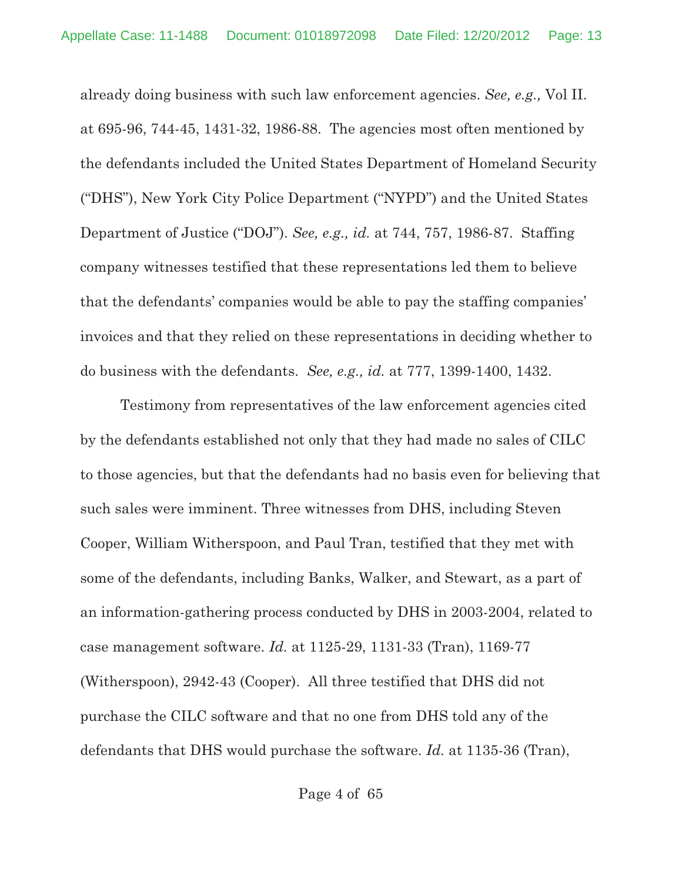already doing business with such law enforcement agencies. *See, e.g.,* Vol II. at 695-96, 744-45, 1431-32, 1986-88. The agencies most often mentioned by the defendants included the United States Department of Homeland Security ("DHS"), New York City Police Department ("NYPD") and the United States Department of Justice ("DOJ"). *See, e.g., id.* at 744, 757, 1986-87. Staffing company witnesses testified that these representations led them to believe that the defendants' companies would be able to pay the staffing companies' invoices and that they relied on these representations in deciding whether to do business with the defendants. *See, e.g., id.* at 777, 1399-1400, 1432.

Testimony from representatives of the law enforcement agencies cited by the defendants established not only that they had made no sales of CILC to those agencies, but that the defendants had no basis even for believing that such sales were imminent. Three witnesses from DHS, including Steven Cooper, William Witherspoon, and Paul Tran, testified that they met with some of the defendants, including Banks, Walker, and Stewart, as a part of an information-gathering process conducted by DHS in 2003-2004, related to case management software. *Id.* at 1125-29, 1131-33 (Tran), 1169-77 (Witherspoon), 2942-43 (Cooper). All three testified that DHS did not purchase the CILC software and that no one from DHS told any of the defendants that DHS would purchase the software. *Id.* at 1135-36 (Tran),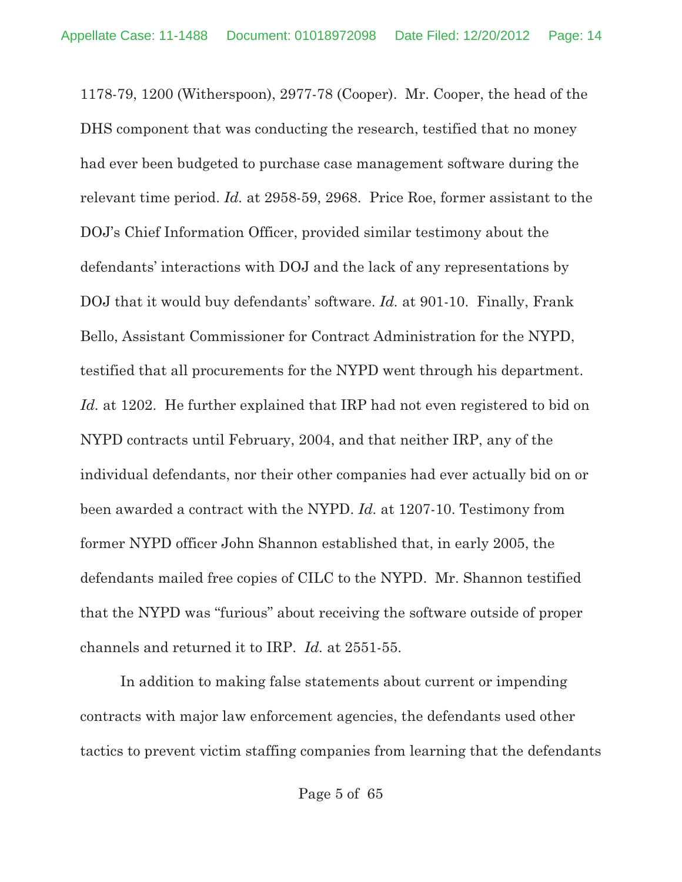1178-79, 1200 (Witherspoon), 2977-78 (Cooper). Mr. Cooper, the head of the DHS component that was conducting the research, testified that no money had ever been budgeted to purchase case management software during the relevant time period. *Id.* at 2958-59, 2968. Price Roe, former assistant to the DOJ's Chief Information Officer, provided similar testimony about the defendants' interactions with DOJ and the lack of any representations by DOJ that it would buy defendants' software. *Id.* at 901-10. Finally, Frank Bello, Assistant Commissioner for Contract Administration for the NYPD, testified that all procurements for the NYPD went through his department. *Id.* at 1202. He further explained that IRP had not even registered to bid on NYPD contracts until February, 2004, and that neither IRP, any of the individual defendants, nor their other companies had ever actually bid on or been awarded a contract with the NYPD. *Id.* at 1207-10. Testimony from former NYPD officer John Shannon established that, in early 2005, the defendants mailed free copies of CILC to the NYPD. Mr. Shannon testified that the NYPD was "furious" about receiving the software outside of proper channels and returned it to IRP. *Id.* at 2551-55.

In addition to making false statements about current or impending contracts with major law enforcement agencies, the defendants used other tactics to prevent victim staffing companies from learning that the defendants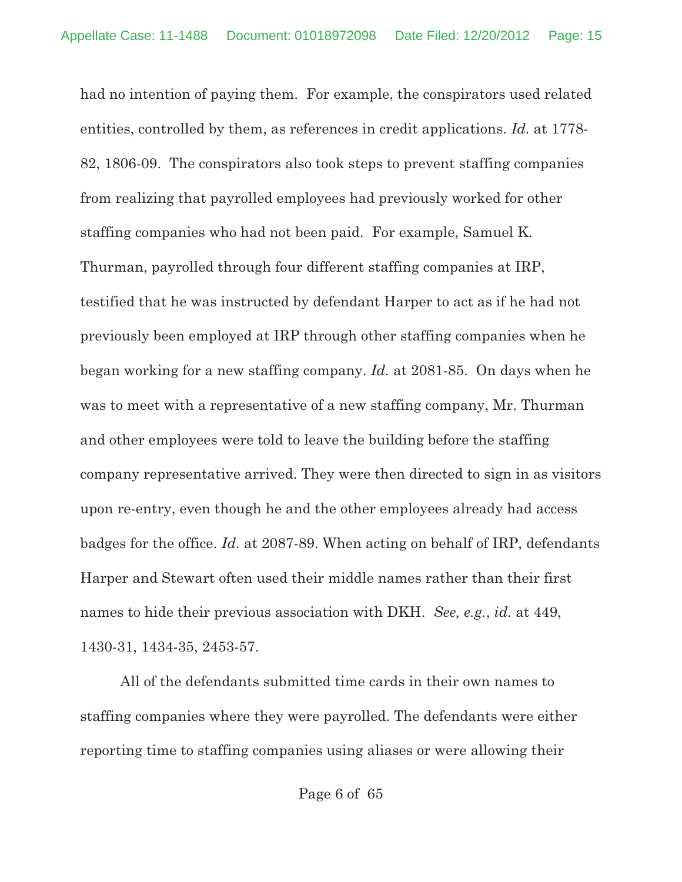had no intention of paying them. For example, the conspirators used related entities, controlled by them, as references in credit applications. *Id.* at 1778- 82, 1806-09. The conspirators also took steps to prevent staffing companies from realizing that payrolled employees had previously worked for other staffing companies who had not been paid. For example, Samuel K. Thurman, payrolled through four different staffing companies at IRP, testified that he was instructed by defendant Harper to act as if he had not previously been employed at IRP through other staffing companies when he began working for a new staffing company. *Id.* at 2081-85. On days when he was to meet with a representative of a new staffing company, Mr. Thurman and other employees were told to leave the building before the staffing company representative arrived. They were then directed to sign in as visitors upon re-entry, even though he and the other employees already had access badges for the office. *Id.* at 2087-89. When acting on behalf of IRP, defendants Harper and Stewart often used their middle names rather than their first names to hide their previous association with DKH. *See, e.g.*, *id.* at 449, 1430-31, 1434-35, 2453-57.

All of the defendants submitted time cards in their own names to staffing companies where they were payrolled. The defendants were either reporting time to staffing companies using aliases or were allowing their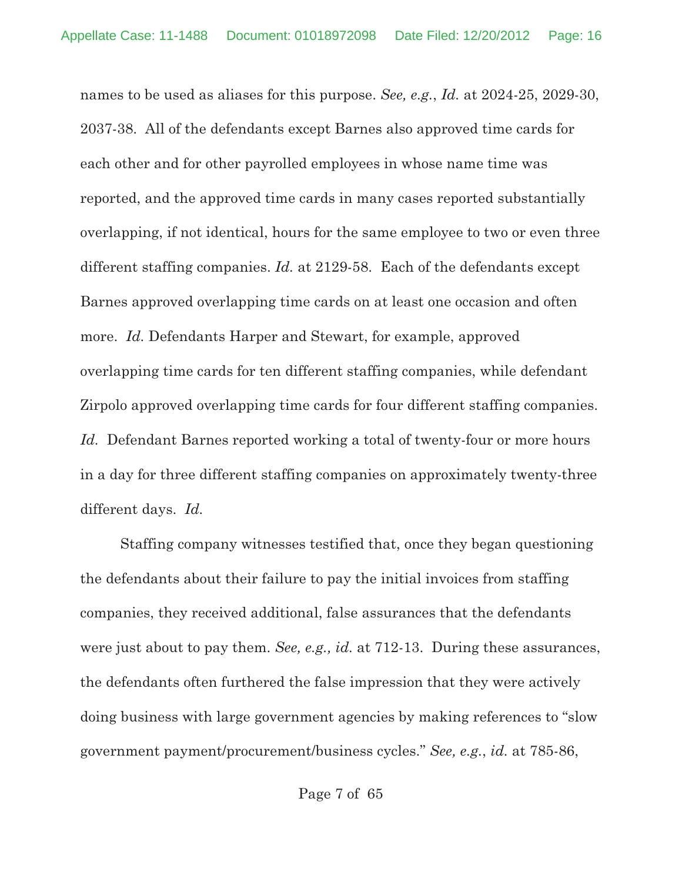names to be used as aliases for this purpose. *See, e.g.*, *Id.* at 2024-25, 2029-30, 2037-38. All of the defendants except Barnes also approved time cards for each other and for other payrolled employees in whose name time was reported, and the approved time cards in many cases reported substantially overlapping, if not identical, hours for the same employee to two or even three different staffing companies. *Id.* at 2129-58. Each of the defendants except Barnes approved overlapping time cards on at least one occasion and often more. *Id.* Defendants Harper and Stewart, for example, approved overlapping time cards for ten different staffing companies, while defendant Zirpolo approved overlapping time cards for four different staffing companies. *Id.* Defendant Barnes reported working a total of twenty-four or more hours in a day for three different staffing companies on approximately twenty-three different days. *Id.*

Staffing company witnesses testified that, once they began questioning the defendants about their failure to pay the initial invoices from staffing companies, they received additional, false assurances that the defendants were just about to pay them. *See, e.g., id.* at 712-13. During these assurances, the defendants often furthered the false impression that they were actively doing business with large government agencies by making references to "slow government payment/procurement/business cycles." *See, e.g.*, *id.* at 785-86,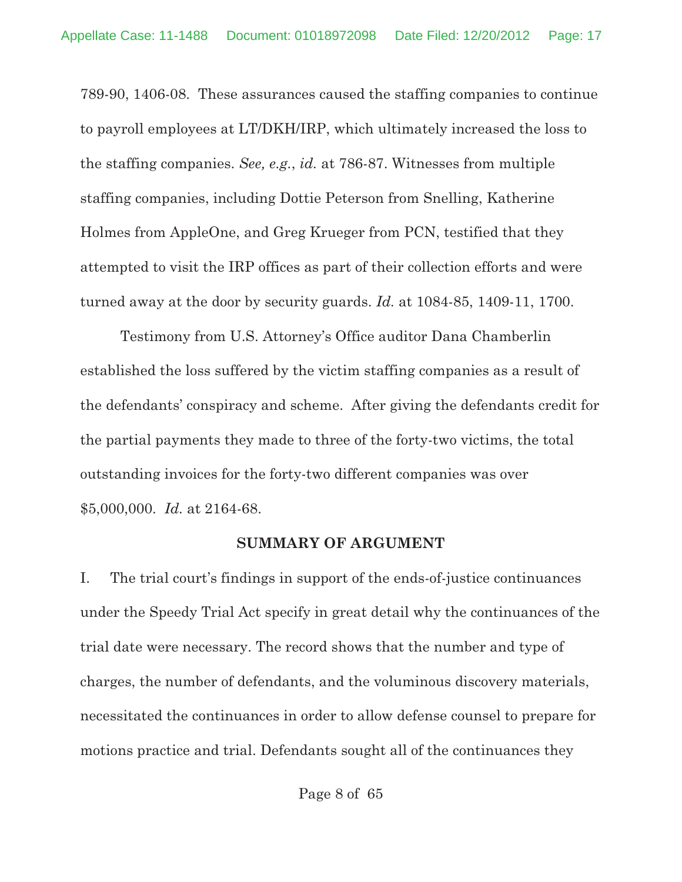789-90, 1406-08. These assurances caused the staffing companies to continue to payroll employees at LT/DKH/IRP, which ultimately increased the loss to the staffing companies. *See, e.g.*, *id.* at 786-87. Witnesses from multiple staffing companies, including Dottie Peterson from Snelling, Katherine Holmes from AppleOne, and Greg Krueger from PCN, testified that they attempted to visit the IRP offices as part of their collection efforts and were turned away at the door by security guards. *Id.* at 1084-85, 1409-11, 1700.

Testimony from U.S. Attorney's Office auditor Dana Chamberlin established the loss suffered by the victim staffing companies as a result of the defendants' conspiracy and scheme. After giving the defendants credit for the partial payments they made to three of the forty-two victims, the total outstanding invoices for the forty-two different companies was over \$5,000,000. *Id.* at 2164-68.

#### **SUMMARY OF ARGUMENT**

I. The trial court's findings in support of the ends-of-justice continuances under the Speedy Trial Act specify in great detail why the continuances of the trial date were necessary. The record shows that the number and type of charges, the number of defendants, and the voluminous discovery materials, necessitated the continuances in order to allow defense counsel to prepare for motions practice and trial. Defendants sought all of the continuances they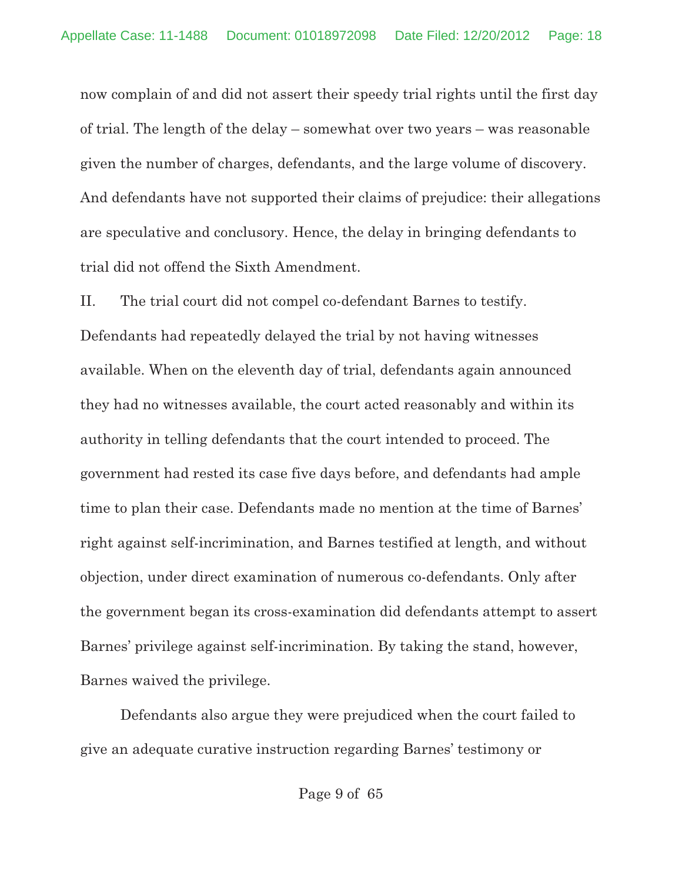now complain of and did not assert their speedy trial rights until the first day of trial. The length of the delay – somewhat over two years – was reasonable given the number of charges, defendants, and the large volume of discovery. And defendants have not supported their claims of prejudice: their allegations are speculative and conclusory. Hence, the delay in bringing defendants to trial did not offend the Sixth Amendment.

II. The trial court did not compel co-defendant Barnes to testify. Defendants had repeatedly delayed the trial by not having witnesses available. When on the eleventh day of trial, defendants again announced they had no witnesses available, the court acted reasonably and within its authority in telling defendants that the court intended to proceed. The government had rested its case five days before, and defendants had ample time to plan their case. Defendants made no mention at the time of Barnes' right against self-incrimination, and Barnes testified at length, and without objection, under direct examination of numerous co-defendants. Only after the government began its cross-examination did defendants attempt to assert Barnes' privilege against self-incrimination. By taking the stand, however, Barnes waived the privilege.

Defendants also argue they were prejudiced when the court failed to give an adequate curative instruction regarding Barnes' testimony or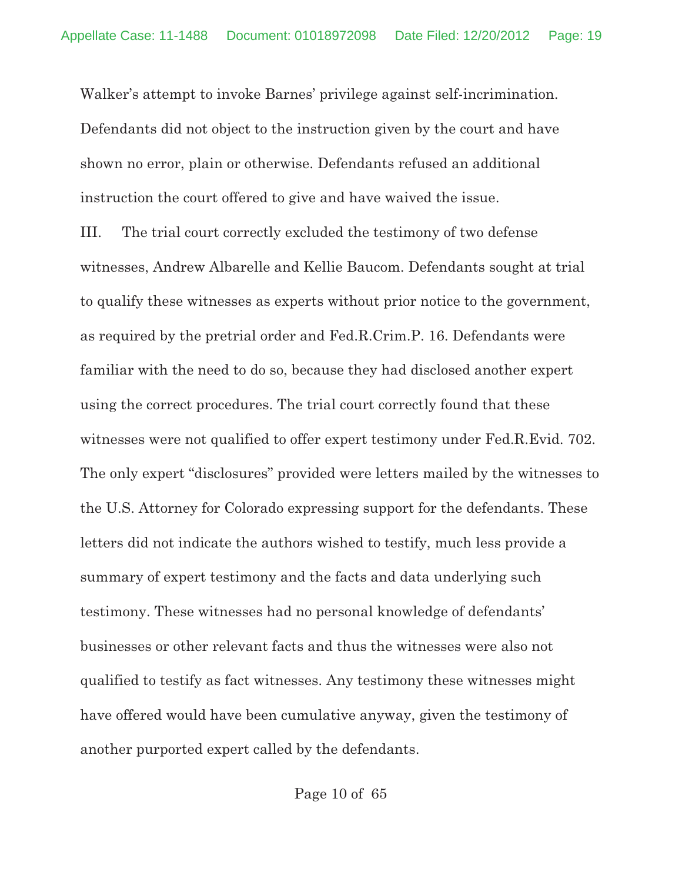Walker's attempt to invoke Barnes' privilege against self-incrimination. Defendants did not object to the instruction given by the court and have shown no error, plain or otherwise. Defendants refused an additional instruction the court offered to give and have waived the issue.

III. The trial court correctly excluded the testimony of two defense witnesses, Andrew Albarelle and Kellie Baucom. Defendants sought at trial to qualify these witnesses as experts without prior notice to the government, as required by the pretrial order and Fed.R.Crim.P. 16. Defendants were familiar with the need to do so, because they had disclosed another expert using the correct procedures. The trial court correctly found that these witnesses were not qualified to offer expert testimony under Fed.R.Evid. 702. The only expert "disclosures" provided were letters mailed by the witnesses to the U.S. Attorney for Colorado expressing support for the defendants. These letters did not indicate the authors wished to testify, much less provide a summary of expert testimony and the facts and data underlying such testimony. These witnesses had no personal knowledge of defendants' businesses or other relevant facts and thus the witnesses were also not qualified to testify as fact witnesses. Any testimony these witnesses might have offered would have been cumulative anyway, given the testimony of another purported expert called by the defendants.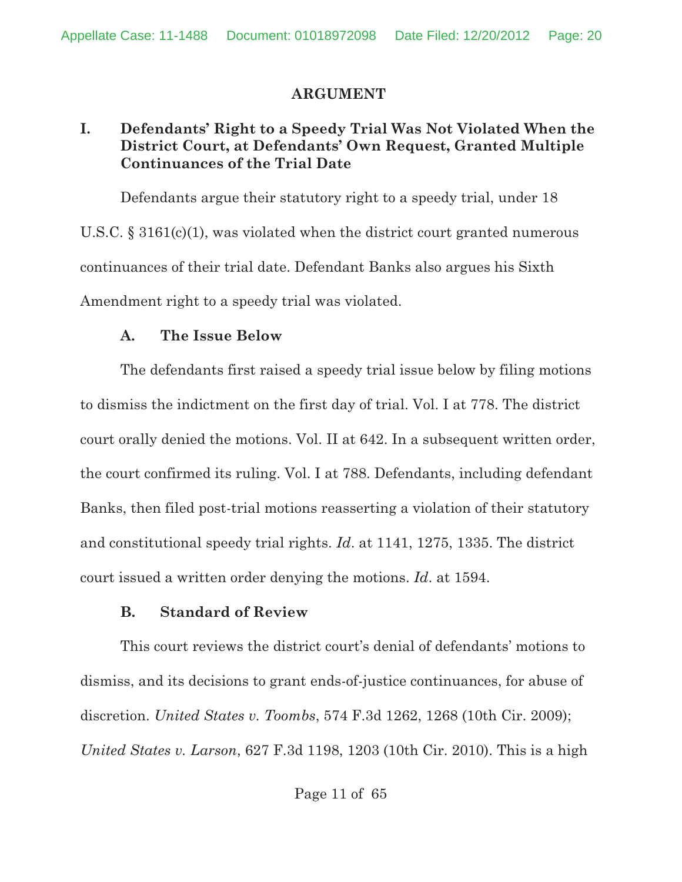# **ARGUMENT**

# **I. Defendants' Right to a Speedy Trial Was Not Violated When the District Court, at Defendants' Own Request, Granted Multiple Continuances of the Trial Date**

Defendants argue their statutory right to a speedy trial, under 18 U.S.C.  $\S 3161(c)(1)$ , was violated when the district court granted numerous continuances of their trial date. Defendant Banks also argues his Sixth Amendment right to a speedy trial was violated.

# **A. The Issue Below**

The defendants first raised a speedy trial issue below by filing motions to dismiss the indictment on the first day of trial. Vol. I at 778. The district court orally denied the motions. Vol. II at 642. In a subsequent written order, the court confirmed its ruling. Vol. I at 788. Defendants, including defendant Banks, then filed post-trial motions reasserting a violation of their statutory and constitutional speedy trial rights. *Id*. at 1141, 1275, 1335. The district court issued a written order denying the motions. *Id*. at 1594.

# **B. Standard of Review**

This court reviews the district court's denial of defendants' motions to dismiss, and its decisions to grant ends-of-justice continuances, for abuse of discretion. *United States v. Toombs*, 574 F.3d 1262, 1268 (10th Cir. 2009); *United States v. Larson*, 627 F.3d 1198, 1203 (10th Cir. 2010). This is a high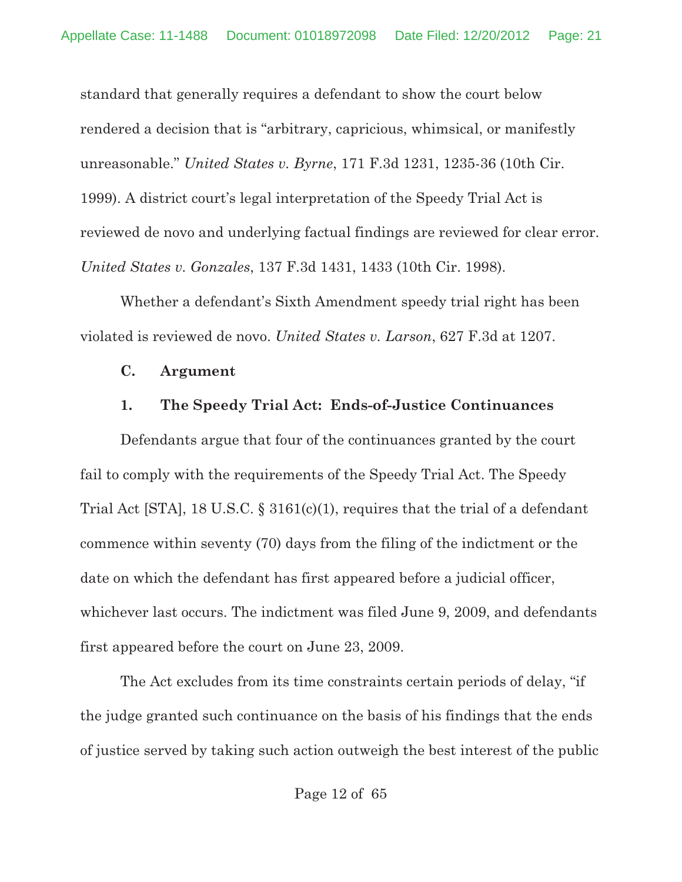standard that generally requires a defendant to show the court below rendered a decision that is "arbitrary, capricious, whimsical, or manifestly unreasonable." *United States v. Byrne*, 171 F.3d 1231, 1235-36 (10th Cir. 1999). A district court's legal interpretation of the Speedy Trial Act is reviewed de novo and underlying factual findings are reviewed for clear error. *United States v. Gonzales*, 137 F.3d 1431, 1433 (10th Cir. 1998).

Whether a defendant's Sixth Amendment speedy trial right has been violated is reviewed de novo. *United States v. Larson*, 627 F.3d at 1207.

#### **C. Argument**

#### **1. The Speedy Trial Act: Ends-of-Justice Continuances**

Defendants argue that four of the continuances granted by the court fail to comply with the requirements of the Speedy Trial Act. The Speedy Trial Act [STA], 18 U.S.C. § 3161(c)(1), requires that the trial of a defendant commence within seventy (70) days from the filing of the indictment or the date on which the defendant has first appeared before a judicial officer, whichever last occurs. The indictment was filed June 9, 2009, and defendants first appeared before the court on June 23, 2009.

The Act excludes from its time constraints certain periods of delay, "if the judge granted such continuance on the basis of his findings that the ends of justice served by taking such action outweigh the best interest of the public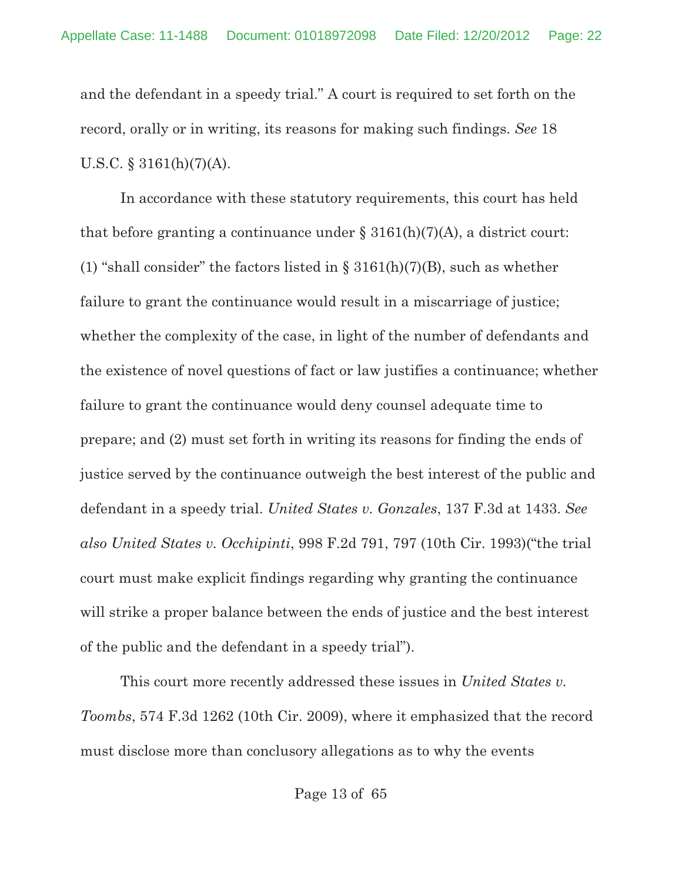and the defendant in a speedy trial." A court is required to set forth on the record, orally or in writing, its reasons for making such findings. *See* 18 U.S.C.  $\S$  3161(h)(7)(A).

In accordance with these statutory requirements, this court has held that before granting a continuance under  $\S 3161(h)(7)(A)$ , a district court: (1) "shall consider" the factors listed in  $\S 3161(h)(7)(B)$ , such as whether failure to grant the continuance would result in a miscarriage of justice; whether the complexity of the case, in light of the number of defendants and the existence of novel questions of fact or law justifies a continuance; whether failure to grant the continuance would deny counsel adequate time to prepare; and (2) must set forth in writing its reasons for finding the ends of justice served by the continuance outweigh the best interest of the public and defendant in a speedy trial. *United States v. Gonzales*, 137 F.3d at 1433. *See also United States v. Occhipinti*, 998 F.2d 791, 797 (10th Cir. 1993)("the trial court must make explicit findings regarding why granting the continuance will strike a proper balance between the ends of justice and the best interest of the public and the defendant in a speedy trial").

This court more recently addressed these issues in *United States v. Toombs*, 574 F.3d 1262 (10th Cir. 2009), where it emphasized that the record must disclose more than conclusory allegations as to why the events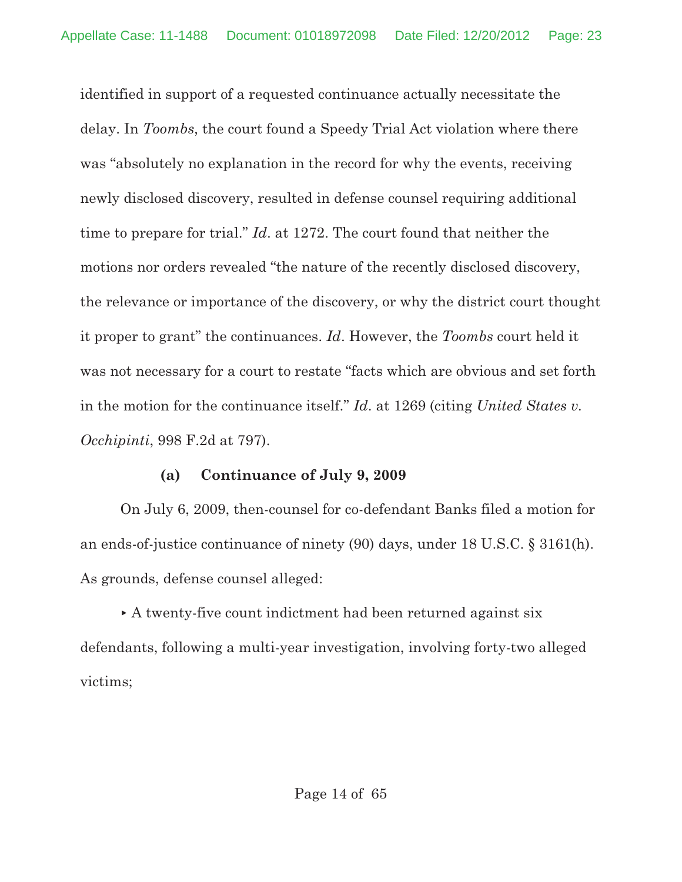identified in support of a requested continuance actually necessitate the delay. In *Toombs*, the court found a Speedy Trial Act violation where there was "absolutely no explanation in the record for why the events, receiving newly disclosed discovery, resulted in defense counsel requiring additional time to prepare for trial." *Id*. at 1272. The court found that neither the motions nor orders revealed "the nature of the recently disclosed discovery, the relevance or importance of the discovery, or why the district court thought it proper to grant" the continuances. *Id*. However, the *Toombs* court held it was not necessary for a court to restate "facts which are obvious and set forth in the motion for the continuance itself." *Id*. at 1269 (citing *United States v. Occhipinti*, 998 F.2d at 797).

#### **(a) Continuance of July 9, 2009**

On July 6, 2009, then-counsel for co-defendant Banks filed a motion for an ends-of-justice continuance of ninety (90) days, under 18 U.S.C. § 3161(h). As grounds, defense counsel alleged:

 A twenty-five count indictment had been returned against six defendants, following a multi-year investigation, involving forty-two alleged victims;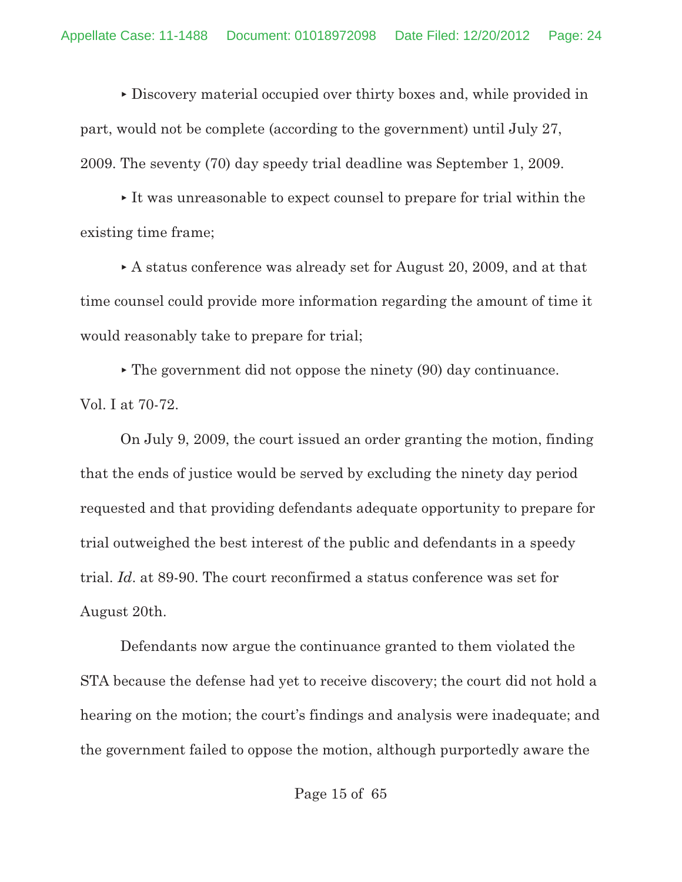Discovery material occupied over thirty boxes and, while provided in part, would not be complete (according to the government) until July 27, 2009. The seventy (70) day speedy trial deadline was September 1, 2009.

 It was unreasonable to expect counsel to prepare for trial within the existing time frame;

 A status conference was already set for August 20, 2009, and at that time counsel could provide more information regarding the amount of time it would reasonably take to prepare for trial;

 $\blacktriangleright$  The government did not oppose the ninety (90) day continuance. Vol. I at 70-72.

On July 9, 2009, the court issued an order granting the motion, finding that the ends of justice would be served by excluding the ninety day period requested and that providing defendants adequate opportunity to prepare for trial outweighed the best interest of the public and defendants in a speedy trial. *Id*. at 89-90. The court reconfirmed a status conference was set for August 20th.

Defendants now argue the continuance granted to them violated the STA because the defense had yet to receive discovery; the court did not hold a hearing on the motion; the court's findings and analysis were inadequate; and the government failed to oppose the motion, although purportedly aware the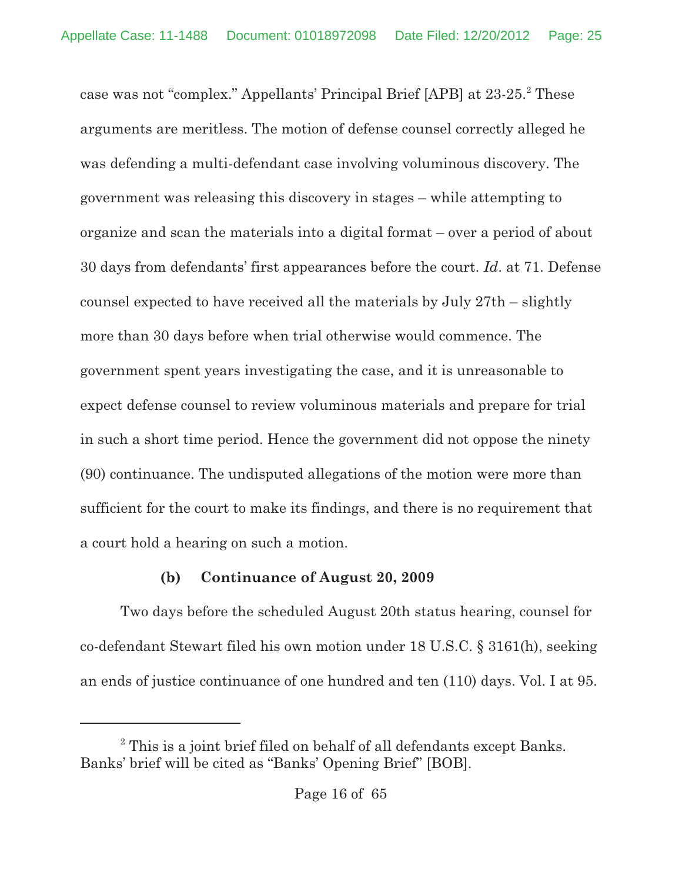case was not "complex." Appellants' Principal Brief [APB] at 23-25. These <sup>2</sup> arguments are meritless. The motion of defense counsel correctly alleged he was defending a multi-defendant case involving voluminous discovery. The government was releasing this discovery in stages – while attempting to organize and scan the materials into a digital format – over a period of about 30 days from defendants' first appearances before the court. *Id*. at 71. Defense counsel expected to have received all the materials by July 27th – slightly more than 30 days before when trial otherwise would commence. The government spent years investigating the case, and it is unreasonable to expect defense counsel to review voluminous materials and prepare for trial in such a short time period. Hence the government did not oppose the ninety (90) continuance. The undisputed allegations of the motion were more than sufficient for the court to make its findings, and there is no requirement that a court hold a hearing on such a motion.

# **(b) Continuance of August 20, 2009**

Two days before the scheduled August 20th status hearing, counsel for co-defendant Stewart filed his own motion under 18 U.S.C. § 3161(h), seeking an ends of justice continuance of one hundred and ten (110) days. Vol. I at 95.

 $2$  This is a joint brief filed on behalf of all defendants except Banks. Banks' brief will be cited as "Banks' Opening Brief" [BOB].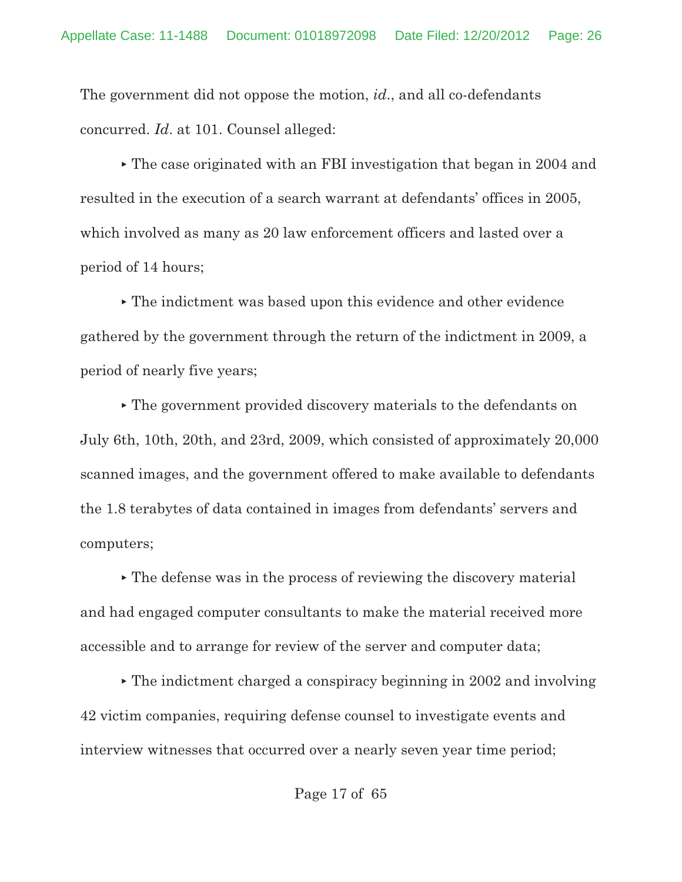The government did not oppose the motion, *id*., and all co-defendants concurred. *Id*. at 101. Counsel alleged:

 The case originated with an FBI investigation that began in 2004 and resulted in the execution of a search warrant at defendants' offices in 2005, which involved as many as 20 law enforcement officers and lasted over a period of 14 hours;

 The indictment was based upon this evidence and other evidence gathered by the government through the return of the indictment in 2009, a period of nearly five years;

 The government provided discovery materials to the defendants on July 6th, 10th, 20th, and 23rd, 2009, which consisted of approximately 20,000 scanned images, and the government offered to make available to defendants the 1.8 terabytes of data contained in images from defendants' servers and computers;

 The defense was in the process of reviewing the discovery material and had engaged computer consultants to make the material received more accessible and to arrange for review of the server and computer data;

 The indictment charged a conspiracy beginning in 2002 and involving 42 victim companies, requiring defense counsel to investigate events and interview witnesses that occurred over a nearly seven year time period;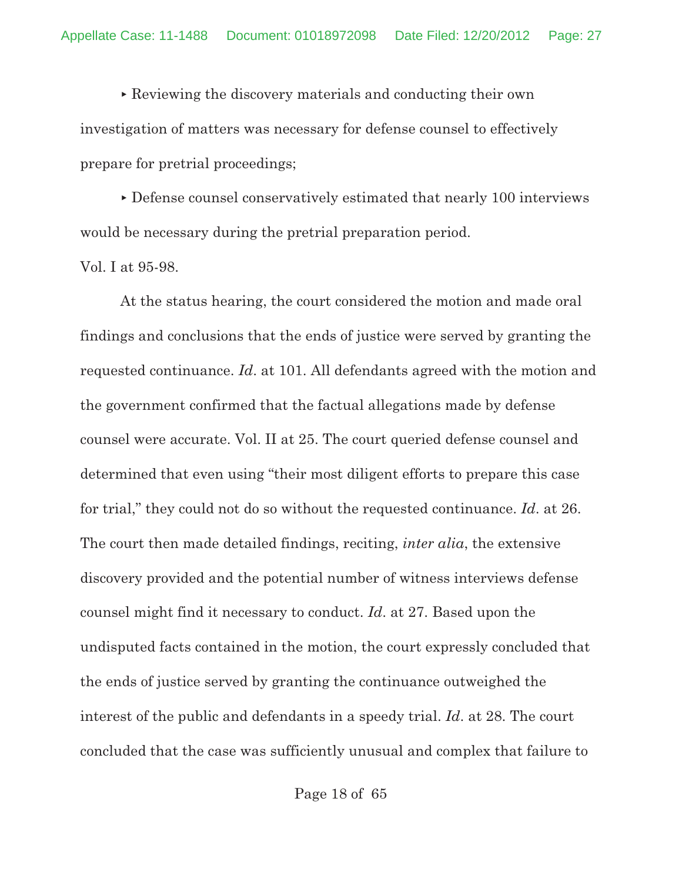Reviewing the discovery materials and conducting their own investigation of matters was necessary for defense counsel to effectively prepare for pretrial proceedings;

 Defense counsel conservatively estimated that nearly 100 interviews would be necessary during the pretrial preparation period.

```
Vol. I at 95-98.
```
At the status hearing, the court considered the motion and made oral findings and conclusions that the ends of justice were served by granting the requested continuance. *Id*. at 101. All defendants agreed with the motion and the government confirmed that the factual allegations made by defense counsel were accurate. Vol. II at 25. The court queried defense counsel and determined that even using "their most diligent efforts to prepare this case for trial," they could not do so without the requested continuance. *Id*. at 26. The court then made detailed findings, reciting, *inter alia*, the extensive discovery provided and the potential number of witness interviews defense counsel might find it necessary to conduct. *Id*. at 27. Based upon the undisputed facts contained in the motion, the court expressly concluded that the ends of justice served by granting the continuance outweighed the interest of the public and defendants in a speedy trial. *Id*. at 28. The court concluded that the case was sufficiently unusual and complex that failure to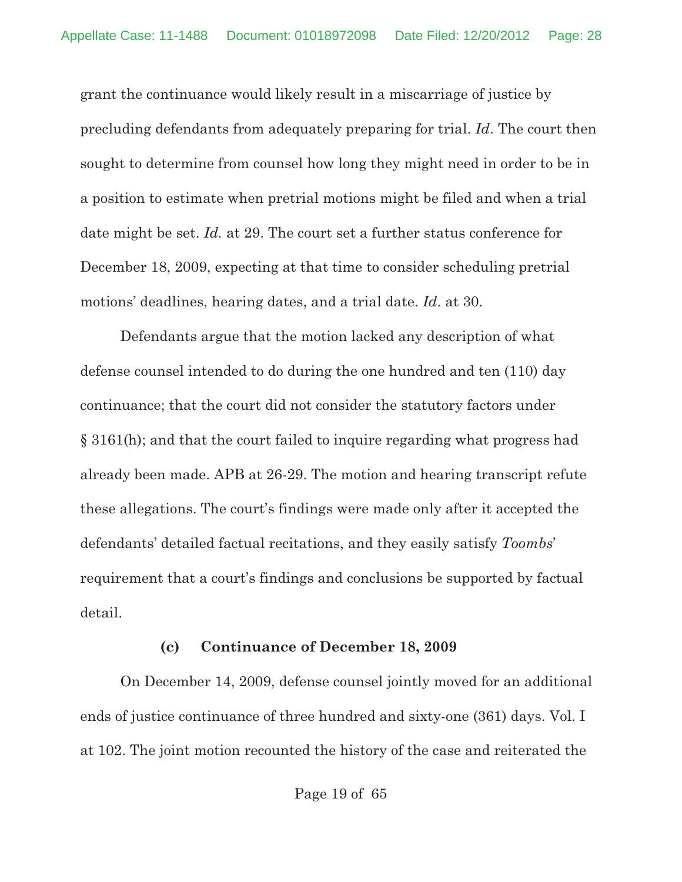grant the continuance would likely result in a miscarriage of justice by precluding defendants from adequately preparing for trial. *Id*. The court then sought to determine from counsel how long they might need in order to be in a position to estimate when pretrial motions might be filed and when a trial date might be set. *Id.* at 29. The court set a further status conference for December 18, 2009, expecting at that time to consider scheduling pretrial motions' deadlines, hearing dates, and a trial date. *Id*. at 30.

Defendants argue that the motion lacked any description of what defense counsel intended to do during the one hundred and ten (110) day continuance; that the court did not consider the statutory factors under § 3161(h); and that the court failed to inquire regarding what progress had already been made. APB at 26-29. The motion and hearing transcript refute these allegations. The court's findings were made only after it accepted the defendants' detailed factual recitations, and they easily satisfy *Toombs*' requirement that a court's findings and conclusions be supported by factual detail.

#### **(c) Continuance of December 18, 2009**

On December 14, 2009, defense counsel jointly moved for an additional ends of justice continuance of three hundred and sixty-one (361) days. Vol. I at 102. The joint motion recounted the history of the case and reiterated the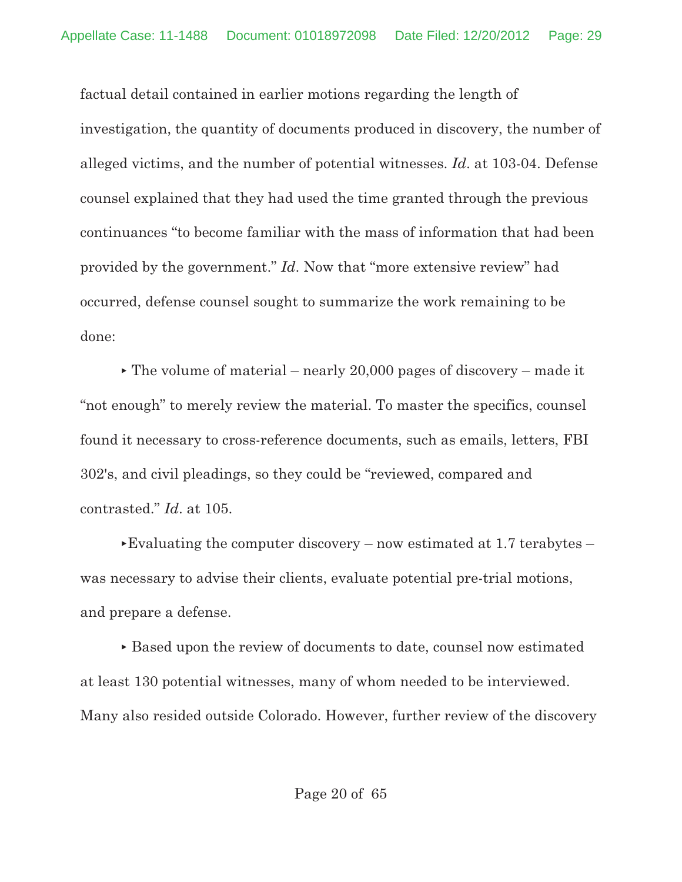factual detail contained in earlier motions regarding the length of investigation, the quantity of documents produced in discovery, the number of alleged victims, and the number of potential witnesses. *Id*. at 103-04. Defense counsel explained that they had used the time granted through the previous continuances "to become familiar with the mass of information that had been provided by the government." *Id*. Now that "more extensive review" had occurred, defense counsel sought to summarize the work remaining to be done:

 $\triangleright$  The volume of material – nearly 20,000 pages of discovery – made it "not enough" to merely review the material. To master the specifics, counsel found it necessary to cross-reference documents, such as emails, letters, FBI 302's, and civil pleadings, so they could be "reviewed, compared and contrasted." *Id*. at 105.

Evaluating the computer discovery – now estimated at 1.7 terabytes – was necessary to advise their clients, evaluate potential pre-trial motions, and prepare a defense.

 Based upon the review of documents to date, counsel now estimated at least 130 potential witnesses, many of whom needed to be interviewed. Many also resided outside Colorado. However, further review of the discovery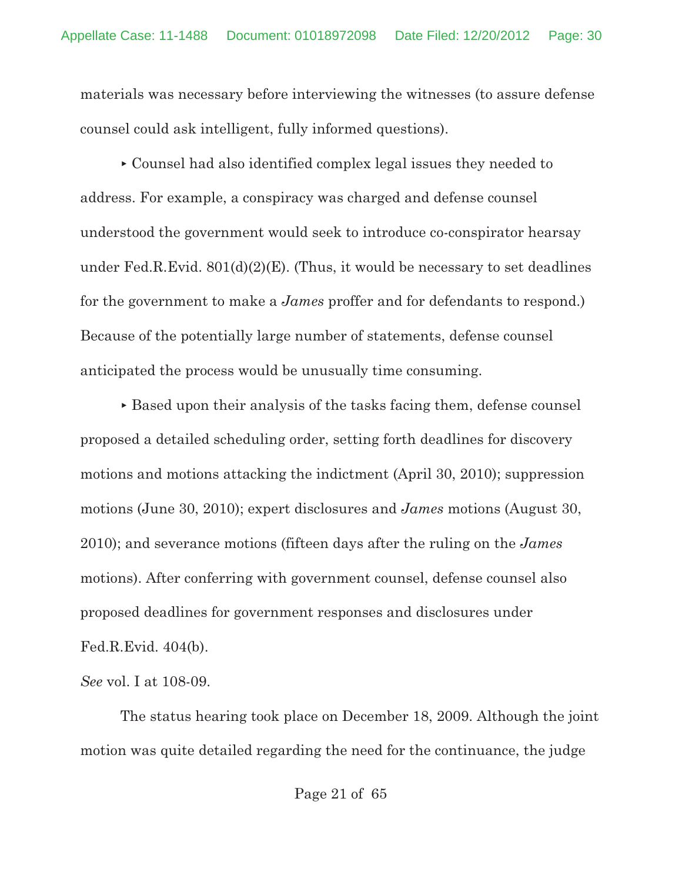materials was necessary before interviewing the witnesses (to assure defense counsel could ask intelligent, fully informed questions).

 Counsel had also identified complex legal issues they needed to address. For example, a conspiracy was charged and defense counsel understood the government would seek to introduce co-conspirator hearsay under Fed.R.Evid.  $801(d)(2)(E)$ . (Thus, it would be necessary to set deadlines for the government to make a *James* proffer and for defendants to respond.) Because of the potentially large number of statements, defense counsel anticipated the process would be unusually time consuming.

 $\triangleright$  Based upon their analysis of the tasks facing them, defense counsel proposed a detailed scheduling order, setting forth deadlines for discovery motions and motions attacking the indictment (April 30, 2010); suppression motions (June 30, 2010); expert disclosures and *James* motions (August 30, 2010); and severance motions (fifteen days after the ruling on the *James* motions). After conferring with government counsel, defense counsel also proposed deadlines for government responses and disclosures under Fed.R.Evid. 404(b).

*See* vol. I at 108-09.

The status hearing took place on December 18, 2009. Although the joint motion was quite detailed regarding the need for the continuance, the judge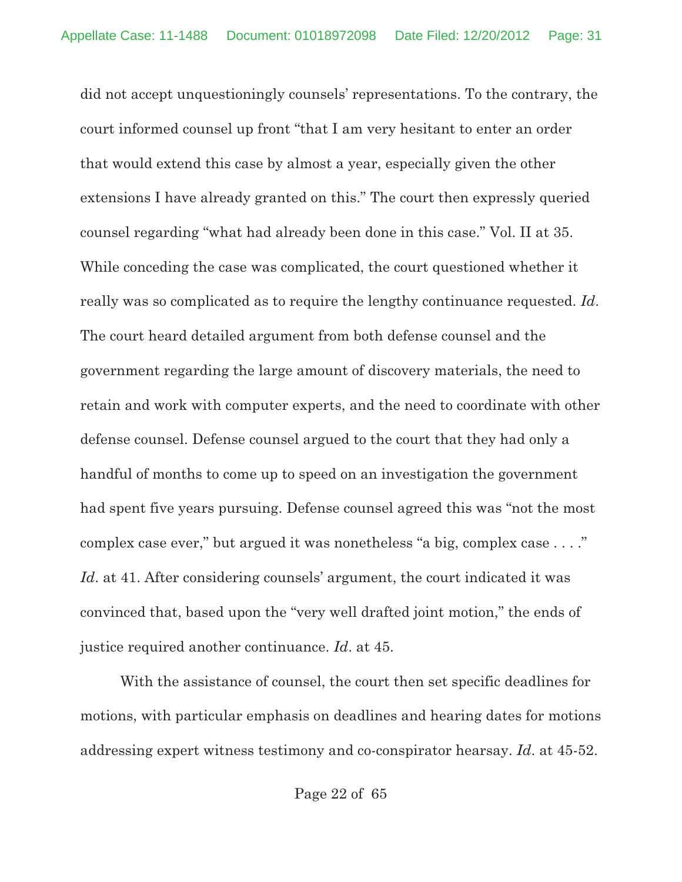did not accept unquestioningly counsels' representations. To the contrary, the court informed counsel up front "that I am very hesitant to enter an order that would extend this case by almost a year, especially given the other extensions I have already granted on this." The court then expressly queried counsel regarding "what had already been done in this case." Vol. II at 35. While conceding the case was complicated, the court questioned whether it really was so complicated as to require the lengthy continuance requested. *Id*. The court heard detailed argument from both defense counsel and the government regarding the large amount of discovery materials, the need to retain and work with computer experts, and the need to coordinate with other defense counsel. Defense counsel argued to the court that they had only a handful of months to come up to speed on an investigation the government had spent five years pursuing. Defense counsel agreed this was "not the most complex case ever," but argued it was nonetheless "a big, complex case . . . ." Id. at 41. After considering counsels' argument, the court indicated it was convinced that, based upon the "very well drafted joint motion," the ends of justice required another continuance. *Id*. at 45.

With the assistance of counsel, the court then set specific deadlines for motions, with particular emphasis on deadlines and hearing dates for motions addressing expert witness testimony and co-conspirator hearsay. *Id*. at 45-52.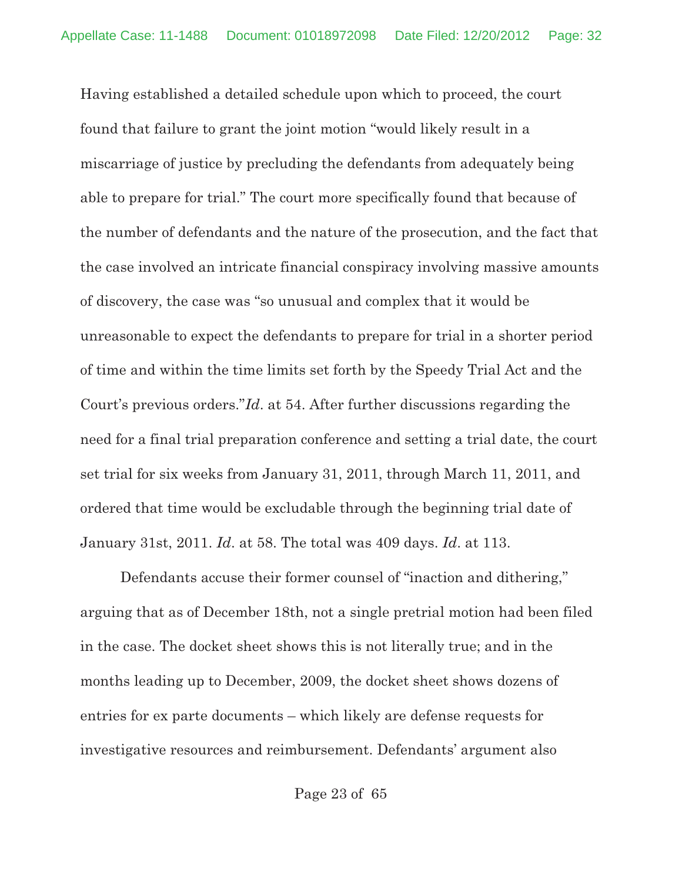Having established a detailed schedule upon which to proceed, the court found that failure to grant the joint motion "would likely result in a miscarriage of justice by precluding the defendants from adequately being able to prepare for trial." The court more specifically found that because of the number of defendants and the nature of the prosecution, and the fact that the case involved an intricate financial conspiracy involving massive amounts of discovery, the case was "so unusual and complex that it would be unreasonable to expect the defendants to prepare for trial in a shorter period of time and within the time limits set forth by the Speedy Trial Act and the Court's previous orders."*Id*. at 54. After further discussions regarding the need for a final trial preparation conference and setting a trial date, the court set trial for six weeks from January 31, 2011, through March 11, 2011, and ordered that time would be excludable through the beginning trial date of January 31st, 2011. *Id*. at 58. The total was 409 days. *Id*. at 113.

Defendants accuse their former counsel of "inaction and dithering," arguing that as of December 18th, not a single pretrial motion had been filed in the case. The docket sheet shows this is not literally true; and in the months leading up to December, 2009, the docket sheet shows dozens of entries for ex parte documents – which likely are defense requests for investigative resources and reimbursement. Defendants' argument also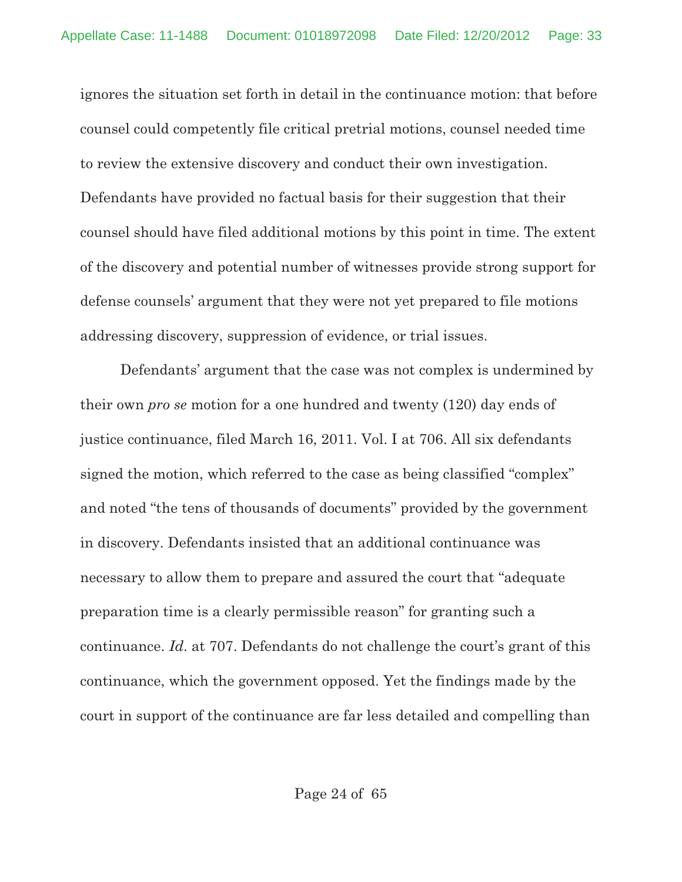ignores the situation set forth in detail in the continuance motion: that before counsel could competently file critical pretrial motions, counsel needed time to review the extensive discovery and conduct their own investigation. Defendants have provided no factual basis for their suggestion that their counsel should have filed additional motions by this point in time. The extent of the discovery and potential number of witnesses provide strong support for defense counsels' argument that they were not yet prepared to file motions addressing discovery, suppression of evidence, or trial issues.

Defendants' argument that the case was not complex is undermined by their own *pro se* motion for a one hundred and twenty (120) day ends of justice continuance, filed March 16, 2011. Vol. I at 706. All six defendants signed the motion, which referred to the case as being classified "complex" and noted "the tens of thousands of documents" provided by the government in discovery. Defendants insisted that an additional continuance was necessary to allow them to prepare and assured the court that "adequate preparation time is a clearly permissible reason" for granting such a continuance. *Id*. at 707. Defendants do not challenge the court's grant of this continuance, which the government opposed. Yet the findings made by the court in support of the continuance are far less detailed and compelling than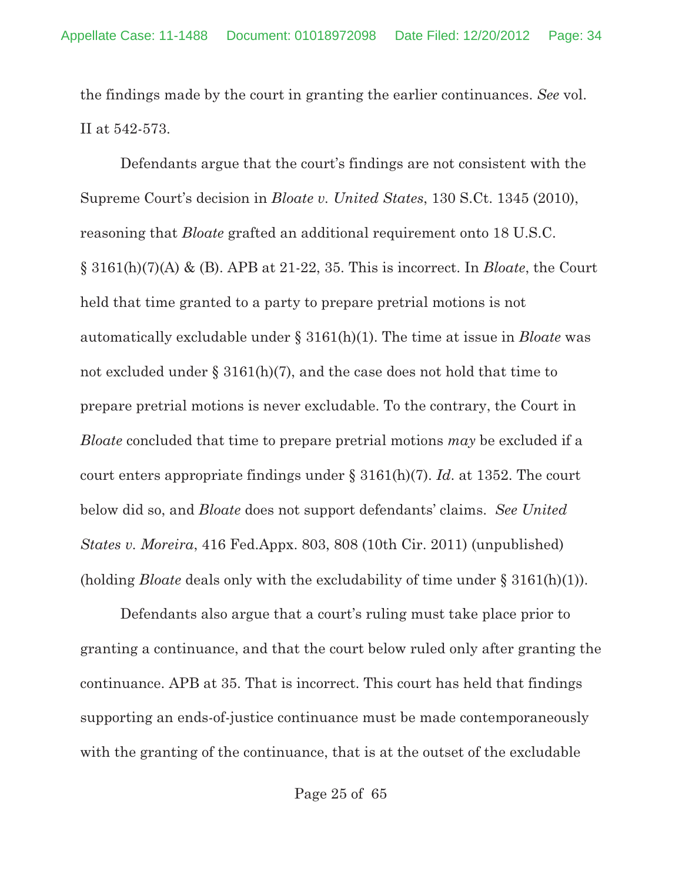the findings made by the court in granting the earlier continuances. *See* vol. II at 542-573.

Defendants argue that the court's findings are not consistent with the Supreme Court's decision in *Bloate v. United States*, 130 S.Ct. 1345 (2010), reasoning that *Bloate* grafted an additional requirement onto 18 U.S.C. § 3161(h)(7)(A) & (B). APB at 21-22, 35. This is incorrect. In *Bloate*, the Court held that time granted to a party to prepare pretrial motions is not automatically excludable under § 3161(h)(1). The time at issue in *Bloate* was not excluded under  $\S 3161(h)(7)$ , and the case does not hold that time to prepare pretrial motions is never excludable. To the contrary, the Court in *Bloate* concluded that time to prepare pretrial motions *may* be excluded if a court enters appropriate findings under § 3161(h)(7). *Id*. at 1352. The court below did so, and *Bloate* does not support defendants' claims. *See United States v. Moreira*, 416 Fed.Appx. 803, 808 (10th Cir. 2011) (unpublished) (holding *Bloate* deals only with the excludability of time under § 3161(h)(1)).

Defendants also argue that a court's ruling must take place prior to granting a continuance, and that the court below ruled only after granting the continuance. APB at 35. That is incorrect. This court has held that findings supporting an ends-of-justice continuance must be made contemporaneously with the granting of the continuance, that is at the outset of the excludable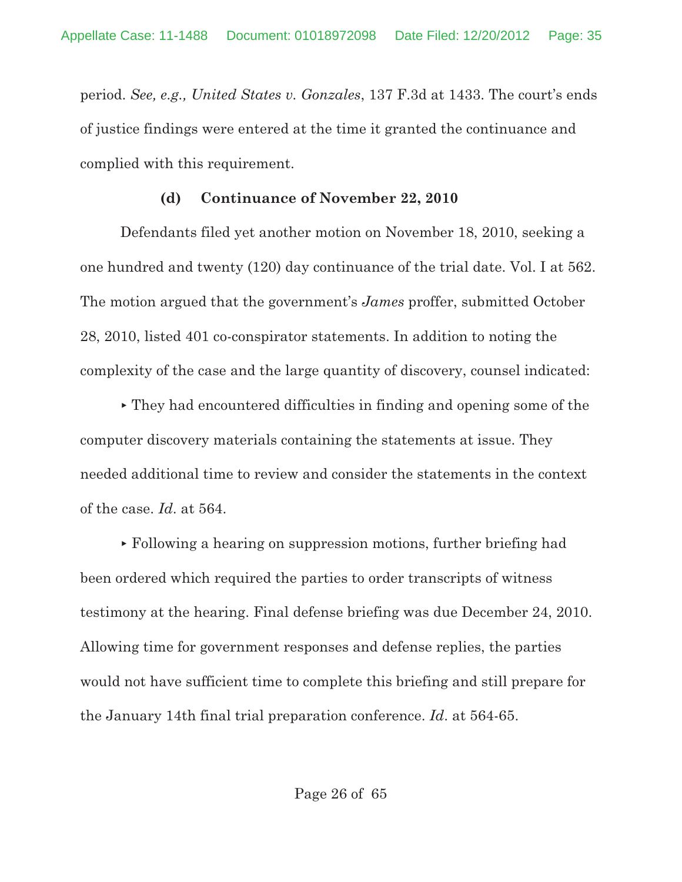period. *See, e.g., United States v. Gonzales*, 137 F.3d at 1433. The court's ends of justice findings were entered at the time it granted the continuance and complied with this requirement.

#### **(d) Continuance of November 22, 2010**

Defendants filed yet another motion on November 18, 2010, seeking a one hundred and twenty (120) day continuance of the trial date. Vol. I at 562. The motion argued that the government's *James* proffer, submitted October 28, 2010, listed 401 co-conspirator statements. In addition to noting the complexity of the case and the large quantity of discovery, counsel indicated:

 They had encountered difficulties in finding and opening some of the computer discovery materials containing the statements at issue. They needed additional time to review and consider the statements in the context of the case. *Id*. at 564.

 Following a hearing on suppression motions, further briefing had been ordered which required the parties to order transcripts of witness testimony at the hearing. Final defense briefing was due December 24, 2010. Allowing time for government responses and defense replies, the parties would not have sufficient time to complete this briefing and still prepare for the January 14th final trial preparation conference. *Id*. at 564-65.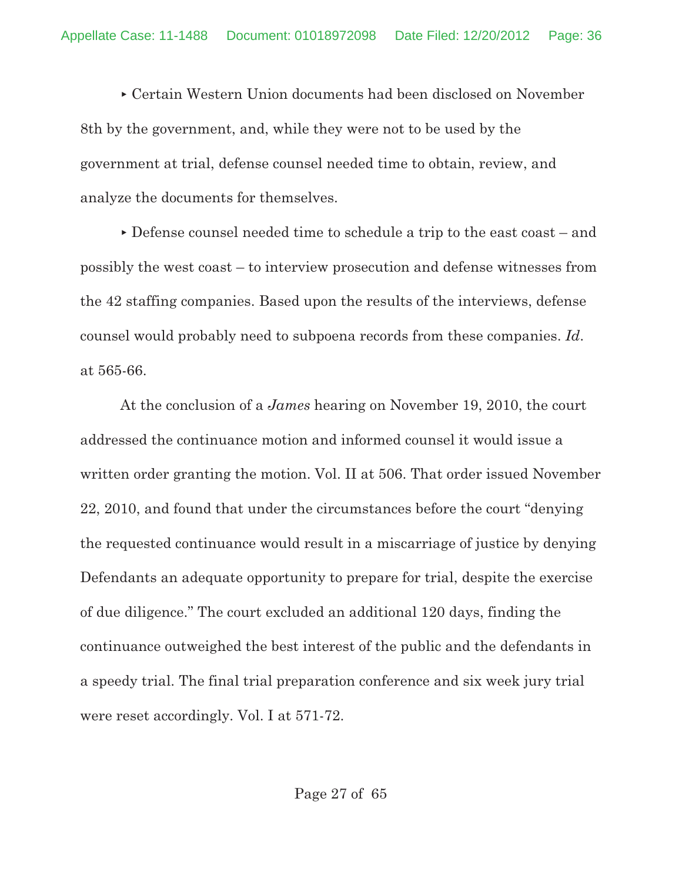Certain Western Union documents had been disclosed on November 8th by the government, and, while they were not to be used by the government at trial, defense counsel needed time to obtain, review, and analyze the documents for themselves.

 Defense counsel needed time to schedule a trip to the east coast – and possibly the west coast – to interview prosecution and defense witnesses from the 42 staffing companies. Based upon the results of the interviews, defense counsel would probably need to subpoena records from these companies. *Id*. at 565-66.

At the conclusion of a *James* hearing on November 19, 2010, the court addressed the continuance motion and informed counsel it would issue a written order granting the motion. Vol. II at 506. That order issued November 22, 2010, and found that under the circumstances before the court "denying the requested continuance would result in a miscarriage of justice by denying Defendants an adequate opportunity to prepare for trial, despite the exercise of due diligence." The court excluded an additional 120 days, finding the continuance outweighed the best interest of the public and the defendants in a speedy trial. The final trial preparation conference and six week jury trial were reset accordingly. Vol. I at 571-72.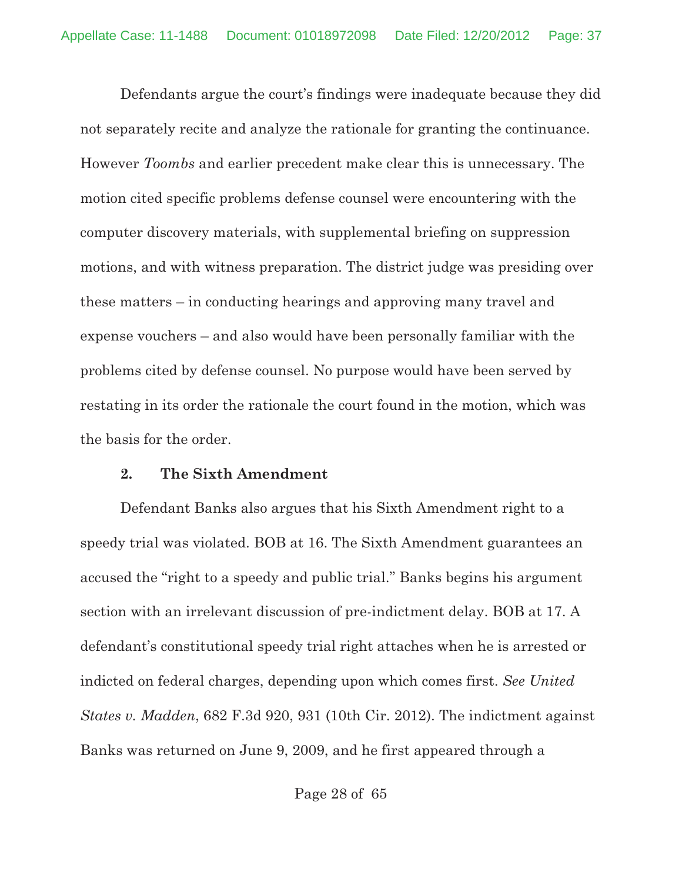Defendants argue the court's findings were inadequate because they did not separately recite and analyze the rationale for granting the continuance. However *Toombs* and earlier precedent make clear this is unnecessary. The motion cited specific problems defense counsel were encountering with the computer discovery materials, with supplemental briefing on suppression motions, and with witness preparation. The district judge was presiding over these matters – in conducting hearings and approving many travel and expense vouchers – and also would have been personally familiar with the problems cited by defense counsel. No purpose would have been served by restating in its order the rationale the court found in the motion, which was the basis for the order.

#### **2. The Sixth Amendment**

Defendant Banks also argues that his Sixth Amendment right to a speedy trial was violated. BOB at 16. The Sixth Amendment guarantees an accused the "right to a speedy and public trial." Banks begins his argument section with an irrelevant discussion of pre-indictment delay. BOB at 17. A defendant's constitutional speedy trial right attaches when he is arrested or indicted on federal charges, depending upon which comes first. *See United States v. Madden*, 682 F.3d 920, 931 (10th Cir. 2012). The indictment against Banks was returned on June 9, 2009, and he first appeared through a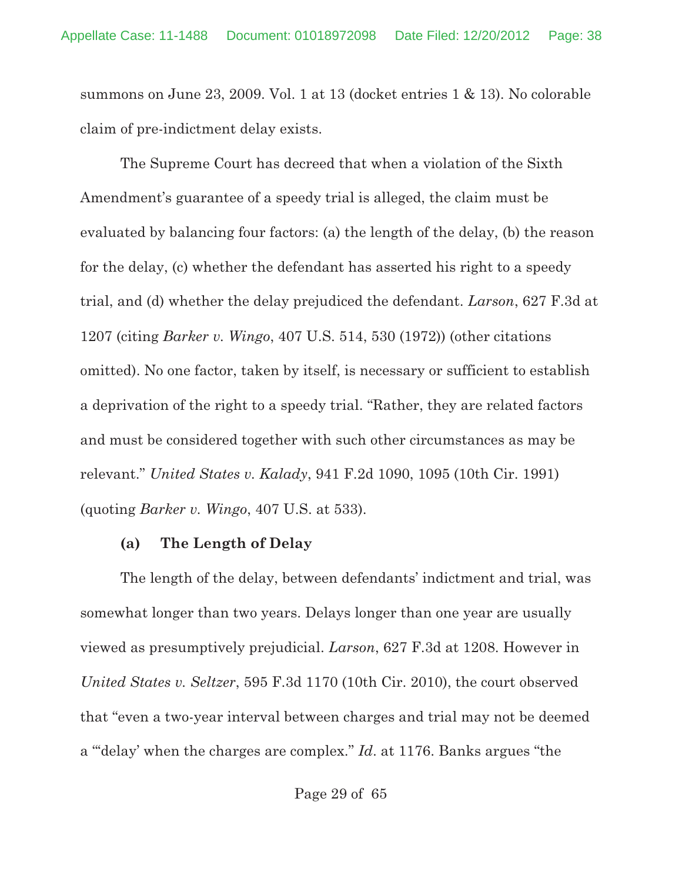summons on June 23, 2009. Vol. 1 at 13 (docket entries 1 & 13). No colorable claim of pre-indictment delay exists.

The Supreme Court has decreed that when a violation of the Sixth Amendment's guarantee of a speedy trial is alleged, the claim must be evaluated by balancing four factors: (a) the length of the delay, (b) the reason for the delay, (c) whether the defendant has asserted his right to a speedy trial, and (d) whether the delay prejudiced the defendant. *Larson*, 627 F.3d at 1207 (citing *Barker v. Wingo*, 407 U.S. 514, 530 (1972)) (other citations omitted). No one factor, taken by itself, is necessary or sufficient to establish a deprivation of the right to a speedy trial. "Rather, they are related factors and must be considered together with such other circumstances as may be relevant." *United States v. Kalady*, 941 F.2d 1090, 1095 (10th Cir. 1991) (quoting *Barker v. Wingo*, 407 U.S. at 533).

#### **(a) The Length of Delay**

The length of the delay, between defendants' indictment and trial, was somewhat longer than two years. Delays longer than one year are usually viewed as presumptively prejudicial. *Larson*, 627 F.3d at 1208. However in *United States v. Seltzer*, 595 F.3d 1170 (10th Cir. 2010), the court observed that "even a two-year interval between charges and trial may not be deemed a "'delay' when the charges are complex." *Id*. at 1176. Banks argues "the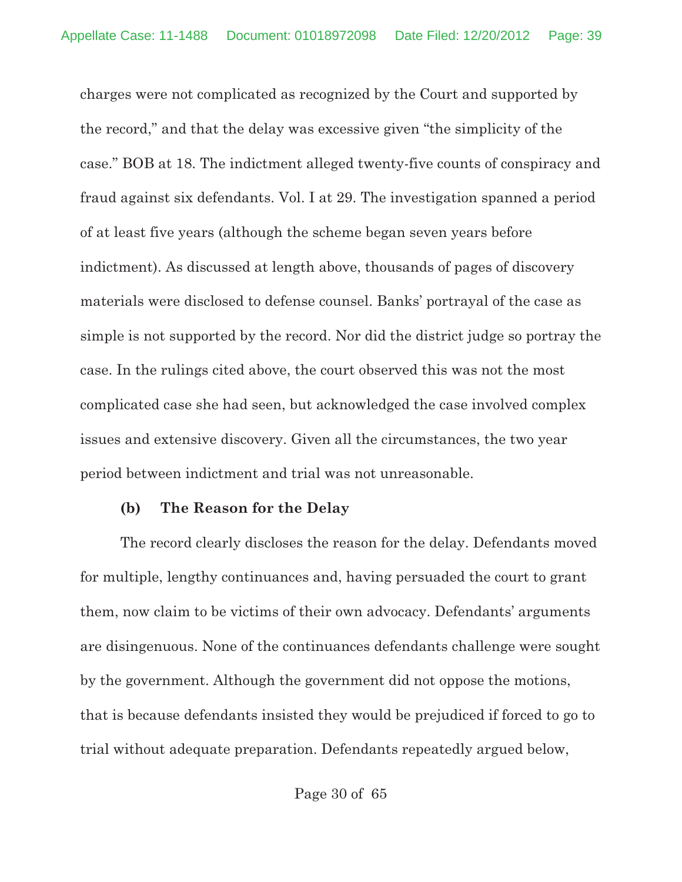charges were not complicated as recognized by the Court and supported by the record," and that the delay was excessive given "the simplicity of the case." BOB at 18. The indictment alleged twenty-five counts of conspiracy and fraud against six defendants. Vol. I at 29. The investigation spanned a period of at least five years (although the scheme began seven years before indictment). As discussed at length above, thousands of pages of discovery materials were disclosed to defense counsel. Banks' portrayal of the case as simple is not supported by the record. Nor did the district judge so portray the case. In the rulings cited above, the court observed this was not the most complicated case she had seen, but acknowledged the case involved complex issues and extensive discovery. Given all the circumstances, the two year period between indictment and trial was not unreasonable.

#### **(b) The Reason for the Delay**

The record clearly discloses the reason for the delay. Defendants moved for multiple, lengthy continuances and, having persuaded the court to grant them, now claim to be victims of their own advocacy. Defendants' arguments are disingenuous. None of the continuances defendants challenge were sought by the government. Although the government did not oppose the motions, that is because defendants insisted they would be prejudiced if forced to go to trial without adequate preparation. Defendants repeatedly argued below,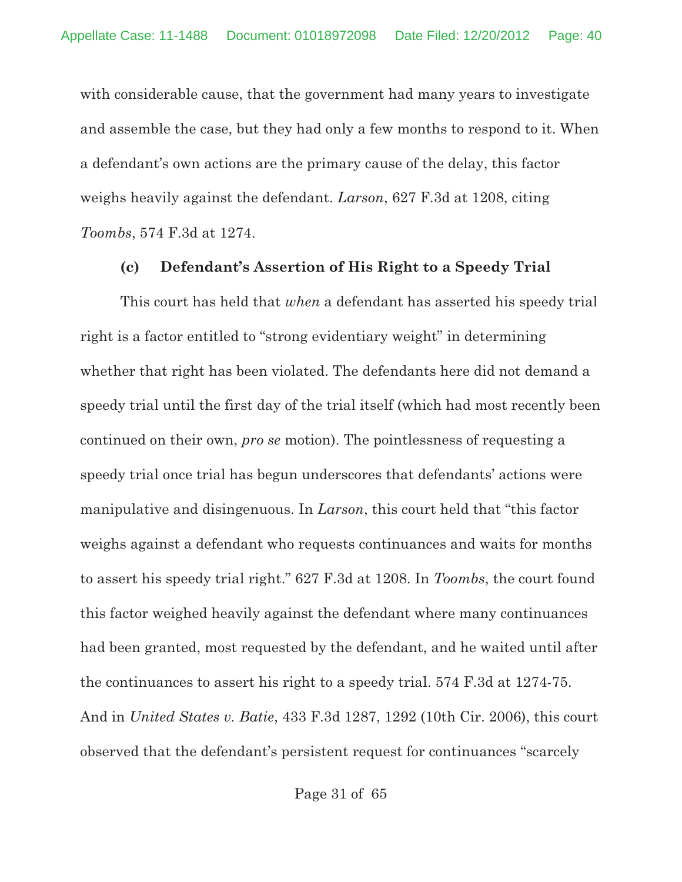with considerable cause, that the government had many years to investigate and assemble the case, but they had only a few months to respond to it. When a defendant's own actions are the primary cause of the delay, this factor weighs heavily against the defendant. *Larson*, 627 F.3d at 1208, citing *Toombs*, 574 F.3d at 1274.

#### **(c) Defendant's Assertion of His Right to a Speedy Trial**

This court has held that *when* a defendant has asserted his speedy trial right is a factor entitled to "strong evidentiary weight" in determining whether that right has been violated. The defendants here did not demand a speedy trial until the first day of the trial itself (which had most recently been continued on their own, *pro se* motion). The pointlessness of requesting a speedy trial once trial has begun underscores that defendants' actions were manipulative and disingenuous. In *Larson*, this court held that "this factor weighs against a defendant who requests continuances and waits for months to assert his speedy trial right." 627 F.3d at 1208. In *Toombs*, the court found this factor weighed heavily against the defendant where many continuances had been granted, most requested by the defendant, and he waited until after the continuances to assert his right to a speedy trial. 574 F.3d at 1274-75. And in *United States v. Batie*, 433 F.3d 1287, 1292 (10th Cir. 2006), this court observed that the defendant's persistent request for continuances "scarcely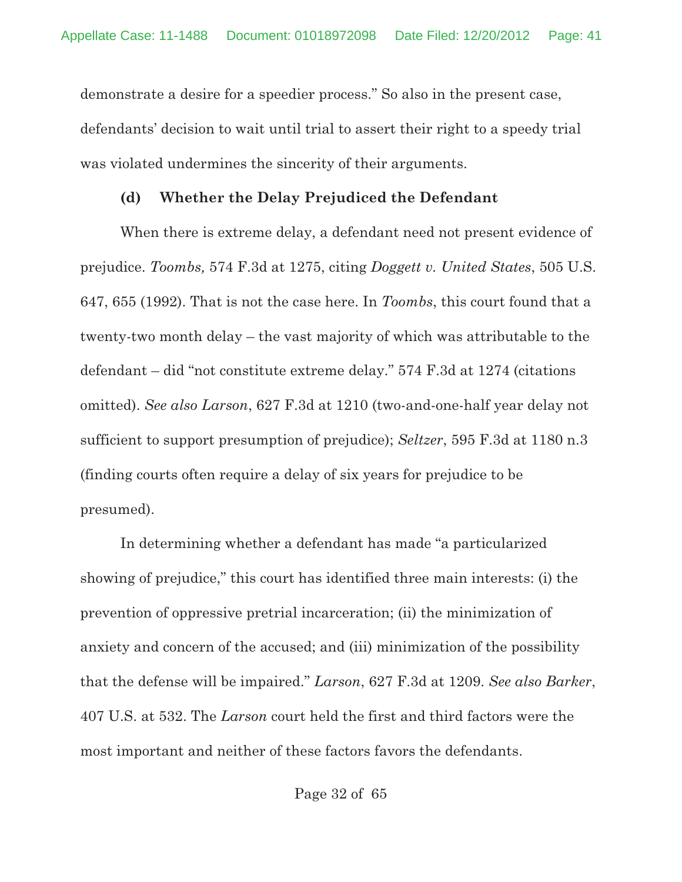demonstrate a desire for a speedier process." So also in the present case, defendants' decision to wait until trial to assert their right to a speedy trial was violated undermines the sincerity of their arguments.

#### **(d) Whether the Delay Prejudiced the Defendant**

When there is extreme delay, a defendant need not present evidence of prejudice. *Toombs,* 574 F.3d at 1275, citing *Doggett v. United States*, 505 U.S. 647, 655 (1992). That is not the case here. In *Toombs*, this court found that a twenty-two month delay – the vast majority of which was attributable to the defendant – did "not constitute extreme delay." 574 F.3d at 1274 (citations omitted). *See also Larson*, 627 F.3d at 1210 (two-and-one-half year delay not sufficient to support presumption of prejudice); *Seltzer*, 595 F.3d at 1180 n.3 (finding courts often require a delay of six years for prejudice to be presumed).

In determining whether a defendant has made "a particularized showing of prejudice," this court has identified three main interests: (i) the prevention of oppressive pretrial incarceration; (ii) the minimization of anxiety and concern of the accused; and (iii) minimization of the possibility that the defense will be impaired." *Larson*, 627 F.3d at 1209. *See also Barker*, 407 U.S. at 532. The *Larson* court held the first and third factors were the most important and neither of these factors favors the defendants.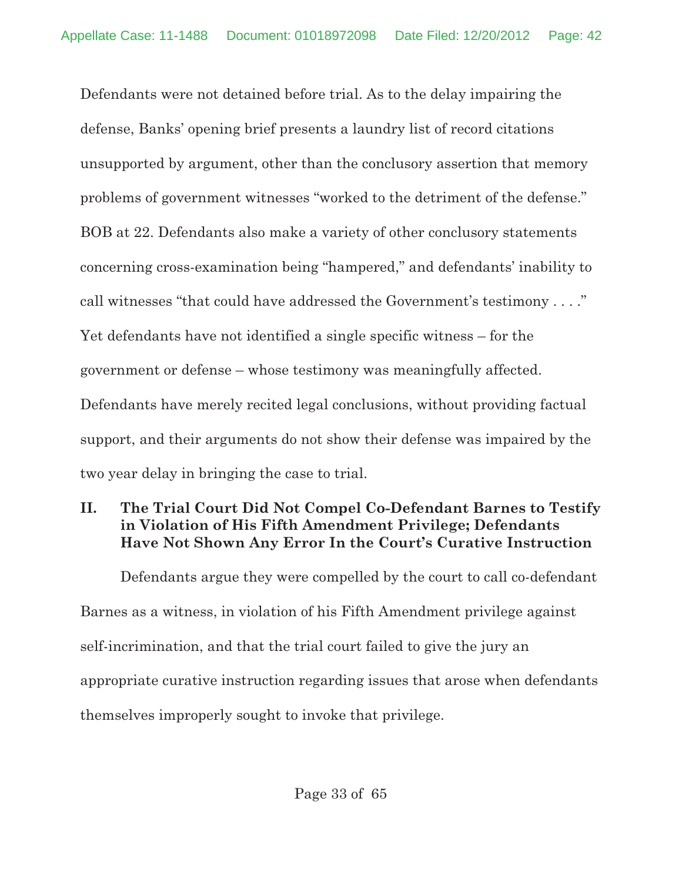Defendants were not detained before trial. As to the delay impairing the defense, Banks' opening brief presents a laundry list of record citations unsupported by argument, other than the conclusory assertion that memory problems of government witnesses "worked to the detriment of the defense." BOB at 22. Defendants also make a variety of other conclusory statements concerning cross-examination being "hampered," and defendants' inability to call witnesses "that could have addressed the Government's testimony . . . ." Yet defendants have not identified a single specific witness – for the government or defense – whose testimony was meaningfully affected. Defendants have merely recited legal conclusions, without providing factual support, and their arguments do not show their defense was impaired by the two year delay in bringing the case to trial.

# **II. The Trial Court Did Not Compel Co-Defendant Barnes to Testify in Violation of His Fifth Amendment Privilege; Defendants Have Not Shown Any Error In the Court's Curative Instruction**

Defendants argue they were compelled by the court to call co-defendant Barnes as a witness, in violation of his Fifth Amendment privilege against self-incrimination, and that the trial court failed to give the jury an appropriate curative instruction regarding issues that arose when defendants themselves improperly sought to invoke that privilege.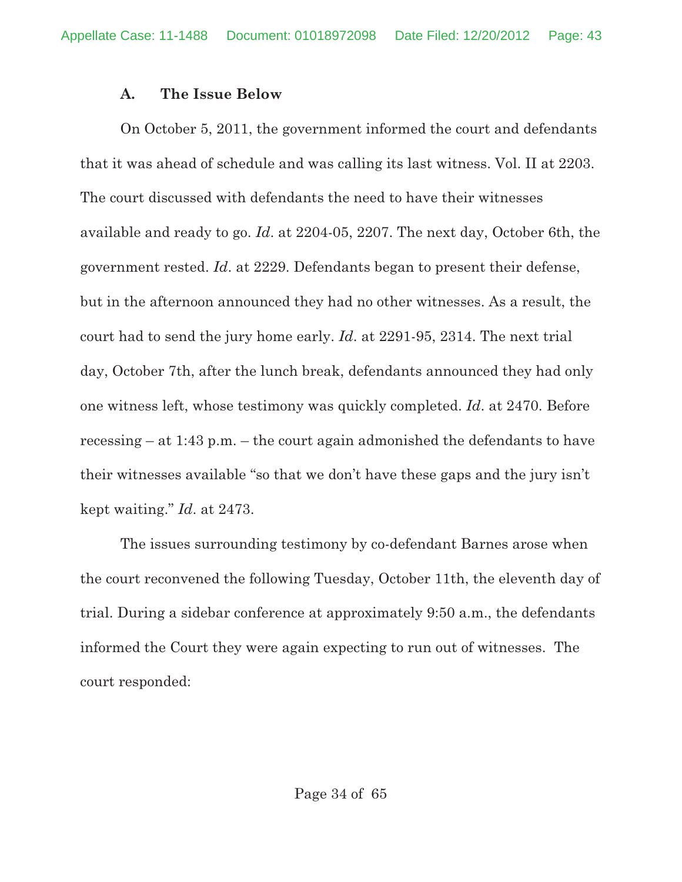## **A. The Issue Below**

On October 5, 2011, the government informed the court and defendants that it was ahead of schedule and was calling its last witness. Vol. II at 2203. The court discussed with defendants the need to have their witnesses available and ready to go. *Id*. at 2204-05, 2207. The next day, October 6th, the government rested. *Id*. at 2229. Defendants began to present their defense, but in the afternoon announced they had no other witnesses. As a result, the court had to send the jury home early. *Id*. at 2291-95, 2314. The next trial day, October 7th, after the lunch break, defendants announced they had only one witness left, whose testimony was quickly completed. *Id*. at 2470. Before recessing – at 1:43 p.m. – the court again admonished the defendants to have their witnesses available "so that we don't have these gaps and the jury isn't kept waiting." *Id*. at 2473.

The issues surrounding testimony by co-defendant Barnes arose when the court reconvened the following Tuesday, October 11th, the eleventh day of trial. During a sidebar conference at approximately 9:50 a.m., the defendants informed the Court they were again expecting to run out of witnesses. The court responded: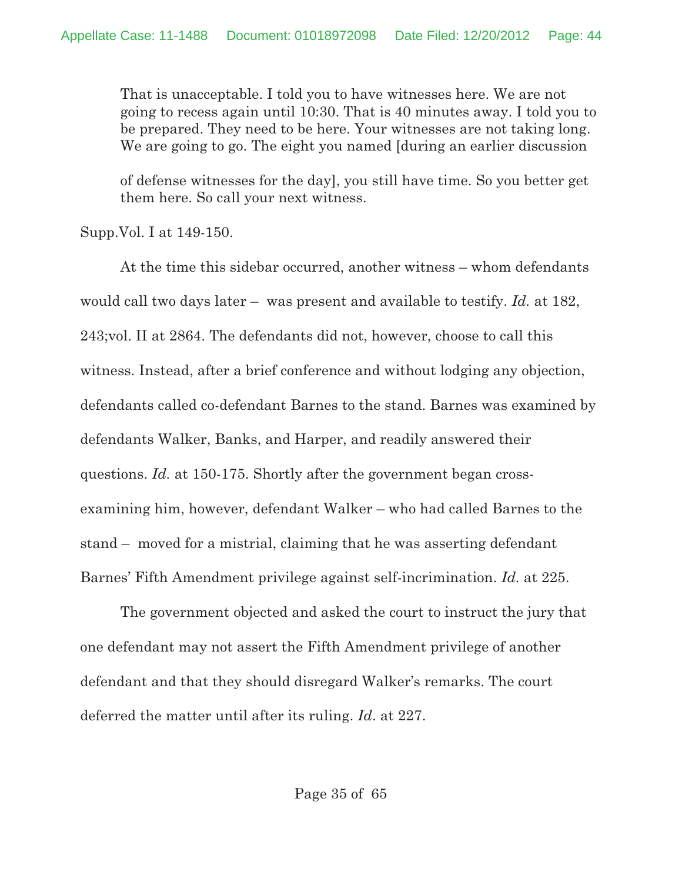That is unacceptable. I told you to have witnesses here. We are not going to recess again until 10:30. That is 40 minutes away. I told you to be prepared. They need to be here. Your witnesses are not taking long. We are going to go. The eight you named [during an earlier discussion

of defense witnesses for the day], you still have time. So you better get them here. So call your next witness.

Supp.Vol. I at 149-150.

At the time this sidebar occurred, another witness – whom defendants would call two days later – was present and available to testify. *Id.* at 182, 243;vol. II at 2864. The defendants did not, however, choose to call this witness. Instead, after a brief conference and without lodging any objection, defendants called co-defendant Barnes to the stand. Barnes was examined by defendants Walker, Banks, and Harper, and readily answered their questions. *Id.* at 150-175. Shortly after the government began crossexamining him, however, defendant Walker – who had called Barnes to the stand – moved for a mistrial, claiming that he was asserting defendant Barnes' Fifth Amendment privilege against self-incrimination. *Id.* at 225.

The government objected and asked the court to instruct the jury that one defendant may not assert the Fifth Amendment privilege of another defendant and that they should disregard Walker's remarks. The court deferred the matter until after its ruling. *Id*. at 227.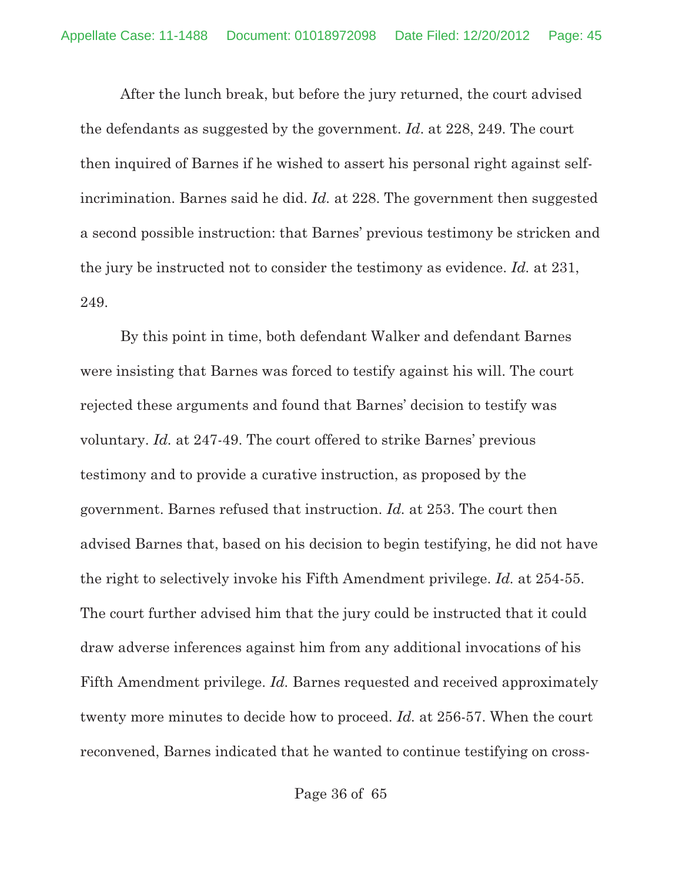After the lunch break, but before the jury returned, the court advised the defendants as suggested by the government. *Id*. at 228, 249. The court then inquired of Barnes if he wished to assert his personal right against selfincrimination. Barnes said he did. *Id.* at 228. The government then suggested a second possible instruction: that Barnes' previous testimony be stricken and the jury be instructed not to consider the testimony as evidence. *Id.* at 231, 249.

By this point in time, both defendant Walker and defendant Barnes were insisting that Barnes was forced to testify against his will. The court rejected these arguments and found that Barnes' decision to testify was voluntary. *Id.* at 247-49. The court offered to strike Barnes' previous testimony and to provide a curative instruction, as proposed by the government. Barnes refused that instruction. *Id.* at 253. The court then advised Barnes that, based on his decision to begin testifying, he did not have the right to selectively invoke his Fifth Amendment privilege. *Id.* at 254-55. The court further advised him that the jury could be instructed that it could draw adverse inferences against him from any additional invocations of his Fifth Amendment privilege. *Id.* Barnes requested and received approximately twenty more minutes to decide how to proceed. *Id.* at 256-57. When the court reconvened, Barnes indicated that he wanted to continue testifying on cross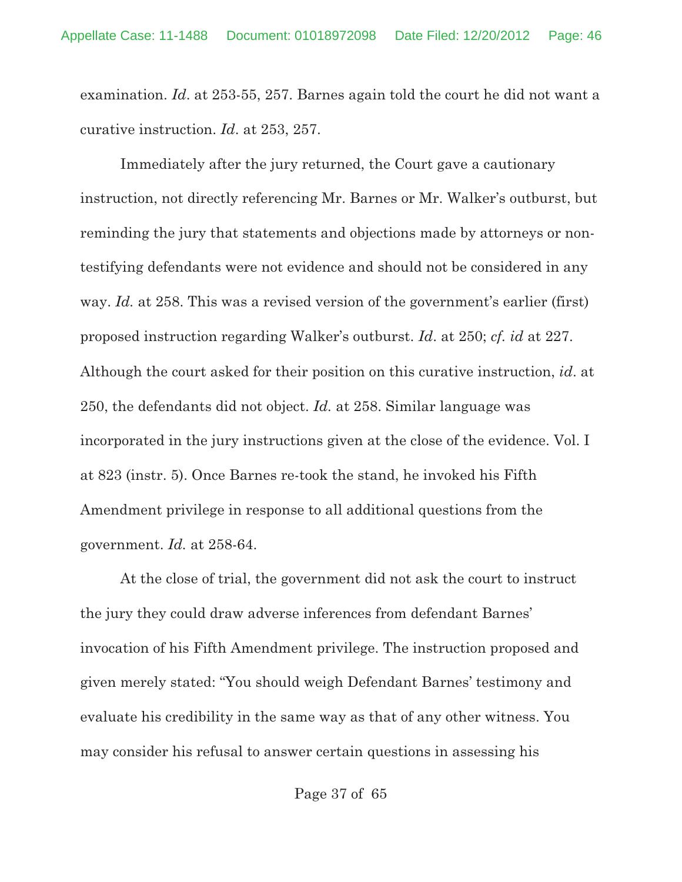examination. *Id*. at 253-55, 257. Barnes again told the court he did not want a curative instruction. *Id*. at 253, 257.

Immediately after the jury returned, the Court gave a cautionary instruction, not directly referencing Mr. Barnes or Mr. Walker's outburst, but reminding the jury that statements and objections made by attorneys or nontestifying defendants were not evidence and should not be considered in any way. *Id.* at 258. This was a revised version of the government's earlier (first) proposed instruction regarding Walker's outburst. *Id*. at 250; *cf. id* at 227. Although the court asked for their position on this curative instruction, *id*. at 250, the defendants did not object. *Id.* at 258. Similar language was incorporated in the jury instructions given at the close of the evidence. Vol. I at 823 (instr. 5). Once Barnes re-took the stand, he invoked his Fifth Amendment privilege in response to all additional questions from the government. *Id.* at 258-64.

At the close of trial, the government did not ask the court to instruct the jury they could draw adverse inferences from defendant Barnes' invocation of his Fifth Amendment privilege. The instruction proposed and given merely stated: "You should weigh Defendant Barnes' testimony and evaluate his credibility in the same way as that of any other witness. You may consider his refusal to answer certain questions in assessing his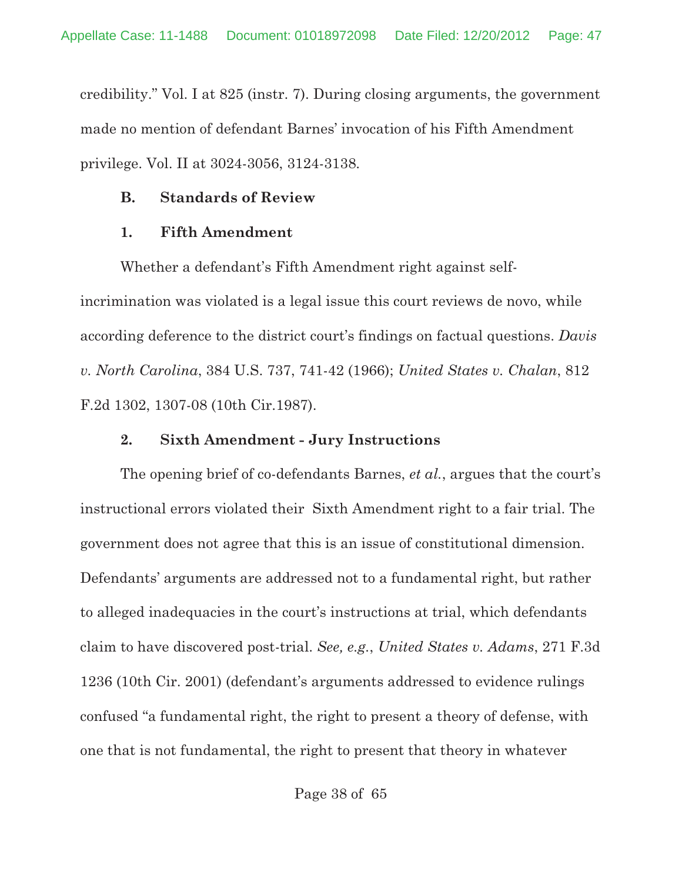credibility." Vol. I at 825 (instr. 7). During closing arguments, the government made no mention of defendant Barnes' invocation of his Fifth Amendment privilege. Vol. II at 3024-3056, 3124-3138.

# **B. Standards of Review**

# **1. Fifth Amendment**

Whether a defendant's Fifth Amendment right against selfincrimination was violated is a legal issue this court reviews de novo, while according deference to the district court's findings on factual questions. *Davis v. North Carolina*, 384 U.S. 737, 741-42 (1966); *United States v. Chalan*, 812 F.2d 1302, 1307-08 (10th Cir.1987).

# **2. Sixth Amendment - Jury Instructions**

The opening brief of co-defendants Barnes, *et al.*, argues that the court's instructional errors violated their Sixth Amendment right to a fair trial. The government does not agree that this is an issue of constitutional dimension. Defendants' arguments are addressed not to a fundamental right, but rather to alleged inadequacies in the court's instructions at trial, which defendants claim to have discovered post-trial. *See, e.g.*, *United States v. Adams*, 271 F.3d 1236 (10th Cir. 2001) (defendant's arguments addressed to evidence rulings confused "a fundamental right, the right to present a theory of defense, with one that is not fundamental, the right to present that theory in whatever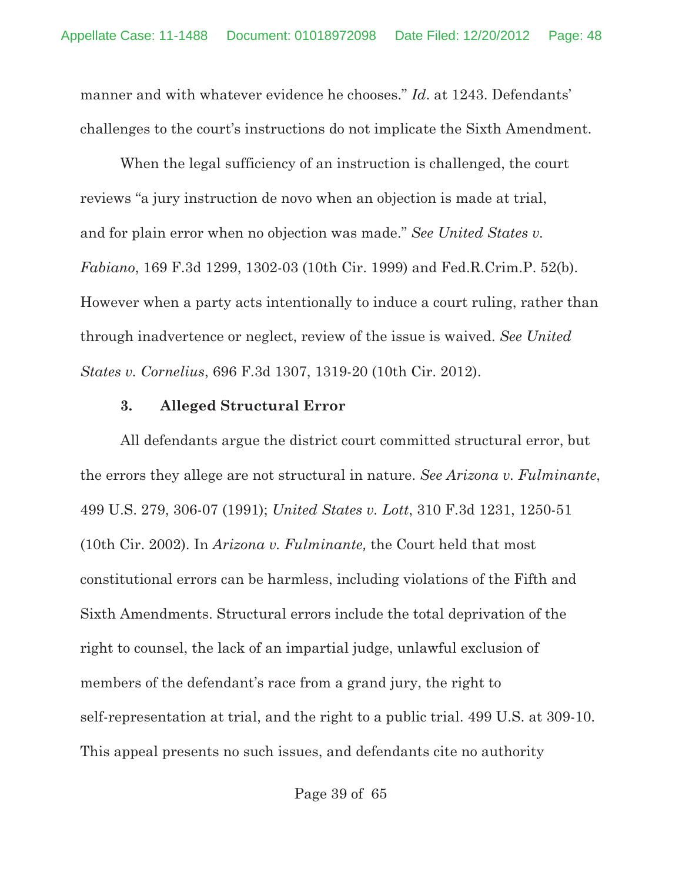manner and with whatever evidence he chooses." *Id*. at 1243. Defendants' challenges to the court's instructions do not implicate the Sixth Amendment.

When the legal sufficiency of an instruction is challenged, the court reviews "a jury instruction de novo when an objection is made at trial, and for plain error when no objection was made." *See United States v. Fabiano*, 169 F.3d 1299, 1302-03 (10th Cir. 1999) and Fed.R.Crim.P. 52(b). However when a party acts intentionally to induce a court ruling, rather than through inadvertence or neglect, review of the issue is waived. *See United States v. Cornelius*, 696 F.3d 1307, 1319-20 (10th Cir. 2012).

#### **3. Alleged Structural Error**

All defendants argue the district court committed structural error, but the errors they allege are not structural in nature. *See Arizona v. Fulminante*, 499 U.S. 279, 306-07 (1991); *United States v. Lott*, 310 F.3d 1231, 1250-51 (10th Cir. 2002). In *Arizona v. Fulminante,* the Court held that most constitutional errors can be harmless, including violations of the Fifth and Sixth Amendments. Structural errors include the total deprivation of the right to counsel, the lack of an impartial judge, unlawful exclusion of members of the defendant's race from a grand jury, the right to self-representation at trial, and the right to a public trial. 499 U.S. at 309-10. This appeal presents no such issues, and defendants cite no authority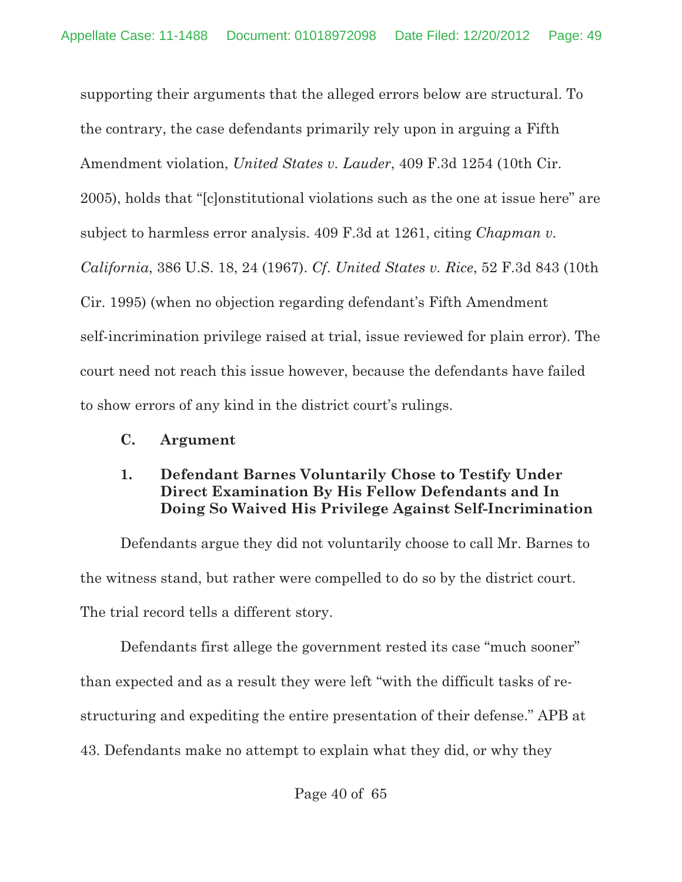supporting their arguments that the alleged errors below are structural. To the contrary, the case defendants primarily rely upon in arguing a Fifth Amendment violation, *United States v. Lauder*, 409 F.3d 1254 (10th Cir. 2005), holds that "[c]onstitutional violations such as the one at issue here" are subject to harmless error analysis. 409 F.3d at 1261, citing *Chapman v. California*, 386 U.S. 18, 24 (1967). *Cf*. *United States v. Rice*, 52 F.3d 843 (10th Cir. 1995) (when no objection regarding defendant's Fifth Amendment self-incrimination privilege raised at trial, issue reviewed for plain error). The court need not reach this issue however, because the defendants have failed to show errors of any kind in the district court's rulings.

## **C. Argument**

## **1. Defendant Barnes Voluntarily Chose to Testify Under Direct Examination By His Fellow Defendants and In Doing So Waived His Privilege Against Self-Incrimination**

Defendants argue they did not voluntarily choose to call Mr. Barnes to the witness stand, but rather were compelled to do so by the district court. The trial record tells a different story.

Defendants first allege the government rested its case "much sooner" than expected and as a result they were left "with the difficult tasks of restructuring and expediting the entire presentation of their defense." APB at 43. Defendants make no attempt to explain what they did, or why they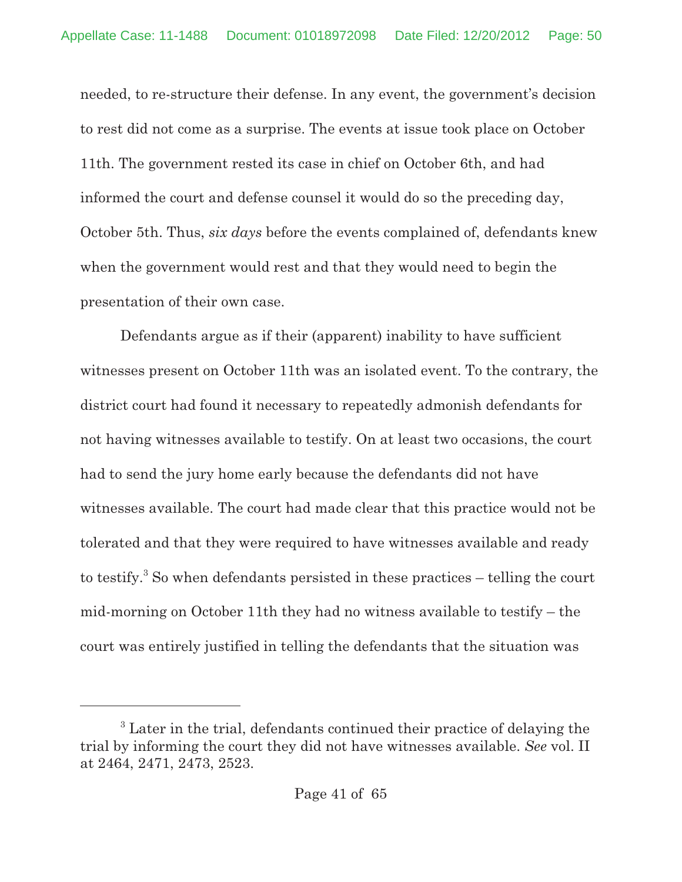needed, to re-structure their defense. In any event, the government's decision to rest did not come as a surprise. The events at issue took place on October 11th. The government rested its case in chief on October 6th, and had informed the court and defense counsel it would do so the preceding day, October 5th. Thus, *six days* before the events complained of, defendants knew when the government would rest and that they would need to begin the presentation of their own case.

Defendants argue as if their (apparent) inability to have sufficient witnesses present on October 11th was an isolated event. To the contrary, the district court had found it necessary to repeatedly admonish defendants for not having witnesses available to testify. On at least two occasions, the court had to send the jury home early because the defendants did not have witnesses available. The court had made clear that this practice would not be tolerated and that they were required to have witnesses available and ready to testify.<sup>3</sup> So when defendants persisted in these practices  $-$  telling the court mid-morning on October 11th they had no witness available to testify – the court was entirely justified in telling the defendants that the situation was

<sup>&</sup>lt;sup>3</sup> Later in the trial, defendants continued their practice of delaying the trial by informing the court they did not have witnesses available. *See* vol. II at 2464, 2471, 2473, 2523.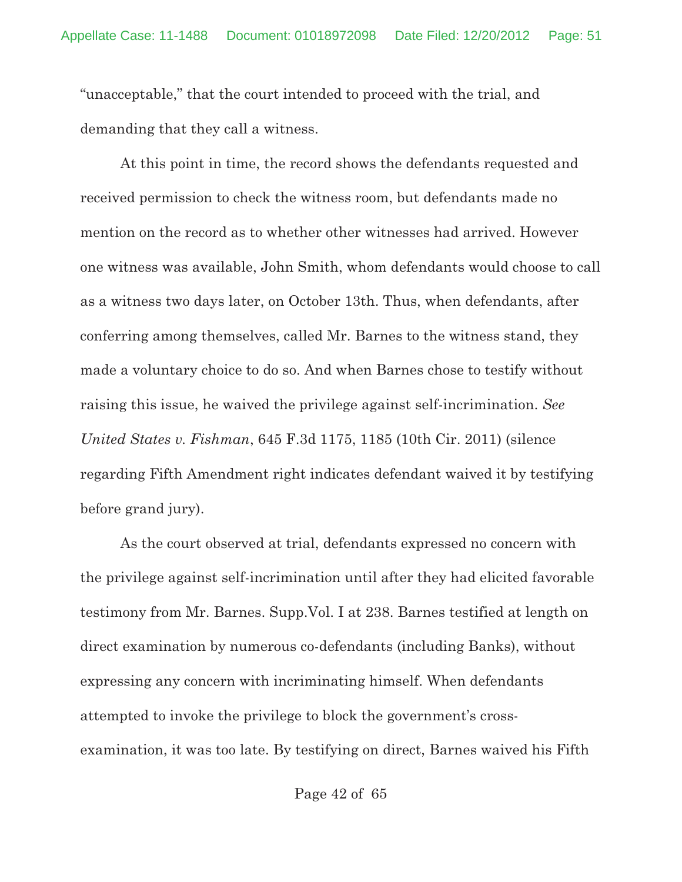"unacceptable," that the court intended to proceed with the trial, and demanding that they call a witness.

At this point in time, the record shows the defendants requested and received permission to check the witness room, but defendants made no mention on the record as to whether other witnesses had arrived. However one witness was available, John Smith, whom defendants would choose to call as a witness two days later, on October 13th. Thus, when defendants, after conferring among themselves, called Mr. Barnes to the witness stand, they made a voluntary choice to do so. And when Barnes chose to testify without raising this issue, he waived the privilege against self-incrimination. *See United States v. Fishman*, 645 F.3d 1175, 1185 (10th Cir. 2011) (silence regarding Fifth Amendment right indicates defendant waived it by testifying before grand jury).

As the court observed at trial, defendants expressed no concern with the privilege against self-incrimination until after they had elicited favorable testimony from Mr. Barnes. Supp.Vol. I at 238. Barnes testified at length on direct examination by numerous co-defendants (including Banks), without expressing any concern with incriminating himself. When defendants attempted to invoke the privilege to block the government's crossexamination, it was too late. By testifying on direct, Barnes waived his Fifth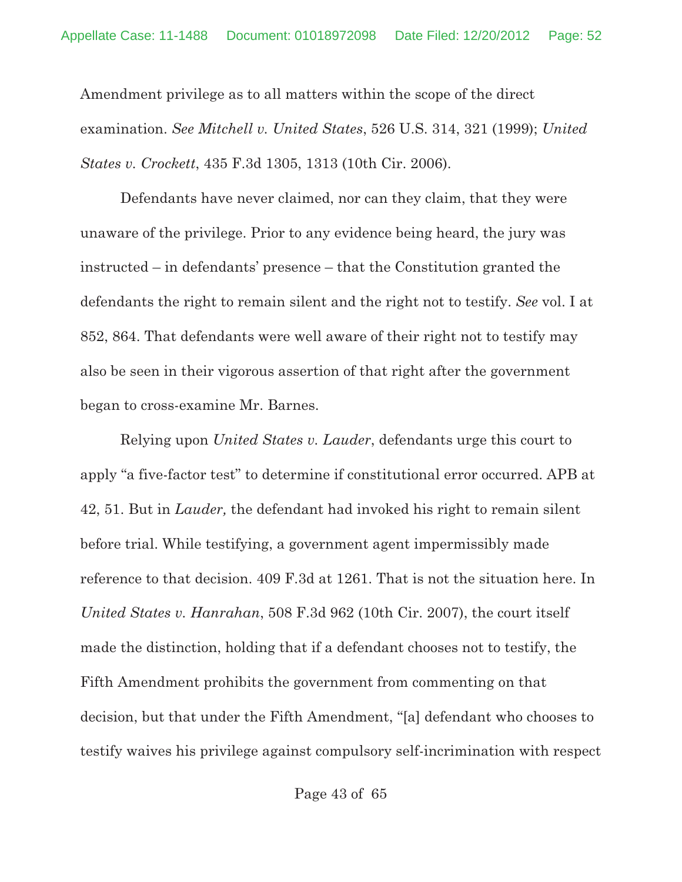Amendment privilege as to all matters within the scope of the direct examination. *See Mitchell v. United States*, 526 U.S. 314, 321 (1999); *United States v. Crockett*, 435 F.3d 1305, 1313 (10th Cir. 2006).

Defendants have never claimed, nor can they claim, that they were unaware of the privilege. Prior to any evidence being heard, the jury was instructed – in defendants' presence – that the Constitution granted the defendants the right to remain silent and the right not to testify. *See* vol. I at 852, 864. That defendants were well aware of their right not to testify may also be seen in their vigorous assertion of that right after the government began to cross-examine Mr. Barnes.

Relying upon *United States v. Lauder*, defendants urge this court to apply "a five-factor test" to determine if constitutional error occurred. APB at 42, 51. But in *Lauder,* the defendant had invoked his right to remain silent before trial. While testifying, a government agent impermissibly made reference to that decision. 409 F.3d at 1261. That is not the situation here. In *United States v. Hanrahan*, 508 F.3d 962 (10th Cir. 2007), the court itself made the distinction, holding that if a defendant chooses not to testify, the Fifth Amendment prohibits the government from commenting on that decision, but that under the Fifth Amendment, "[a] defendant who chooses to testify waives his privilege against compulsory self-incrimination with respect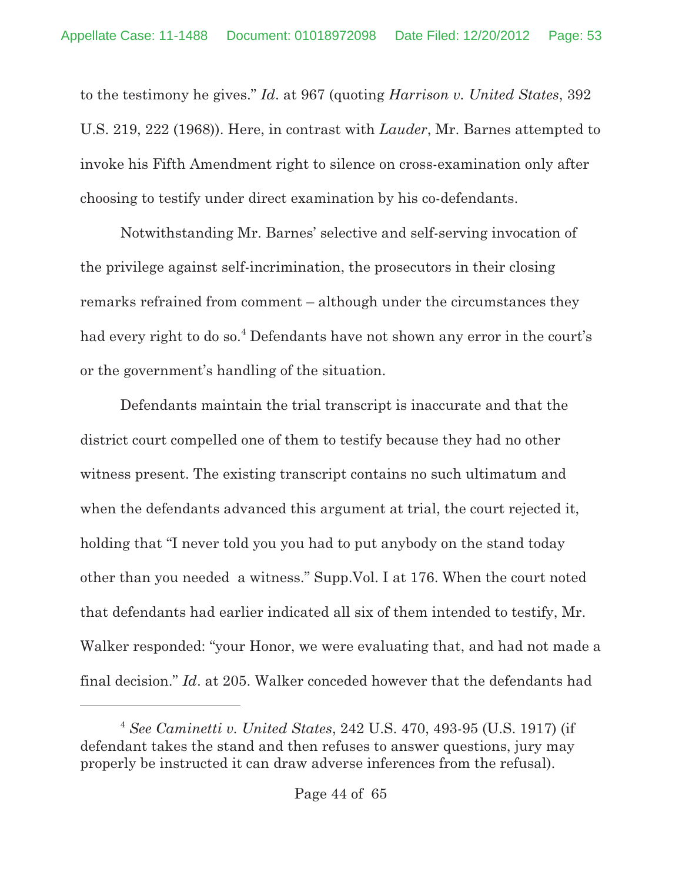to the testimony he gives." *Id*. at 967 (quoting *Harrison v. United States*, 392 U.S. 219, 222 (1968)). Here, in contrast with *Lauder*, Mr. Barnes attempted to invoke his Fifth Amendment right to silence on cross-examination only after choosing to testify under direct examination by his co-defendants.

Notwithstanding Mr. Barnes' selective and self-serving invocation of the privilege against self-incrimination, the prosecutors in their closing remarks refrained from comment – although under the circumstances they had every right to do so.<sup>4</sup> Defendants have not shown any error in the court's or the government's handling of the situation.

Defendants maintain the trial transcript is inaccurate and that the district court compelled one of them to testify because they had no other witness present. The existing transcript contains no such ultimatum and when the defendants advanced this argument at trial, the court rejected it, holding that "I never told you you had to put anybody on the stand today other than you needed a witness." Supp.Vol. I at 176. When the court noted that defendants had earlier indicated all six of them intended to testify, Mr. Walker responded: "your Honor, we were evaluating that, and had not made a final decision." *Id*. at 205. Walker conceded however that the defendants had

*See Caminetti v. United States*, 242 U.S. 470, 493-95 (U.S. 1917) (if <sup>4</sup> defendant takes the stand and then refuses to answer questions, jury may properly be instructed it can draw adverse inferences from the refusal).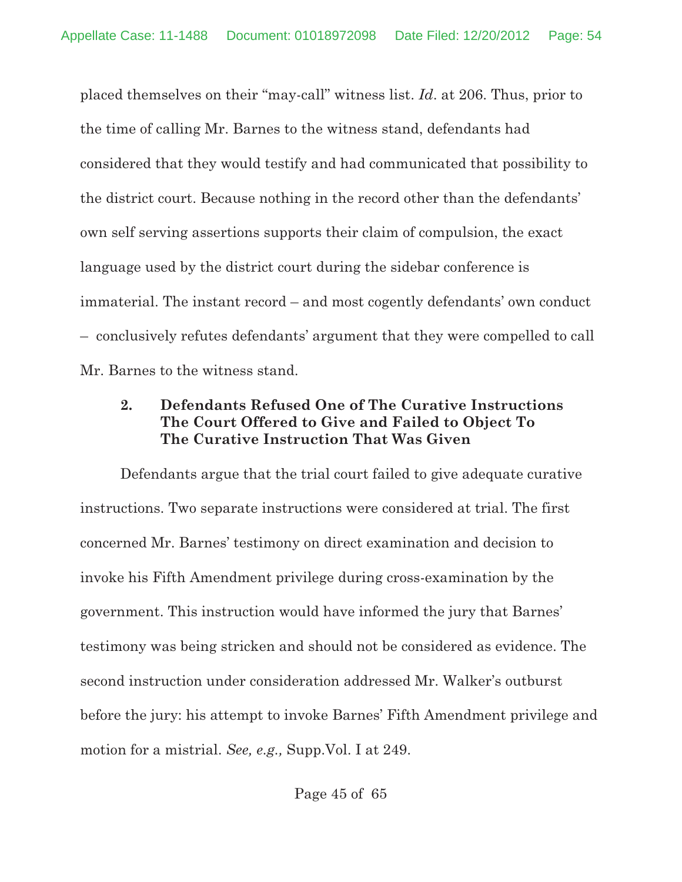placed themselves on their "may-call" witness list. *Id*. at 206. Thus, prior to the time of calling Mr. Barnes to the witness stand, defendants had considered that they would testify and had communicated that possibility to the district court. Because nothing in the record other than the defendants' own self serving assertions supports their claim of compulsion, the exact language used by the district court during the sidebar conference is immaterial. The instant record – and most cogently defendants' own conduct – conclusively refutes defendants' argument that they were compelled to call Mr. Barnes to the witness stand.

# **2. Defendants Refused One of The Curative Instructions The Court Offered to Give and Failed to Object To The Curative Instruction That Was Given**

Defendants argue that the trial court failed to give adequate curative instructions. Two separate instructions were considered at trial. The first concerned Mr. Barnes' testimony on direct examination and decision to invoke his Fifth Amendment privilege during cross-examination by the government. This instruction would have informed the jury that Barnes' testimony was being stricken and should not be considered as evidence. The second instruction under consideration addressed Mr. Walker's outburst before the jury: his attempt to invoke Barnes' Fifth Amendment privilege and motion for a mistrial. *See, e.g.,* Supp.Vol. I at 249.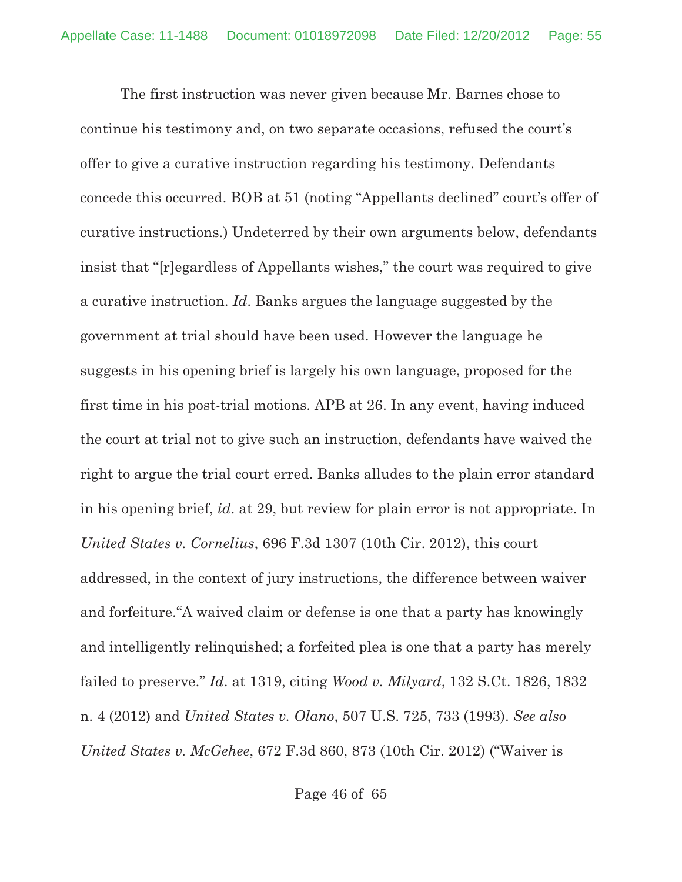The first instruction was never given because Mr. Barnes chose to continue his testimony and, on two separate occasions, refused the court's offer to give a curative instruction regarding his testimony. Defendants concede this occurred. BOB at 51 (noting "Appellants declined" court's offer of curative instructions.) Undeterred by their own arguments below, defendants insist that "[r]egardless of Appellants wishes," the court was required to give a curative instruction. *Id*. Banks argues the language suggested by the government at trial should have been used. However the language he suggests in his opening brief is largely his own language, proposed for the first time in his post-trial motions. APB at 26. In any event, having induced the court at trial not to give such an instruction, defendants have waived the right to argue the trial court erred. Banks alludes to the plain error standard in his opening brief, *id*. at 29, but review for plain error is not appropriate. In *United States v. Cornelius*, 696 F.3d 1307 (10th Cir. 2012), this court addressed, in the context of jury instructions, the difference between waiver and forfeiture."A waived claim or defense is one that a party has knowingly and intelligently relinquished; a forfeited plea is one that a party has merely failed to preserve." *Id*. at 1319, citing *Wood v. Milyard*, 132 S.Ct. 1826, 1832 n. 4 (2012) and *United States v. Olano*, 507 U.S. 725, 733 (1993). *See also United States v. McGehee*, 672 F.3d 860, 873 (10th Cir. 2012) ("Waiver is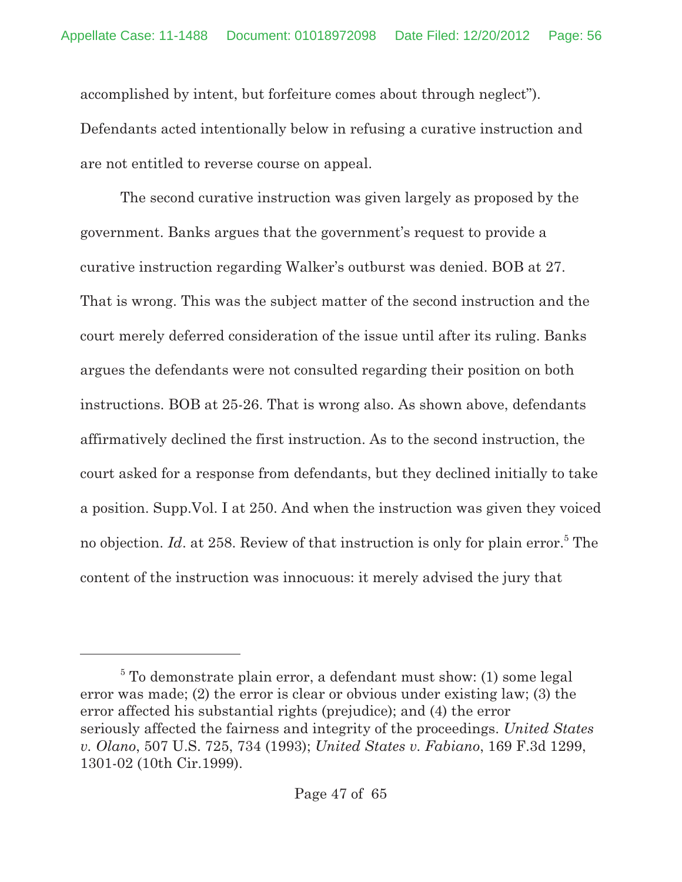accomplished by intent, but forfeiture comes about through neglect"). Defendants acted intentionally below in refusing a curative instruction and are not entitled to reverse course on appeal.

The second curative instruction was given largely as proposed by the government. Banks argues that the government's request to provide a curative instruction regarding Walker's outburst was denied. BOB at 27. That is wrong. This was the subject matter of the second instruction and the court merely deferred consideration of the issue until after its ruling. Banks argues the defendants were not consulted regarding their position on both instructions. BOB at 25-26. That is wrong also. As shown above, defendants affirmatively declined the first instruction. As to the second instruction, the court asked for a response from defendants, but they declined initially to take a position. Supp.Vol. I at 250. And when the instruction was given they voiced no objection. *Id*. at 258. Review of that instruction is only for plain error.<sup>5</sup> The content of the instruction was innocuous: it merely advised the jury that

 $5$  To demonstrate plain error, a defendant must show: (1) some legal error was made; (2) the error is clear or obvious under existing law; (3) the error affected his substantial rights (prejudice); and (4) the error seriously affected the fairness and integrity of the proceedings. *United States v. Olano*, 507 U.S. 725, 734 (1993); *United States v. Fabiano*, 169 F.3d 1299, 1301-02 (10th Cir.1999).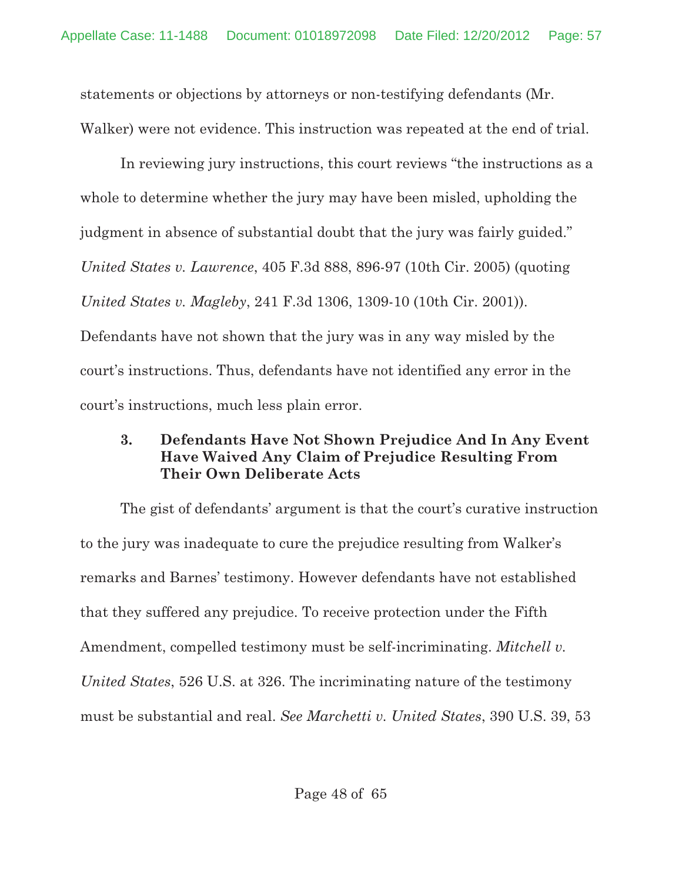statements or objections by attorneys or non-testifying defendants (Mr. Walker) were not evidence. This instruction was repeated at the end of trial.

In reviewing jury instructions, this court reviews "the instructions as a whole to determine whether the jury may have been misled, upholding the judgment in absence of substantial doubt that the jury was fairly guided." *United States v. Lawrence*, 405 F.3d 888, 896-97 (10th Cir. 2005) (quoting *United States v. Magleby*, 241 F.3d 1306, 1309-10 (10th Cir. 2001)). Defendants have not shown that the jury was in any way misled by the court's instructions. Thus, defendants have not identified any error in the court's instructions, much less plain error.

# **3. Defendants Have Not Shown Prejudice And In Any Event Have Waived Any Claim of Prejudice Resulting From Their Own Deliberate Acts**

The gist of defendants' argument is that the court's curative instruction to the jury was inadequate to cure the prejudice resulting from Walker's remarks and Barnes' testimony. However defendants have not established that they suffered any prejudice. To receive protection under the Fifth Amendment, compelled testimony must be self-incriminating. *Mitchell v. United States*, 526 U.S. at 326. The incriminating nature of the testimony must be substantial and real. *See Marchetti v. United States*, 390 U.S. 39, 53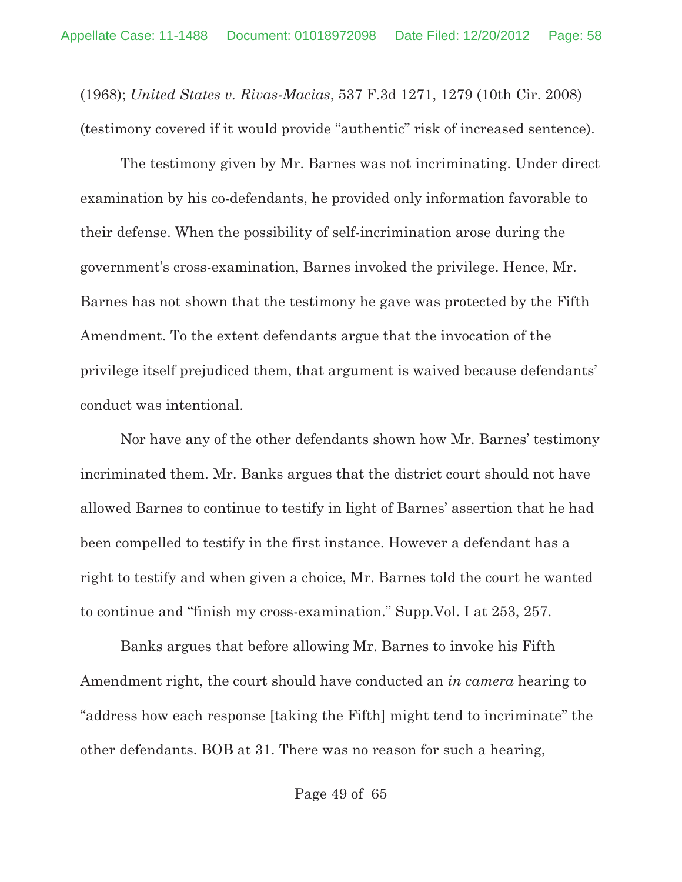(1968); *United States v. Rivas-Macias*, 537 F.3d 1271, 1279 (10th Cir. 2008) (testimony covered if it would provide "authentic" risk of increased sentence).

The testimony given by Mr. Barnes was not incriminating. Under direct examination by his co-defendants, he provided only information favorable to their defense. When the possibility of self-incrimination arose during the government's cross-examination, Barnes invoked the privilege. Hence, Mr. Barnes has not shown that the testimony he gave was protected by the Fifth Amendment. To the extent defendants argue that the invocation of the privilege itself prejudiced them, that argument is waived because defendants' conduct was intentional.

Nor have any of the other defendants shown how Mr. Barnes' testimony incriminated them. Mr. Banks argues that the district court should not have allowed Barnes to continue to testify in light of Barnes' assertion that he had been compelled to testify in the first instance. However a defendant has a right to testify and when given a choice, Mr. Barnes told the court he wanted to continue and "finish my cross-examination." Supp.Vol. I at 253, 257.

Banks argues that before allowing Mr. Barnes to invoke his Fifth Amendment right, the court should have conducted an *in camera* hearing to "address how each response [taking the Fifth] might tend to incriminate" the other defendants. BOB at 31. There was no reason for such a hearing,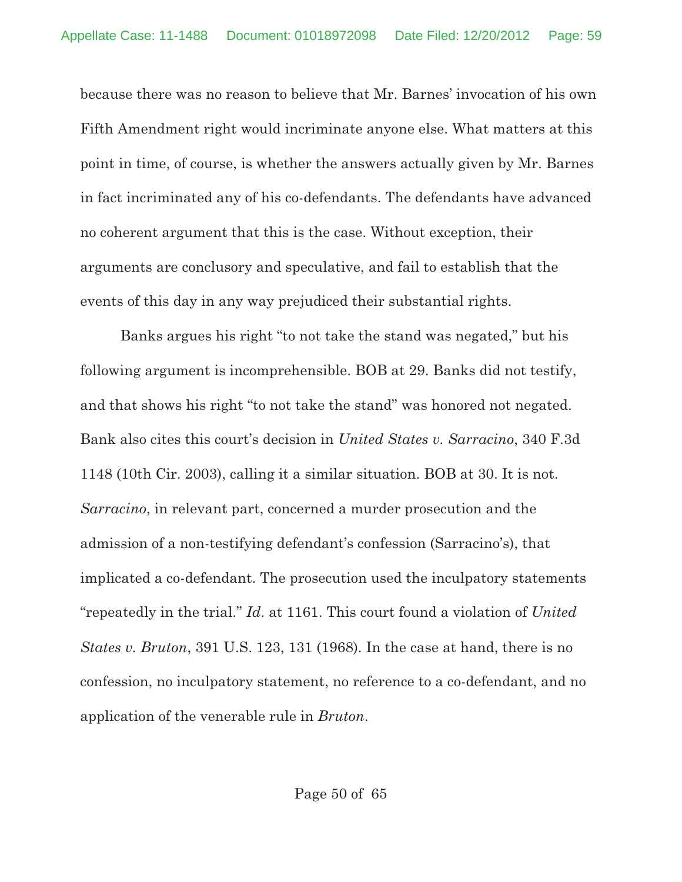because there was no reason to believe that Mr. Barnes' invocation of his own Fifth Amendment right would incriminate anyone else. What matters at this point in time, of course, is whether the answers actually given by Mr. Barnes in fact incriminated any of his co-defendants. The defendants have advanced no coherent argument that this is the case. Without exception, their arguments are conclusory and speculative, and fail to establish that the events of this day in any way prejudiced their substantial rights.

Banks argues his right "to not take the stand was negated," but his following argument is incomprehensible. BOB at 29. Banks did not testify, and that shows his right "to not take the stand" was honored not negated. Bank also cites this court's decision in *United States v. Sarracino*, 340 F.3d 1148 (10th Cir. 2003), calling it a similar situation. BOB at 30. It is not. *Sarracino*, in relevant part, concerned a murder prosecution and the admission of a non-testifying defendant's confession (Sarracino's), that implicated a co-defendant. The prosecution used the inculpatory statements "repeatedly in the trial." *Id*. at 1161. This court found a violation of *United States v. Bruton*, 391 U.S. 123, 131 (1968). In the case at hand, there is no confession, no inculpatory statement, no reference to a co-defendant, and no application of the venerable rule in *Bruton*.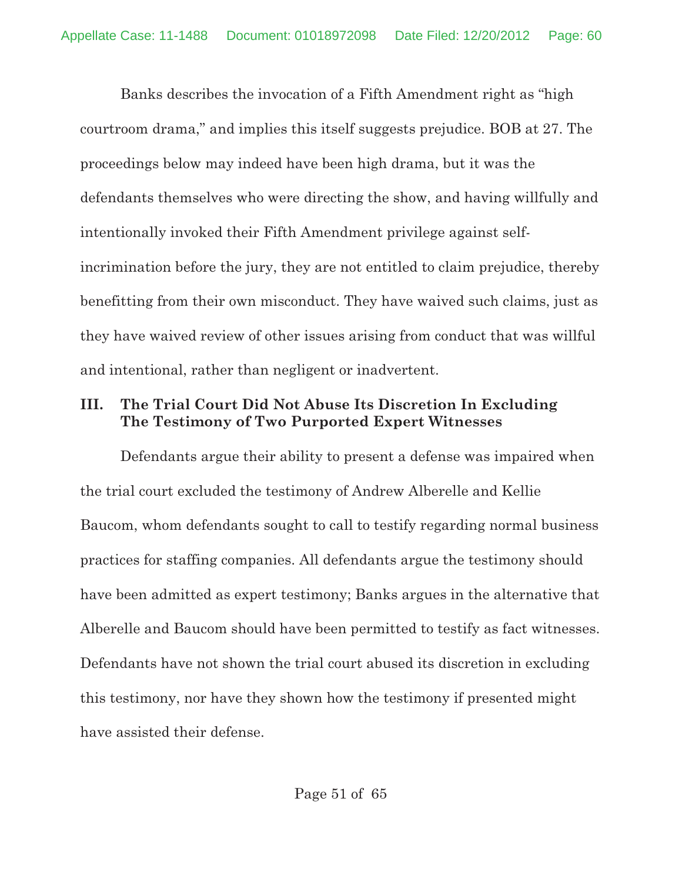Banks describes the invocation of a Fifth Amendment right as "high courtroom drama," and implies this itself suggests prejudice. BOB at 27. The proceedings below may indeed have been high drama, but it was the defendants themselves who were directing the show, and having willfully and intentionally invoked their Fifth Amendment privilege against selfincrimination before the jury, they are not entitled to claim prejudice, thereby benefitting from their own misconduct. They have waived such claims, just as they have waived review of other issues arising from conduct that was willful and intentional, rather than negligent or inadvertent.

# **III. The Trial Court Did Not Abuse Its Discretion In Excluding The Testimony of Two Purported Expert Witnesses**

Defendants argue their ability to present a defense was impaired when the trial court excluded the testimony of Andrew Alberelle and Kellie Baucom, whom defendants sought to call to testify regarding normal business practices for staffing companies. All defendants argue the testimony should have been admitted as expert testimony; Banks argues in the alternative that Alberelle and Baucom should have been permitted to testify as fact witnesses. Defendants have not shown the trial court abused its discretion in excluding this testimony, nor have they shown how the testimony if presented might have assisted their defense.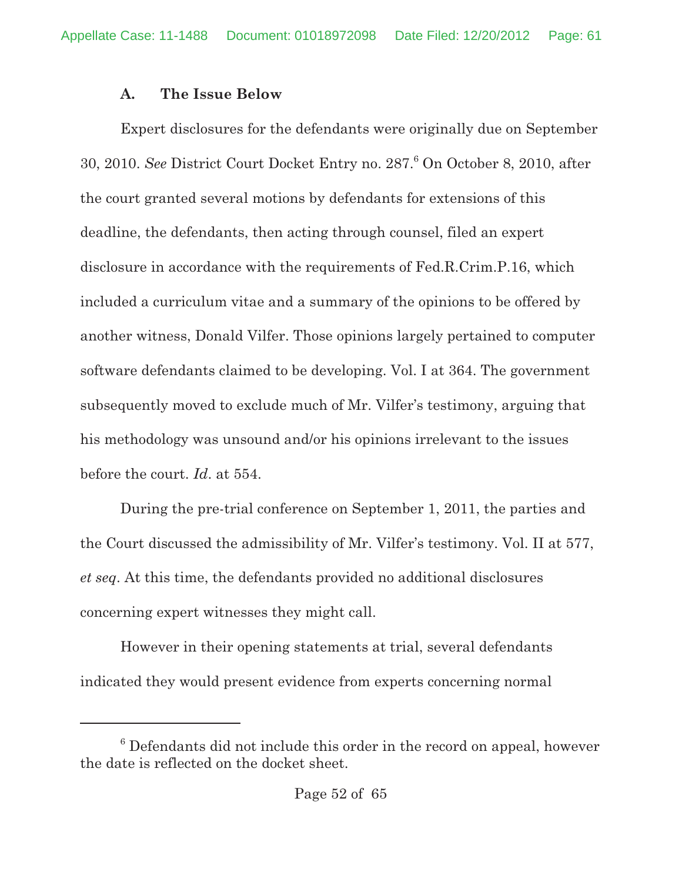## **A. The Issue Below**

Expert disclosures for the defendants were originally due on September 30, 2010. *See* District Court Docket Entry no. 287.<sup>6</sup> On October 8, 2010, after the court granted several motions by defendants for extensions of this deadline, the defendants, then acting through counsel, filed an expert disclosure in accordance with the requirements of Fed.R.Crim.P.16, which included a curriculum vitae and a summary of the opinions to be offered by another witness, Donald Vilfer. Those opinions largely pertained to computer software defendants claimed to be developing. Vol. I at 364. The government subsequently moved to exclude much of Mr. Vilfer's testimony, arguing that his methodology was unsound and/or his opinions irrelevant to the issues before the court. *Id*. at 554.

During the pre-trial conference on September 1, 2011, the parties and the Court discussed the admissibility of Mr. Vilfer's testimony. Vol. II at 577, *et seq*. At this time, the defendants provided no additional disclosures concerning expert witnesses they might call.

However in their opening statements at trial, several defendants indicated they would present evidence from experts concerning normal

 $6$  Defendants did not include this order in the record on appeal, however the date is reflected on the docket sheet.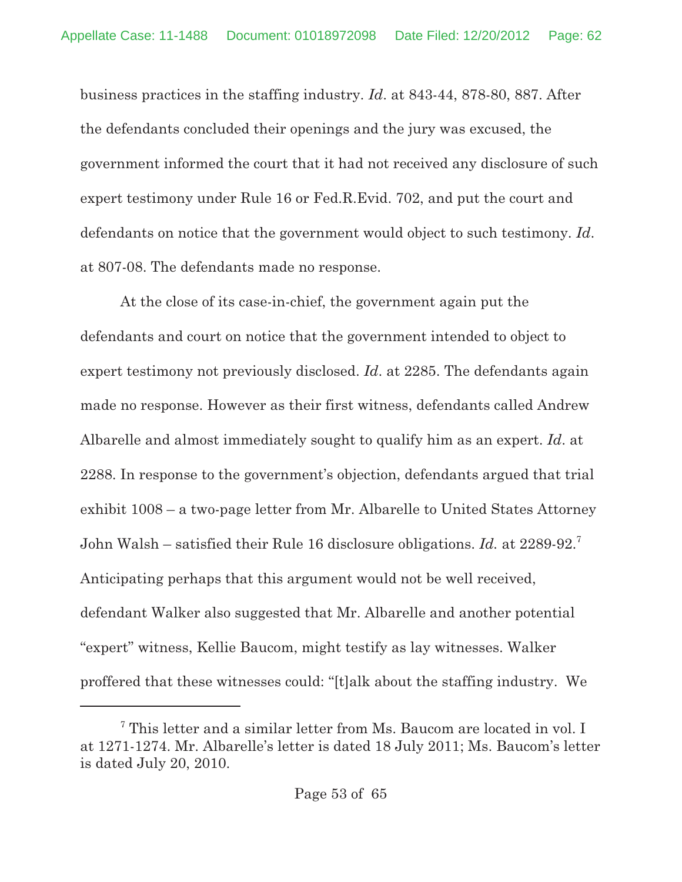business practices in the staffing industry. *Id*. at 843-44, 878-80, 887. After the defendants concluded their openings and the jury was excused, the government informed the court that it had not received any disclosure of such expert testimony under Rule 16 or Fed.R.Evid. 702, and put the court and defendants on notice that the government would object to such testimony. *Id*. at 807-08. The defendants made no response.

At the close of its case-in-chief, the government again put the defendants and court on notice that the government intended to object to expert testimony not previously disclosed. *Id*. at 2285. The defendants again made no response. However as their first witness, defendants called Andrew Albarelle and almost immediately sought to qualify him as an expert. *Id*. at 2288. In response to the government's objection, defendants argued that trial exhibit 1008 – a two-page letter from Mr. Albarelle to United States Attorney John Walsh – satisfied their Rule 16 disclosure obligations. *Id.* at 2289-92.7 Anticipating perhaps that this argument would not be well received, defendant Walker also suggested that Mr. Albarelle and another potential "expert" witness, Kellie Baucom, might testify as lay witnesses. Walker proffered that these witnesses could: "[t]alk about the staffing industry. We

 $7$  This letter and a similar letter from Ms. Baucom are located in vol. I at 1271-1274. Mr. Albarelle's letter is dated 18 July 2011; Ms. Baucom's letter is dated July 20, 2010.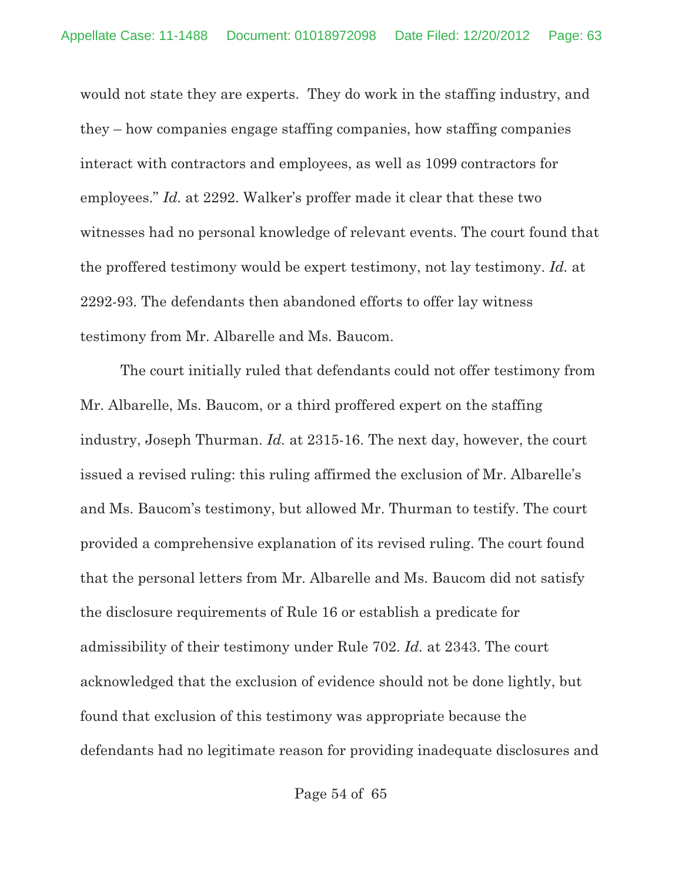would not state they are experts. They do work in the staffing industry, and they – how companies engage staffing companies, how staffing companies interact with contractors and employees, as well as 1099 contractors for employees." *Id.* at 2292. Walker's proffer made it clear that these two witnesses had no personal knowledge of relevant events. The court found that the proffered testimony would be expert testimony, not lay testimony. *Id.* at 2292-93. The defendants then abandoned efforts to offer lay witness testimony from Mr. Albarelle and Ms. Baucom.

The court initially ruled that defendants could not offer testimony from Mr. Albarelle, Ms. Baucom, or a third proffered expert on the staffing industry, Joseph Thurman. *Id.* at 2315-16. The next day, however, the court issued a revised ruling: this ruling affirmed the exclusion of Mr. Albarelle's and Ms. Baucom's testimony, but allowed Mr. Thurman to testify. The court provided a comprehensive explanation of its revised ruling. The court found that the personal letters from Mr. Albarelle and Ms. Baucom did not satisfy the disclosure requirements of Rule 16 or establish a predicate for admissibility of their testimony under Rule 702. *Id.* at 2343. The court acknowledged that the exclusion of evidence should not be done lightly, but found that exclusion of this testimony was appropriate because the defendants had no legitimate reason for providing inadequate disclosures and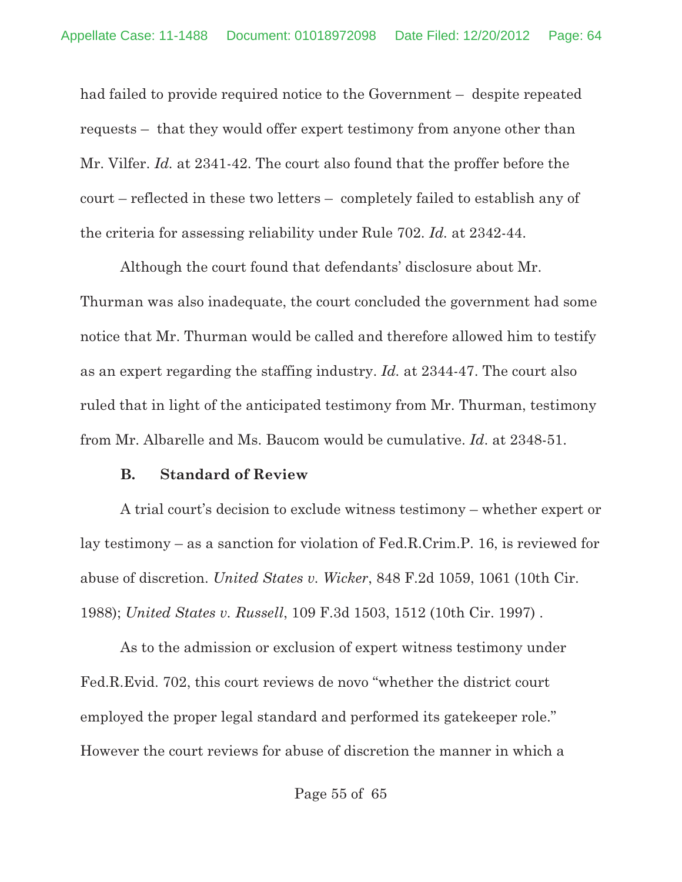had failed to provide required notice to the Government – despite repeated requests – that they would offer expert testimony from anyone other than Mr. Vilfer. *Id.* at 2341-42. The court also found that the proffer before the court – reflected in these two letters – completely failed to establish any of the criteria for assessing reliability under Rule 702. *Id.* at 2342-44.

Although the court found that defendants' disclosure about Mr. Thurman was also inadequate, the court concluded the government had some notice that Mr. Thurman would be called and therefore allowed him to testify as an expert regarding the staffing industry. *Id.* at 2344-47. The court also ruled that in light of the anticipated testimony from Mr. Thurman, testimony from Mr. Albarelle and Ms. Baucom would be cumulative. *Id*. at 2348-51.

#### **B. Standard of Review**

A trial court's decision to exclude witness testimony – whether expert or lay testimony – as a sanction for violation of Fed.R.Crim.P. 16, is reviewed for abuse of discretion. *United States v. Wicker*, 848 F.2d 1059, 1061 (10th Cir. 1988); *United States v. Russell*, 109 F.3d 1503, 1512 (10th Cir. 1997) .

As to the admission or exclusion of expert witness testimony under Fed.R.Evid. 702, this court reviews de novo "whether the district court employed the proper legal standard and performed its gatekeeper role." However the court reviews for abuse of discretion the manner in which a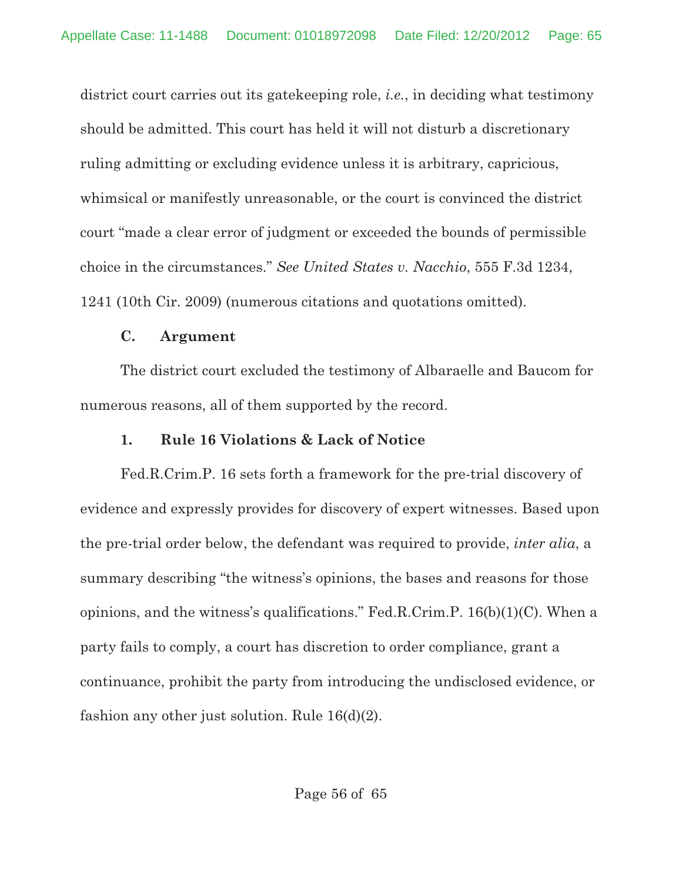district court carries out its gatekeeping role, *i.e.*, in deciding what testimony should be admitted. This court has held it will not disturb a discretionary ruling admitting or excluding evidence unless it is arbitrary, capricious, whimsical or manifestly unreasonable, or the court is convinced the district court "made a clear error of judgment or exceeded the bounds of permissible choice in the circumstances." *See United States v. Nacchio*, 555 F.3d 1234, 1241 (10th Cir. 2009) (numerous citations and quotations omitted).

## **C. Argument**

The district court excluded the testimony of Albaraelle and Baucom for numerous reasons, all of them supported by the record.

# **1. Rule 16 Violations & Lack of Notice**

Fed.R.Crim.P. 16 sets forth a framework for the pre-trial discovery of evidence and expressly provides for discovery of expert witnesses. Based upon the pre-trial order below, the defendant was required to provide, *inter alia*, a summary describing "the witness's opinions, the bases and reasons for those opinions, and the witness's qualifications." Fed.R.Crim.P. 16(b)(1)(C). When a party fails to comply, a court has discretion to order compliance, grant a continuance, prohibit the party from introducing the undisclosed evidence, or fashion any other just solution. Rule 16(d)(2).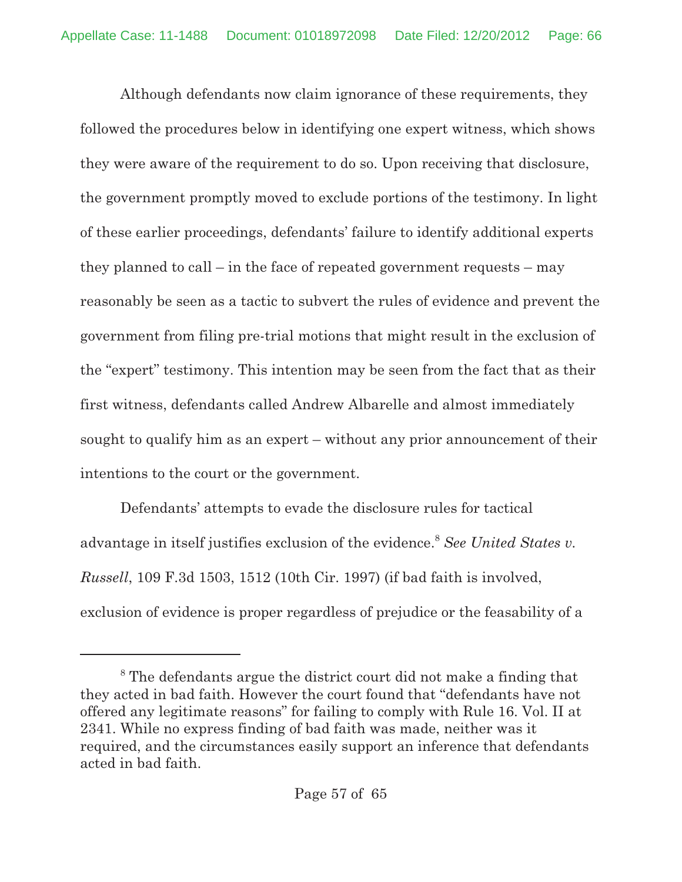Although defendants now claim ignorance of these requirements, they followed the procedures below in identifying one expert witness, which shows they were aware of the requirement to do so. Upon receiving that disclosure, the government promptly moved to exclude portions of the testimony. In light of these earlier proceedings, defendants' failure to identify additional experts they planned to call – in the face of repeated government requests – may reasonably be seen as a tactic to subvert the rules of evidence and prevent the government from filing pre-trial motions that might result in the exclusion of the "expert" testimony. This intention may be seen from the fact that as their first witness, defendants called Andrew Albarelle and almost immediately sought to qualify him as an expert – without any prior announcement of their intentions to the court or the government.

Defendants' attempts to evade the disclosure rules for tactical advantage in itself justifies exclusion of the evidence.<sup>8</sup> See United States v. *Russell*, 109 F.3d 1503, 1512 (10th Cir. 1997) (if bad faith is involved, exclusion of evidence is proper regardless of prejudice or the feasability of a

 $8$ <sup>8</sup> The defendants argue the district court did not make a finding that they acted in bad faith. However the court found that "defendants have not offered any legitimate reasons" for failing to comply with Rule 16. Vol. II at 2341. While no express finding of bad faith was made, neither was it required, and the circumstances easily support an inference that defendants acted in bad faith.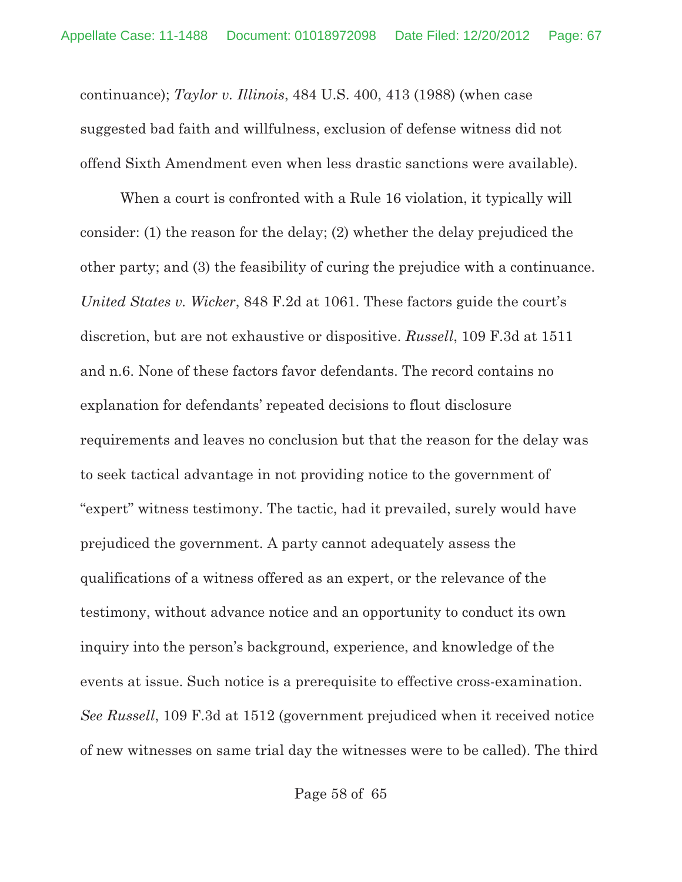continuance); *Taylor v. Illinois*, 484 U.S. 400, 413 (1988) (when case suggested bad faith and willfulness, exclusion of defense witness did not offend Sixth Amendment even when less drastic sanctions were available).

When a court is confronted with a Rule 16 violation, it typically will consider: (1) the reason for the delay; (2) whether the delay prejudiced the other party; and (3) the feasibility of curing the prejudice with a continuance. *United States v. Wicker*, 848 F.2d at 1061. These factors guide the court's discretion, but are not exhaustive or dispositive. *Russell*, 109 F.3d at 1511 and n.6. None of these factors favor defendants. The record contains no explanation for defendants' repeated decisions to flout disclosure requirements and leaves no conclusion but that the reason for the delay was to seek tactical advantage in not providing notice to the government of "expert" witness testimony. The tactic, had it prevailed, surely would have prejudiced the government. A party cannot adequately assess the qualifications of a witness offered as an expert, or the relevance of the testimony, without advance notice and an opportunity to conduct its own inquiry into the person's background, experience, and knowledge of the events at issue. Such notice is a prerequisite to effective cross-examination. *See Russell*, 109 F.3d at 1512 (government prejudiced when it received notice of new witnesses on same trial day the witnesses were to be called). The third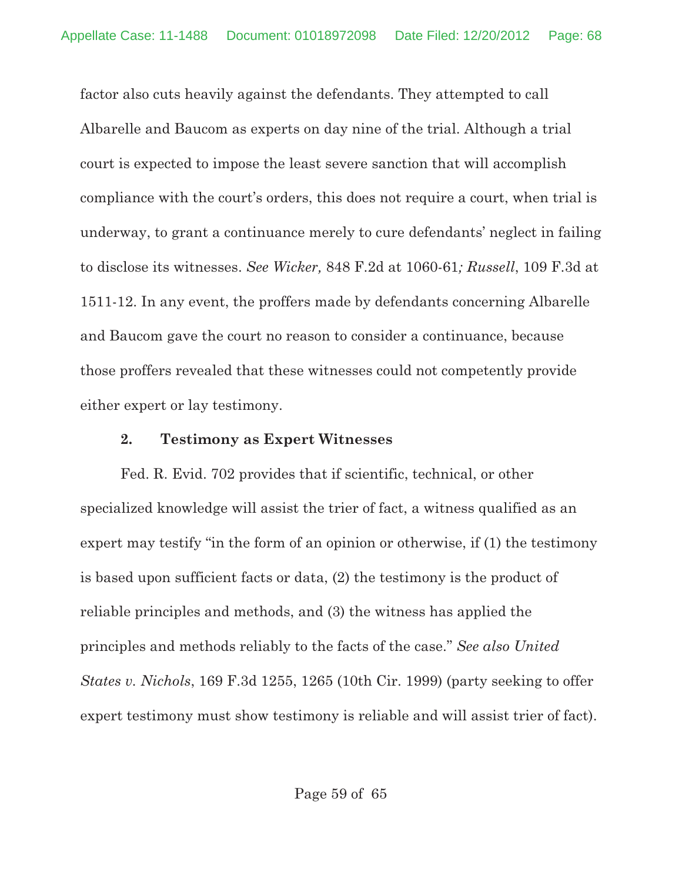factor also cuts heavily against the defendants. They attempted to call Albarelle and Baucom as experts on day nine of the trial. Although a trial court is expected to impose the least severe sanction that will accomplish compliance with the court's orders, this does not require a court, when trial is underway, to grant a continuance merely to cure defendants' neglect in failing to disclose its witnesses. *See Wicker,* 848 F.2d at 1060-61*; Russell*, 109 F.3d at 1511-12. In any event, the proffers made by defendants concerning Albarelle and Baucom gave the court no reason to consider a continuance, because those proffers revealed that these witnesses could not competently provide either expert or lay testimony.

#### **2. Testimony as Expert Witnesses**

Fed. R. Evid. 702 provides that if scientific, technical, or other specialized knowledge will assist the trier of fact, a witness qualified as an expert may testify "in the form of an opinion or otherwise, if (1) the testimony is based upon sufficient facts or data, (2) the testimony is the product of reliable principles and methods, and (3) the witness has applied the principles and methods reliably to the facts of the case." *See also United States v. Nichols*, 169 F.3d 1255, 1265 (10th Cir. 1999) (party seeking to offer expert testimony must show testimony is reliable and will assist trier of fact).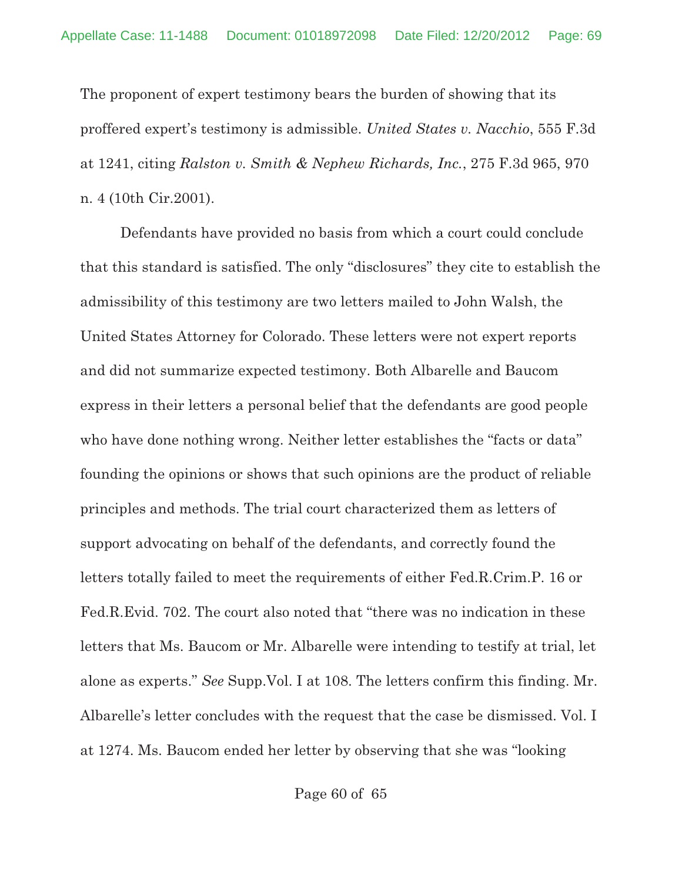The proponent of expert testimony bears the burden of showing that its proffered expert's testimony is admissible. *United States v. Nacchio*, 555 F.3d at 1241, citing *Ralston v. Smith & Nephew Richards, Inc.*, 275 F.3d 965, 970 n. 4 (10th Cir.2001).

Defendants have provided no basis from which a court could conclude that this standard is satisfied. The only "disclosures" they cite to establish the admissibility of this testimony are two letters mailed to John Walsh, the United States Attorney for Colorado. These letters were not expert reports and did not summarize expected testimony. Both Albarelle and Baucom express in their letters a personal belief that the defendants are good people who have done nothing wrong. Neither letter establishes the "facts or data" founding the opinions or shows that such opinions are the product of reliable principles and methods. The trial court characterized them as letters of support advocating on behalf of the defendants, and correctly found the letters totally failed to meet the requirements of either Fed.R.Crim.P. 16 or Fed.R.Evid. 702. The court also noted that "there was no indication in these letters that Ms. Baucom or Mr. Albarelle were intending to testify at trial, let alone as experts." *See* Supp.Vol. I at 108. The letters confirm this finding. Mr. Albarelle's letter concludes with the request that the case be dismissed. Vol. I at 1274. Ms. Baucom ended her letter by observing that she was "looking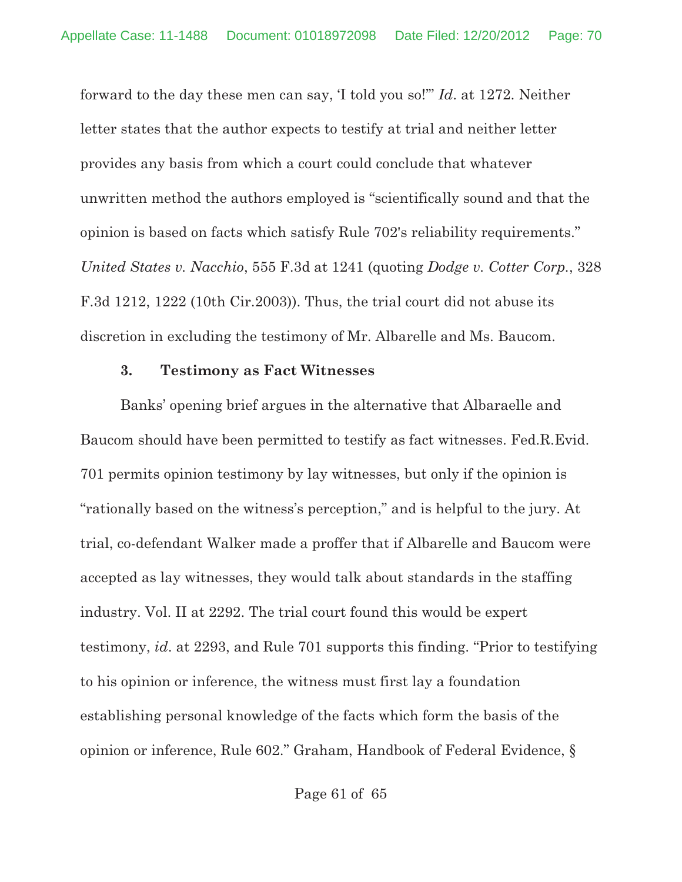forward to the day these men can say, 'I told you so!'" *Id*. at 1272. Neither letter states that the author expects to testify at trial and neither letter provides any basis from which a court could conclude that whatever unwritten method the authors employed is "scientifically sound and that the opinion is based on facts which satisfy Rule 702's reliability requirements." *United States v. Nacchio*, 555 F.3d at 1241 (quoting *Dodge v. Cotter Corp.*, 328 F.3d 1212, 1222 (10th Cir.2003)). Thus, the trial court did not abuse its discretion in excluding the testimony of Mr. Albarelle and Ms. Baucom.

#### **3. Testimony as Fact Witnesses**

Banks' opening brief argues in the alternative that Albaraelle and Baucom should have been permitted to testify as fact witnesses. Fed.R.Evid. 701 permits opinion testimony by lay witnesses, but only if the opinion is "rationally based on the witness's perception," and is helpful to the jury. At trial, co-defendant Walker made a proffer that if Albarelle and Baucom were accepted as lay witnesses, they would talk about standards in the staffing industry. Vol. II at 2292. The trial court found this would be expert testimony, *id*. at 2293, and Rule 701 supports this finding. "Prior to testifying to his opinion or inference, the witness must first lay a foundation establishing personal knowledge of the facts which form the basis of the opinion or inference, Rule 602." Graham, Handbook of Federal Evidence, §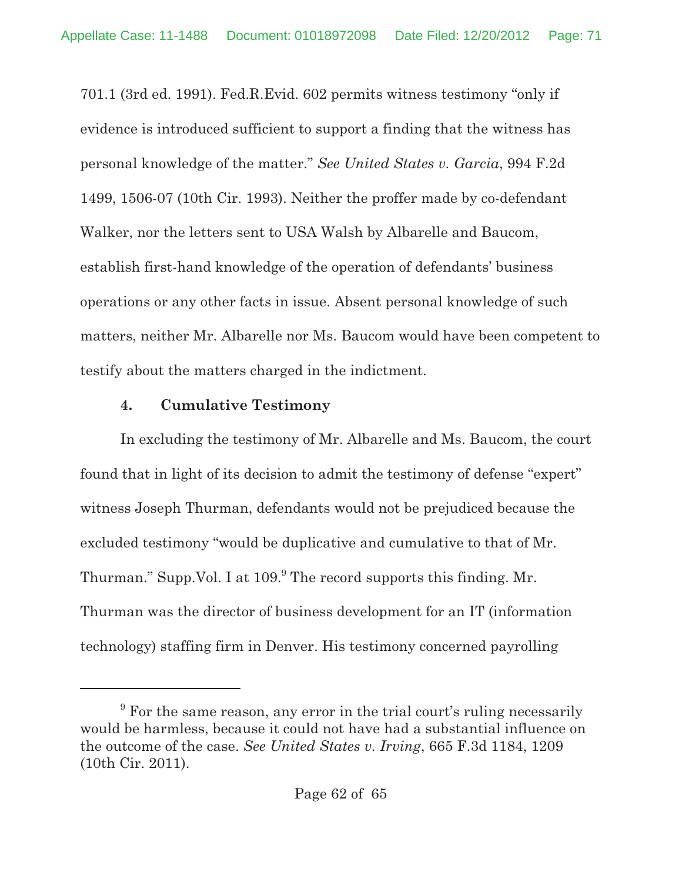701.1 (3rd ed. 1991). Fed.R.Evid. 602 permits witness testimony "only if evidence is introduced sufficient to support a finding that the witness has personal knowledge of the matter." *See United States v. Garcia*, 994 F.2d 1499, 1506-07 (10th Cir. 1993). Neither the proffer made by co-defendant Walker, nor the letters sent to USA Walsh by Albarelle and Baucom, establish first-hand knowledge of the operation of defendants' business operations or any other facts in issue. Absent personal knowledge of such matters, neither Mr. Albarelle nor Ms. Baucom would have been competent to testify about the matters charged in the indictment.

## **4. Cumulative Testimony**

In excluding the testimony of Mr. Albarelle and Ms. Baucom, the court found that in light of its decision to admit the testimony of defense "expert" witness Joseph Thurman, defendants would not be prejudiced because the excluded testimony "would be duplicative and cumulative to that of Mr. Thurman." Supp. Vol. I at 109. The record supports this finding. Mr. Thurman was the director of business development for an IT (information technology) staffing firm in Denver. His testimony concerned payrolling

<sup>&</sup>lt;sup>9</sup> For the same reason, any error in the trial court's ruling necessarily would be harmless, because it could not have had a substantial influence on the outcome of the case. *See United States v. Irving*, 665 F.3d 1184, 1209 (10th Cir. 2011).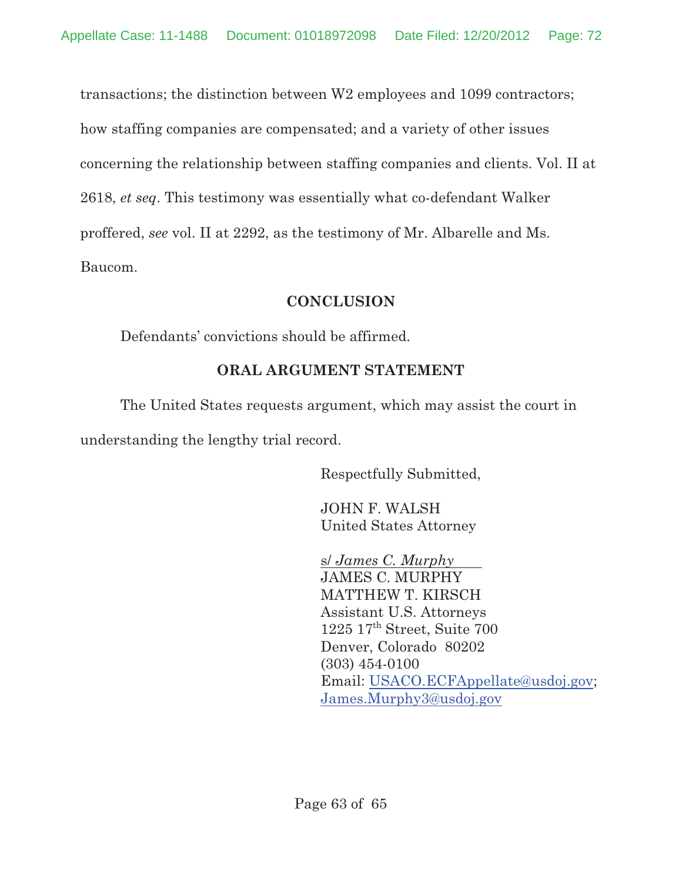transactions; the distinction between W2 employees and 1099 contractors; how staffing companies are compensated; and a variety of other issues concerning the relationship between staffing companies and clients. Vol. II at 2618, *et seq*. This testimony was essentially what co-defendant Walker proffered, *see* vol. II at 2292, as the testimony of Mr. Albarelle and Ms. Baucom.

## **CONCLUSION**

Defendants' convictions should be affirmed.

## **ORAL ARGUMENT STATEMENT**

The United States requests argument, which may assist the court in understanding the lengthy trial record.

Respectfully Submitted,

JOHN F. WALSH United States Attorney

s/ *James C. Murphy*  JAMES C. MURPHY MATTHEW T. KIRSCH Assistant U.S. Attorneys  $1225$   $17<sup>th</sup>$  Street, Suite 700 Denver, Colorado 80202 (303) 454-0100 Email: USACO.ECFAppellate@usdoj.gov; James.Murphy3@usdoj.gov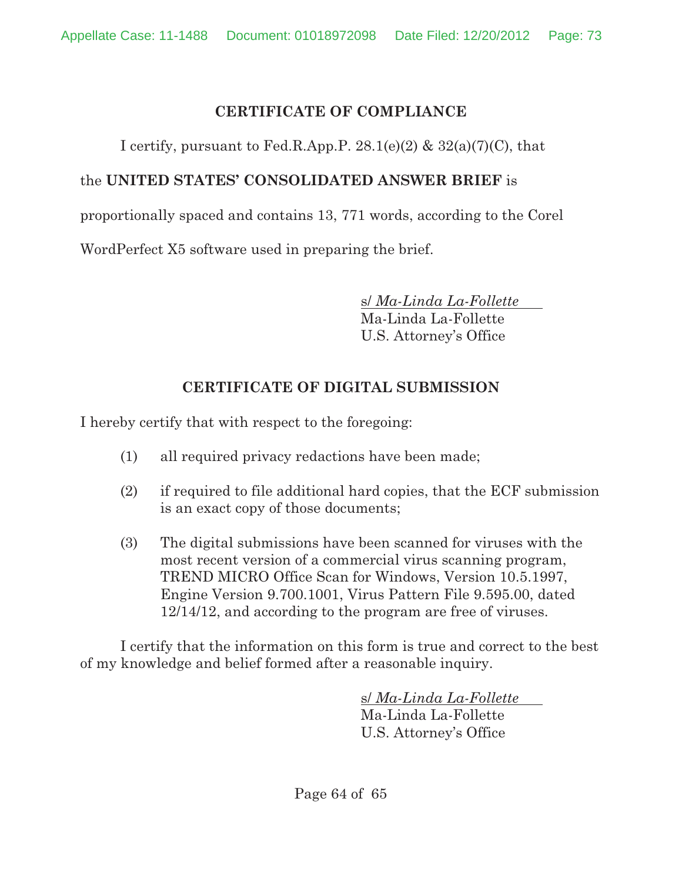## **CERTIFICATE OF COMPLIANCE**

I certify, pursuant to Fed.R.App.P.  $28.1(e)(2)$  &  $32(a)(7)(C)$ , that

## the **UNITED STATES' CONSOLIDATED ANSWER BRIEF** is

proportionally spaced and contains 13, 771 words, according to the Corel

WordPerfect X5 software used in preparing the brief.

s/ *Ma-Linda La-Follette*  Ma-Linda La-Follette

U.S. Attorney's Office

## **CERTIFICATE OF DIGITAL SUBMISSION**

I hereby certify that with respect to the foregoing:

- (1) all required privacy redactions have been made;
- (2) if required to file additional hard copies, that the ECF submission is an exact copy of those documents;
- (3) The digital submissions have been scanned for viruses with the most recent version of a commercial virus scanning program, TREND MICRO Office Scan for Windows, Version 10.5.1997, Engine Version 9.700.1001, Virus Pattern File 9.595.00, dated 12/14/12, and according to the program are free of viruses.

I certify that the information on this form is true and correct to the best of my knowledge and belief formed after a reasonable inquiry.

> s/ *Ma-Linda La-Follette*  Ma-Linda La-Follette U.S. Attorney's Office